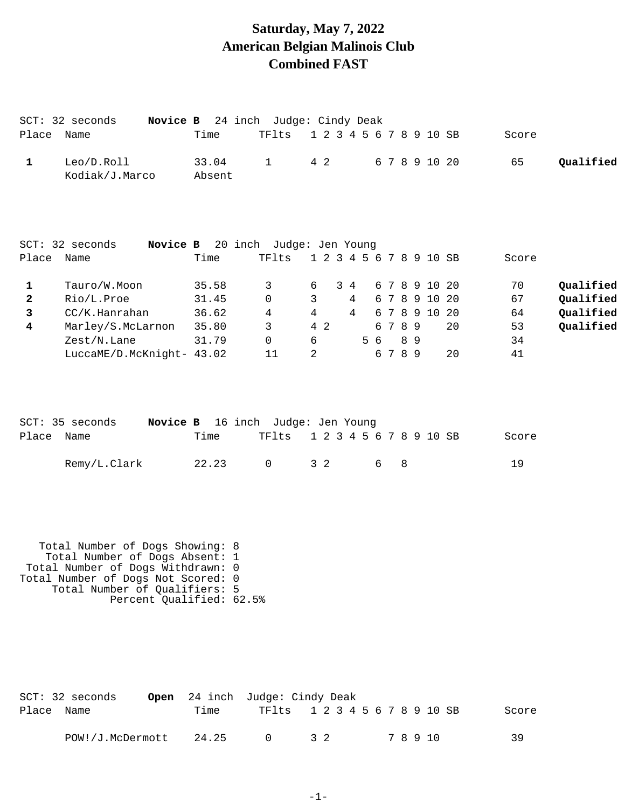#### **Saturday, May 7, 2022 American Belgian Malinois Club Combined FAST**

|              | Novice B<br>$SCT: 32$ seconds |        | 24 inch Judge: Cindy Deak |   |     |               |                |     |     |    |                         |    |       |           |
|--------------|-------------------------------|--------|---------------------------|---|-----|---------------|----------------|-----|-----|----|-------------------------|----|-------|-----------|
| Place        | Name                          | Time   | TFlts                     |   |     | $1\;\;2\;\;3$ |                |     |     |    | 4 5 6 7 8 9 10 SB       |    | Score |           |
| $\mathbf{1}$ | Leo/D.Roll                    | 33.04  | $\mathbf 1$               |   | 4 2 |               |                |     |     |    | 6 7 8 9 10 20           |    | 65    | Qualified |
|              | Kodiak/J.Marco                | Absent |                           |   |     |               |                |     |     |    |                         |    |       |           |
|              |                               |        |                           |   |     |               |                |     |     |    |                         |    |       |           |
|              | Novice B<br>$SCT: 32$ seconds |        | 20 inch Judge: Jen Young  |   |     |               |                |     |     |    |                         |    |       |           |
| Place        | Name                          | Time   | TFlts                     |   |     |               |                |     |     |    | 1 2 3 4 5 6 7 8 9 10 SB |    | Score |           |
| 1            | Tauro/W.Moon                  | 35.58  | 3                         | 6 |     |               | $3\quad 4$     |     | 67  | 8  | 9 10 20                 |    | 70    | Qualified |
| $\mathbf{2}$ | Rio/L.Proe                    | 31.45  | $\Omega$                  | 3 |     |               | 4              |     | 67  | 8  | 9 10 20                 |    | 67    | Qualified |
| 3            | CC/K.Hanraham                 | 36.62  | $\overline{4}$            | 4 |     |               | $\overline{4}$ |     | 6 7 |    | 8 9 10 20               |    | 64    | Qualified |
| 4            | Marley/S.McLarnon             | 35.80  | $\mathbf{3}$              |   | 4 2 |               |                |     | 6 7 | 89 |                         | 20 | 53    | Qualified |
|              | Zest/N.Lane                   | 31.79  | $\mathbf 0$               | 6 |     |               |                | 5 6 |     | 89 |                         |    | 34    |           |
|              | LuccaME/D.McKnight- 43.02     |        | 11                        | 2 |     |               |                |     | 6 7 | 89 |                         | 20 | 41    |           |
|              |                               |        |                           |   |     |               |                |     |     |    |                         |    |       |           |
|              |                               |        |                           |   |     |               |                |     |     |    |                         |    |       |           |
|              | SCT: 35 seconds<br>Novice B   |        | 16 inch Judge: Jen Young  |   |     |               |                |     |     |    |                         |    |       |           |
| Place        | Name                          | Time   | TFlts                     |   |     | $1\;\;2\;\;3$ |                |     |     |    | 4 5 6 7 8 9 10 SB       |    | Score |           |
|              |                               |        |                           |   |     |               |                |     |     |    |                         |    |       |           |

Remy/L.Clark 22.23 0 3 2 6 8 19

 Total Number of Dogs Showing: 8 Total Number of Dogs Absent: 1 Total Number of Dogs Withdrawn: 0 Total Number of Dogs Not Scored: 0 Total Number of Qualifiers: 5 Percent Qualified: 62.5%

|            | $SCT: 32$ seconds |       | <b>Open</b> 24 inch Judge: Cindy Deak |                               |  |       |       |
|------------|-------------------|-------|---------------------------------------|-------------------------------|--|-------|-------|
| Place Name |                   | Time  |                                       | TF1ts 1 2 3 4 5 6 7 8 9 10 SB |  |       | Score |
|            | POW!/J.McDermott  | 24.25 | $\Omega$                              | 32                            |  | 78910 | 39    |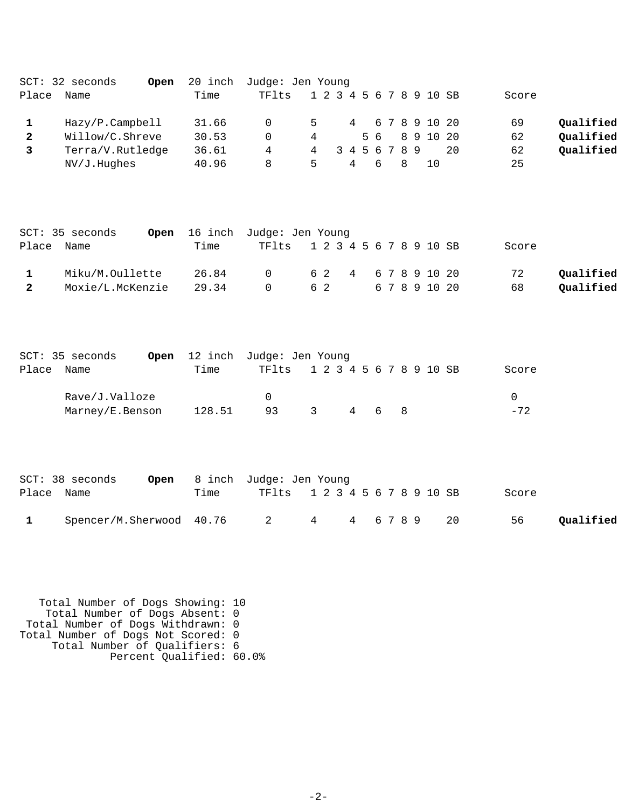|       | $SCT: 32$ seconds<br>Open | 20 inch | Judge: Jen Young |               |                         |   |              |               |          |           |
|-------|---------------------------|---------|------------------|---------------|-------------------------|---|--------------|---------------|----------|-----------|
| Place | Name                      | Time    | TFlts            |               | 1 2 3 4 5 6 7 8 9 10 SB |   |              |               | Score    |           |
|       | Hazy/P.Campbell           | 31.66   | $\Omega$         | 5             | 4                       |   |              | 67891020      | 69       | Qualified |
| 2     | Willow/C.Shreve           | 30.53   | $\Omega$         | 4             |                         |   |              | 5 6 8 9 10 20 | 62       | Qualified |
|       | Terra/V.Rutledge          | 36.61   | 4                | 4             | 3 4 5 6 7 8 9           |   |              |               | 62<br>20 | Qualified |
|       | $NV/J$ . Hughes           | 40.96   | 8                | $\mathcal{P}$ | 4                       | 6 | <sup>8</sup> | 1 O           | 25       |           |

|            | SCT: 35 seconds  | <b>Open</b> 16 inch Judge: Jen Young |                               |    |  |          |       |           |
|------------|------------------|--------------------------------------|-------------------------------|----|--|----------|-------|-----------|
| Place Name |                  | Time                                 | TF1ts 1 2 3 4 5 6 7 8 9 10 SB |    |  |          | Score |           |
|            | Miku/M.Oullette  | 26.84                                | 0 62 4 67891020               |    |  |          | 72    | Oualified |
|            | Moxie/L.McKenzie | 29.34                                | $\cap$                        | 62 |  | 67891020 | 68    | Qualified |

|       | SCT: 35 seconds |        | Open 12 inch Judge: Jen Young |    |     |  |       |
|-------|-----------------|--------|-------------------------------|----|-----|--|-------|
| Place | Name            | Time   | TF1ts 1 2 3 4 5 6 7 8 9 10 SB |    |     |  | Score |
|       | Rave/J.Valloze  |        |                               |    |     |  |       |
|       | Marney/E.Benson | 128.51 | 93                            | ્ર | 468 |  | $-72$ |

|            | $SCT: 38$ seconds                           |      | <b>Open</b> 8 inch Judge: Jen Young |  |  |  |       |           |
|------------|---------------------------------------------|------|-------------------------------------|--|--|--|-------|-----------|
| Place Name |                                             | Time | TF1ts 1 2 3 4 5 6 7 8 9 10 SB       |  |  |  | Score |           |
|            | $Spencer/M.Sherwood 40.76 2 4 4 6 7 8 9 20$ |      |                                     |  |  |  | 56    | Qualified |

 Total Number of Dogs Showing: 10 Total Number of Dogs Absent: 0 Total Number of Dogs Withdrawn: 0 Total Number of Dogs Not Scored: 0 Total Number of Qualifiers: 6 Percent Qualified: 60.0%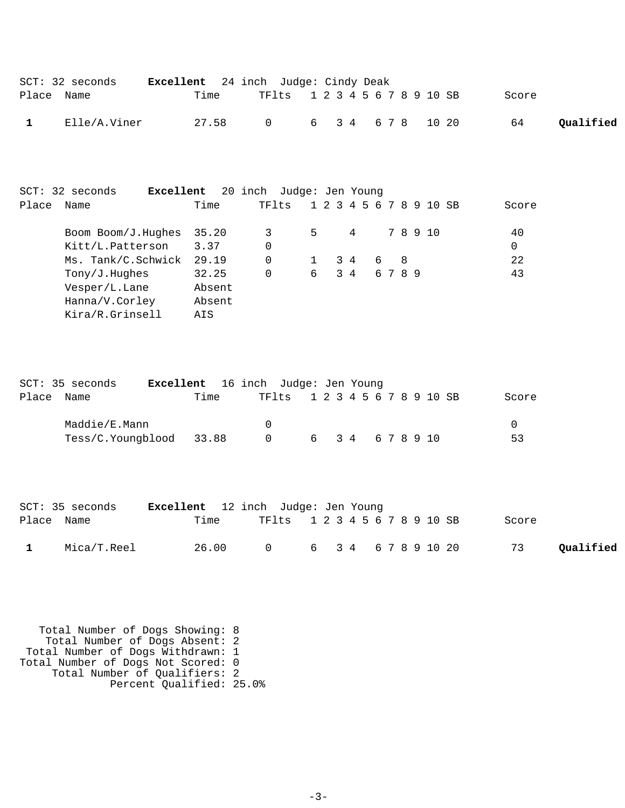| $SCT: 32$ seconds | <b>Excellent</b> 24 inch Judge: Cindy Deak |                               |  |  |  |  |       |           |
|-------------------|--------------------------------------------|-------------------------------|--|--|--|--|-------|-----------|
| Place Name        | Time                                       | TF1ts 1 2 3 4 5 6 7 8 9 10 SB |  |  |  |  | Score |           |
| Elle/A.Viner      | 27.58                                      | 6 3 4 6 7 8 10 20<br>$\cap$   |  |  |  |  | 64    | Qualified |

|       | $SCT: 32$ seconds              | Excellent |        | 20 inch Judge: Jen Young |   |     |   |   |      |    |                         |  |             |
|-------|--------------------------------|-----------|--------|--------------------------|---|-----|---|---|------|----|-------------------------|--|-------------|
| Place | Name                           |           | Time   | TFlts                    |   |     |   |   |      |    | 1 2 3 4 5 6 7 8 9 10 SB |  | Score       |
|       | Boom $\text{Bound}/J$ . Hughes |           | 35.20  | 3                        | 5 |     | 4 |   |      |    | 78910                   |  | 40          |
|       | Kitt/L.Patterson               |           | 3.37   | $\Omega$                 |   |     |   |   |      |    |                         |  | $\mathbf 0$ |
|       | Ms. Tank/C.Schwick             |           | 29.19  | $\Omega$                 |   | 34  |   | 6 |      | -8 |                         |  | 22          |
|       | Tony/J.Huqhes                  |           | 32.25  | $\Omega$                 | 6 | 3 4 |   |   | 6789 |    |                         |  | 43          |
|       | Vesper/L.Lane                  |           | Absent |                          |   |     |   |   |      |    |                         |  |             |
|       | Hanna/V.Corley                 |           | Absent |                          |   |     |   |   |      |    |                         |  |             |
|       | Kira/R.Grinsell                |           | AIS    |                          |   |     |   |   |      |    |                         |  |             |

| SCT: 35 seconds         | <b>Excellent</b> 16 inch Judge: Jen Young |          |                               |                  |  |  |  |  |       |
|-------------------------|-------------------------------------------|----------|-------------------------------|------------------|--|--|--|--|-------|
| Place Name              | Time                                      |          | TF1ts 1 2 3 4 5 6 7 8 9 10 SB |                  |  |  |  |  | Score |
| Maddie/E.Mann           |                                           | - 0      |                               |                  |  |  |  |  |       |
| Tess/C.Youngblood 33.88 |                                           | $\Omega$ |                               | 6 3 4 6 7 8 9 10 |  |  |  |  | 53    |

|            | SCT: 35 seconds | <b>Excellent</b> 12 inch Judge: Jen Young |                               |                       |  |  |       |           |
|------------|-----------------|-------------------------------------------|-------------------------------|-----------------------|--|--|-------|-----------|
| Place Name |                 | Time                                      | TF1ts 1 2 3 4 5 6 7 8 9 10 SB |                       |  |  | Score |           |
|            | Mica/T.Reel     | 26.00                                     |                               | 0 6 3 4 6 7 8 9 10 20 |  |  | 73    | Qualified |

 Total Number of Dogs Showing: 8 Total Number of Dogs Absent: 2 Total Number of Dogs Withdrawn: 1 Total Number of Dogs Not Scored: 0 Total Number of Qualifiers: 2 Percent Qualified: 25.0%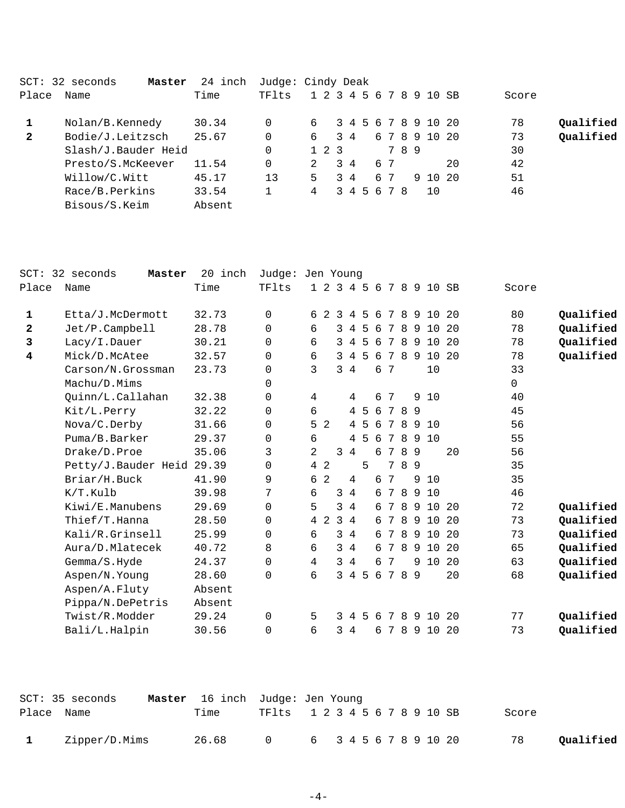| SCT:         | 32 seconds<br>Master | 24 inch | Judge: Cindy Deak |                         |     |             |    |     |                     |    |       |           |
|--------------|----------------------|---------|-------------------|-------------------------|-----|-------------|----|-----|---------------------|----|-------|-----------|
| Place        | Name                 | Time    | TFlts             | 1 2 3 4 5 6 7 8 9 10 SB |     |             |    |     |                     |    | Score |           |
|              | Nolan/B.Kennedy      | 30.34   |                   | 6                       |     |             |    |     | 3 4 5 6 7 8 9 10 20 |    | 78    | Qualified |
| $\mathbf{2}$ | Bodie/J.Leitzsch     | 25.67   | $\Omega$          | 6                       | 3 4 |             |    |     | 6 7 8 9 10 20       |    | 73    | Qualified |
|              | Slash/J.Bauder Heid  |         |                   | $1\;\;2\;\;3$           |     |             |    | 789 |                     |    | 30    |           |
|              | Presto/S.McKeever    | 11.54   |                   | $\mathcal{L}$           | 34  |             | 67 |     |                     | 20 | 42    |           |
|              | Willow/C.Witt        | 45.17   | 13                | 5.                      | 34  |             | 67 | 9   | 10 20               |    | 51    |           |
|              | Race/B.Perkins       | 33.54   | 1                 | 4                       |     | 3 4 5 6 7 8 |    |     | 1 O                 |    | 46    |           |
|              | Bisous/S.Keim        | Absent  |                   |                         |     |             |    |     |                     |    |       |           |
|              |                      |         |                   |                         |     |             |    |     |                     |    |       |           |

| $SCT$ :      | 32 seconds<br>Master      | 20<br>inch | Judge: Jen Young |   |           |                |                |                |     |   |                 |   |     |                     |      |              |           |
|--------------|---------------------------|------------|------------------|---|-----------|----------------|----------------|----------------|-----|---|-----------------|---|-----|---------------------|------|--------------|-----------|
| Place        | Name                      | Time       | TFlts            |   | $1\quad2$ |                |                |                |     |   |                 |   |     | 3 4 5 6 7 8 9 10 SB |      | Score        |           |
| 1            | Etta/J.McDermott          | 32.73      | $\Omega$         | 6 |           | 2              | $\mathcal{B}$  | 4              | 5   | 6 | 7               | 8 | 9   | 10 <sup>°</sup>     | 20   | 80           | Qualified |
| $\mathbf{2}$ | Jet/P.Campbell            | 28.78      | $\mathbf 0$      | 6 |           |                | 3              | $\overline{4}$ | 5   | 6 | 7               | 8 | 9   | 10                  | -20  | 78           | Qualified |
| 3            | Lacy/I.Dauer              | 30.21      | $\Omega$         | 6 |           |                | 3              | 4              | 5   | 6 | 7               | 8 | 9   | 10                  | 20   | 78           | Qualified |
| 4            | Mick/D.McAtee             | 32.57      | 0                | 6 |           |                | 3              | 4              | 5   | 6 | $7\phantom{.0}$ | 8 | - 9 | 10 20               |      | 78           | Qualified |
|              | Carson/N.Grossman         | 23.73      | 0                |   | 3         |                | 3              | $\overline{4}$ |     | 6 | 7               |   |     | 10                  |      | 33           |           |
|              | Machu/D.Mims              |            | $\Omega$         |   |           |                |                |                |     |   |                 |   |     |                     |      | $\mathsf{O}$ |           |
|              | Quinn/L.Callahan          | 32.38      | $\mathbf 0$      |   | 4         |                |                | 4              |     | 6 | 7               |   | 9   | 10                  |      | 40           |           |
|              | Kit/L.Perry               | 32.22      | $\mathbf 0$      | 6 |           |                |                | 4              | -5  |   | 67              |   | 89  |                     |      | 45           |           |
|              | Nova/C.Derby              | 31.66      | 0                |   | 5         | $\overline{2}$ |                |                | 4 5 | 6 | 7               | 8 | 9   | 10                  |      | 56           |           |
|              | Puma/B.Barker             | 29.37      | $\mathbf 0$      | 6 |           |                |                | 4              | 5   | 6 | 7               | 8 | 9   | 10                  |      | 55           |           |
|              | Drake/D.Proe              | 35.06      | 3                |   | 2         |                | 3              | 4              |     | 6 | 7               |   | 89  |                     | 20   | 56           |           |
|              | Petty/J.Bauder Heid 29.39 |            | 0                |   | 4         | $\overline{c}$ |                |                | 5   |   | 7               | 8 | 9   |                     |      | 35           |           |
|              | Briar/H.Buck              | 41.90      | 9                | 6 |           | 2              |                | 4              |     | 6 | 7               |   | 9   | 10                  |      | 35           |           |
|              | K/T.Kulb                  | 39.98      | 7                | 6 |           |                | 3              | $\overline{4}$ |     |   | 6 7             | 8 | 9   | 10                  |      | 46           |           |
|              | Kiwi/E.Manubens           | 29.69      | $\Omega$         | 5 |           |                | 3              | $\overline{4}$ |     |   | 6 7             | 8 | 9   | 10                  | 20   | 72           | Qualified |
|              | Thief/T.Hanna             | 28.50      | $\Omega$         |   | 4         | 2              | $\overline{3}$ | $\overline{4}$ |     | 6 | 7               | 8 | 9   | 10                  | - 20 | 73           | Qualified |
|              | Kali/R.Grinsell           | 25.99      | 0                | 6 |           |                | 3              | 4              |     | 6 | 7               | 8 | 9   | 10                  | 20   | 73           | Qualified |
|              | Aura/D.Mlatecek           | 40.72      | 8                | 6 |           |                | 3              | $\overline{4}$ |     | 6 | 7               | 8 | 9   | 10                  | 20   | 65           | Qualified |
|              | Gemma/S.Hyde              | 24.37      | $\Omega$         |   | 4         |                | 3              | $\overline{4}$ |     | 6 | 7               |   | 9   | 10                  | 20   | 63           | Qualified |
|              | Aspen/N.Young             | 28.60      | $\Omega$         | б |           |                | 3              | $\overline{4}$ | 5   |   | 6 7             |   | 89  |                     | 20   | 68           | Qualified |
|              | Aspen/A.Fluty             | Absent     |                  |   |           |                |                |                |     |   |                 |   |     |                     |      |              |           |
|              | Pippa/N.DePetris          | Absent     |                  |   |           |                |                |                |     |   |                 |   |     |                     |      |              |           |
|              | Twist/R.Modder            | 29.24      | $\Omega$         | 5 |           |                | 3              | $\overline{4}$ | 5   | 6 | 7               | 8 | 9   | 10                  | 20   | 77           | Qualified |
|              | Bali/L.Halpin             | 30.56      | 0                | 6 |           |                | 3              | 4              |     | 6 | 7               | 8 | 9   | 10                  | 20   | 73           | Qualified |
|              |                           |            |                  |   |           |                |                |                |     |   |                 |   |     |                     |      |              |           |

|            | SCT: 35 seconds | <b>Master</b> 16 inch Judge: Jen Young |                               |                       |  |  |  |  |       |           |
|------------|-----------------|----------------------------------------|-------------------------------|-----------------------|--|--|--|--|-------|-----------|
| Place Name |                 | Time                                   | TF1ts 1 2 3 4 5 6 7 8 9 10 SB |                       |  |  |  |  | Score |           |
|            | Zipper/D.Mims   | 26.68                                  | $\cap$                        | 6 3 4 5 6 7 8 9 10 20 |  |  |  |  | 78    | Oualified |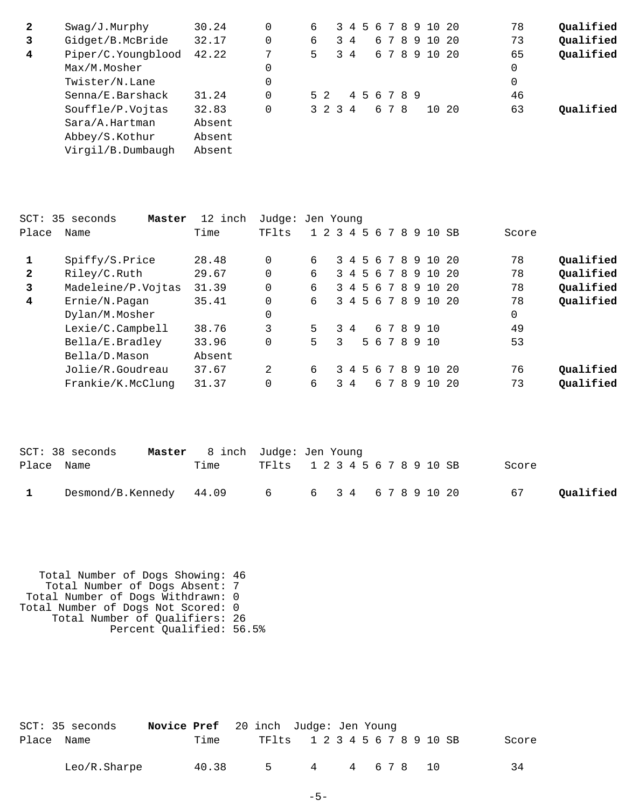| $\mathbf{2}$ | Swaq/J.Murphy      | 30.24  |   | 6   |         |             |  |     |             | 3 4 5 6 7 8 9 10 20 |       | 78 | Qualified |
|--------------|--------------------|--------|---|-----|---------|-------------|--|-----|-------------|---------------------|-------|----|-----------|
| 3            | Gidget/B.McBride   | 32.17  |   | 6   |         | 34          |  |     | 6789        | 10 20               |       | 73 | Qualified |
| 4            | Piper/C.Youngblood | 42.22  | 7 | 5   |         | $3 \quad 4$ |  |     |             | 6 7 8 9 10 20       |       | 65 | Qualified |
|              | Max/M.Mosher       |        |   |     |         |             |  |     |             |                     |       | 0  |           |
|              | Twister/N.Lane     |        |   |     |         |             |  |     |             |                     |       | 0  |           |
|              | Senna/E.Barshack   | 31.24  |   | 5 2 |         |             |  |     | 4 5 6 7 8 9 |                     |       | 46 |           |
|              | Souffle/P.Vojtas   | 32.83  |   |     | 3 2 3 4 |             |  | 678 |             |                     | 10 20 | 63 | Oualified |
|              | Sara/A.Hartman     | Absent |   |     |         |             |  |     |             |                     |       |    |           |
|              | Abbey/S.Kothur     | Absent |   |     |         |             |  |     |             |                     |       |    |           |
|              | Virgil/B.Dumbaugh  | Absent |   |     |         |             |  |     |             |                     |       |    |           |

| SCT:         | 35 seconds<br>Master | 12 inch | Judge: Jen Young |           |                |             |    |    |                |    |   |                     |      |       |           |
|--------------|----------------------|---------|------------------|-----------|----------------|-------------|----|----|----------------|----|---|---------------------|------|-------|-----------|
| Place        | Name                 | Time    | TFlts            | $1\quad2$ | $\overline{3}$ | $-4$        | 5  | 6  | 7              | 8  |   | 9 10 SB             |      | Score |           |
|              | Spiffy/S.Price       | 28.48   | $\Omega$         | б.        |                | 34          | .5 |    | 678            |    |   | 9 10                | 20   | 78    | Qualified |
| $\mathbf{2}$ | Riley/C.Ruth         | 29.67   | $\Omega$         | 6         |                |             |    |    | 3 4 5 6 7 8    |    | 9 | 10                  | - 20 | 78    | Qualified |
| 3            | Madeleine/P.Vojtas   | 31.39   | $\Omega$         | 6         |                | $3 \quad 4$ |    |    | 5678           |    |   | 9 10                | - 20 | 78    | Qualified |
| 4            | Ernie/N.Pagan        | 35.41   | 0                | 6         |                |             |    |    |                |    |   | 3 4 5 6 7 8 9 10 20 |      | 78    | Qualified |
|              | Dylan/M.Mosher       |         | 0                |           |                |             |    |    |                |    |   |                     |      | 0     |           |
|              | Lexie/C.Campbell     | 38.76   | 3                | 5         |                | $3 \quad 4$ |    |    |                |    |   | 678910              |      | 49    |           |
|              | Bella/E.Bradley      | 33.96   | 0                | 5         | 3              |             |    |    |                |    |   | 5 6 7 8 9 10        |      | 53    |           |
|              | Bella/D.Mason        | Absent  |                  |           |                |             |    |    |                |    |   |                     |      |       |           |
|              | Jolie/R.Goudreau     | 37.67   | 2                | 6         |                | 34          | 5  | -6 | $\overline{7}$ | -8 |   | 9 10                | - 20 | 76    | Oualified |
|              | Frankie/K.McClung    | 31.37   | $\Omega$         | 6         |                | $3 \quad 4$ |    | б. | 7              | 8  |   | 9 1 0               | -20  | 73    | Qualified |
|              |                      |         |                  |           |                |             |    |    |                |    |   |                     |      |       |           |

|            | SCT: 38 seconds | <b>Master</b> 8 inch Judge: Jen Young |                                                     |           |
|------------|-----------------|---------------------------------------|-----------------------------------------------------|-----------|
| Place Name |                 | Time                                  | TF1ts 1 2 3 4 5 6 7 8 9 10 SB<br>Score              |           |
|            |                 |                                       | Desmond/B.Kennedy 44.09 6 6 3 4 6 7 8 9 10 20<br>67 | Qualified |

 Total Number of Dogs Showing: 46 Total Number of Dogs Absent: 7 Total Number of Dogs Withdrawn: 0 Total Number of Dogs Not Scored: 0 Total Number of Qualifiers: 26 Percent Qualified: 56.5%

|            | SCT: 35 seconds | <b>Novice Pref</b> 20 inch Judge: Jen Young |       |                               |   |  |  |  |            |  |       |
|------------|-----------------|---------------------------------------------|-------|-------------------------------|---|--|--|--|------------|--|-------|
| Place Name |                 |                                             | Time  | TF1ts 1 2 3 4 5 6 7 8 9 10 SB |   |  |  |  |            |  | Score |
|            | Leo/R.Sharpe    |                                             | 40.38 |                               | 4 |  |  |  | 4 6 7 8 10 |  | 34    |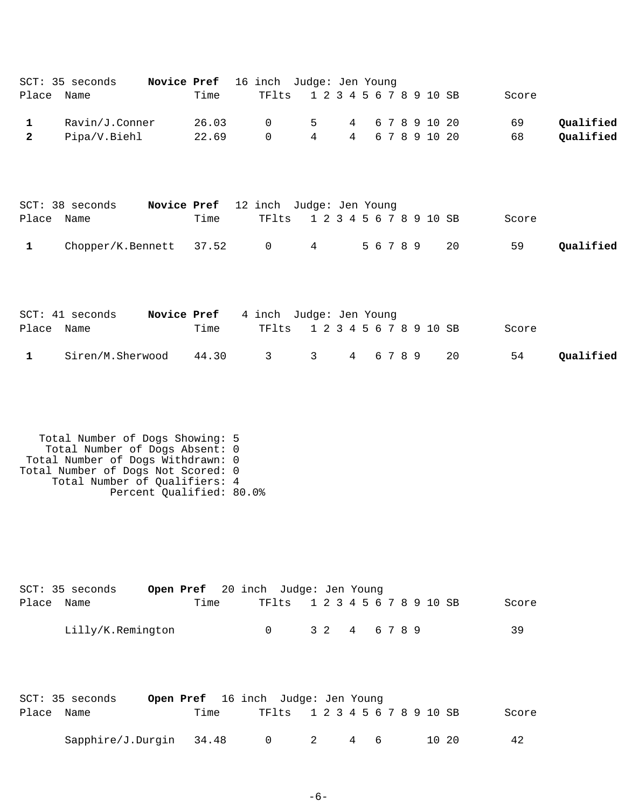| SCT: 35 seconds | <b>Novice Pref</b> 16 inch Judge: Jen Young |                               |                   |  |  |  |       |           |
|-----------------|---------------------------------------------|-------------------------------|-------------------|--|--|--|-------|-----------|
| Place Name      | Time                                        | TF1ts 1 2 3 4 5 6 7 8 9 10 SB |                   |  |  |  | Score |           |
| Ravin/J.Conner  | 26.03                                       | $\Omega$                      | 5 4 6 7 8 9 10 20 |  |  |  | 69    | Oualified |
| Pipa/V.Biehl    | 22.69                                       | $\Omega$                      | 4 4 6 7 8 9 10 20 |  |  |  | 68    | Qualified |
|                 |                                             |                               |                   |  |  |  |       |           |

|              | $SCT: 38$ seconds                          |      | Novice Pref 12 inch Judge: Jen Young |  |                               |       |           |
|--------------|--------------------------------------------|------|--------------------------------------|--|-------------------------------|-------|-----------|
| Place Name   |                                            | Time |                                      |  | TF1ts 1 2 3 4 5 6 7 8 9 10 SB | Score |           |
| $\mathbf{1}$ | $Chopper/K.Bennett$ 37.52 0 4 5 6 7 8 9 20 |      |                                      |  |                               | 59    | Qualified |

|            | $SCT: 41$ seconds | <b>Novice Pref</b> 4 inch Judge: Jen Young |                               |  |  |    |       |           |
|------------|-------------------|--------------------------------------------|-------------------------------|--|--|----|-------|-----------|
| Place Name |                   | Time                                       | TF1ts 1 2 3 4 5 6 7 8 9 10 SB |  |  |    | Score |           |
|            | Siren/M.Sherwood  | 44.30                                      | 3 3 4 6 7 8 9                 |  |  | 20 | 54    | Qualified |

 Total Number of Dogs Showing: 5 Total Number of Dogs Absent: 0 Total Number of Dogs Withdrawn: 0 Total Number of Dogs Not Scored: 0 Total Number of Qualifiers: 4 Percent Qualified: 80.0%

| SCT: 35 seconds   | <b>Open Pref</b> 20 inch Judge: Jen Young |  |                               |           |  |  |  |  |  |       |
|-------------------|-------------------------------------------|--|-------------------------------|-----------|--|--|--|--|--|-------|
| Place Name        | Time                                      |  | TF1ts 1 2 3 4 5 6 7 8 9 10 SB |           |  |  |  |  |  | Score |
| Lilly/K.Remington |                                           |  |                               | 32 4 6789 |  |  |  |  |  | 3 Q   |

| SCT: 35 seconds         | <b>Open Pref</b> 16 inch Judge: Jen Young |           |                               |     |  |  |    |  |       |  |       |
|-------------------------|-------------------------------------------|-----------|-------------------------------|-----|--|--|----|--|-------|--|-------|
| Place Name              | Time                                      |           | TF1ts 1 2 3 4 5 6 7 8 9 10 SB |     |  |  |    |  |       |  | Score |
| Sapphire/J.Durgin 34.48 |                                           | $\bigcap$ |                               | - 2 |  |  | 46 |  | 10 20 |  | 42    |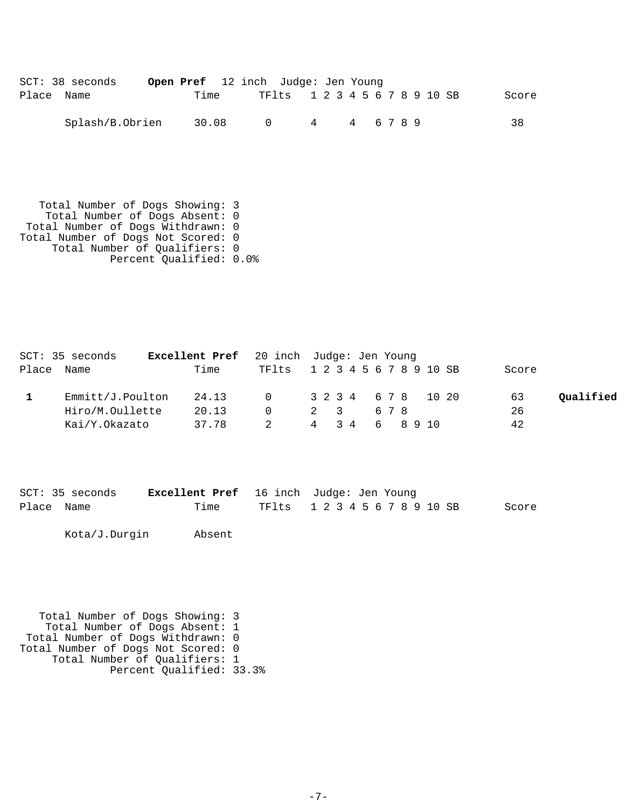| $SCT: 38$ seconds | Open Pref 12 inch Judge: Jen Young |        |                               |  |             |  |  |  |  |       |
|-------------------|------------------------------------|--------|-------------------------------|--|-------------|--|--|--|--|-------|
| Place Name        | Time                               |        | TF1ts 1 2 3 4 5 6 7 8 9 10 SB |  |             |  |  |  |  | Score |
| Splash/B.Obrien   | 30.08                              | $\cap$ |                               |  | 4 4 6 7 8 9 |  |  |  |  | 38    |

 Total Number of Dogs Showing: 3 Total Number of Dogs Absent: 0 Total Number of Dogs Withdrawn: 0 Total Number of Dogs Not Scored: 0 Total Number of Qualifiers: 0 Percent Qualified: 0.0%

|            | SCT: 35 seconds  | <b>Excellent Pref</b> 20 inch Judge: Jen Young |                               |     |  |  |     |                |  |       |           |
|------------|------------------|------------------------------------------------|-------------------------------|-----|--|--|-----|----------------|--|-------|-----------|
| Place Name |                  | Time                                           | TF1ts 1 2 3 4 5 6 7 8 9 10 SB |     |  |  |     |                |  | Score |           |
|            | Emmitt/J.Poulton | 24.13                                          | 0 3 2 3 4 6 7 8 10 20         |     |  |  |     |                |  | 63    | Qualified |
|            | Hiro/M.Oullette  | 20.13                                          | $\Omega$                      | 2 3 |  |  | 678 |                |  | 26    |           |
|            | Kai/Y.Okazato    | 37.78                                          |                               |     |  |  |     | 4 3 4 6 8 9 10 |  | 42    |           |

|            | SCT: 35 seconds |      | <b>Excellent Pref</b> 16 inch Judge: Jen Young |  |
|------------|-----------------|------|------------------------------------------------|--|
| Place Name |                 | Time | TFlts 12345678910SB<br>Score                   |  |

Kota/J.Durgin Absent

```
 Total Number of Dogs Showing: 3
 Total Number of Dogs Absent: 1
 Total Number of Dogs Withdrawn: 0
Total Number of Dogs Not Scored: 0
 Total Number of Qualifiers: 1
 Percent Qualified: 33.3%
```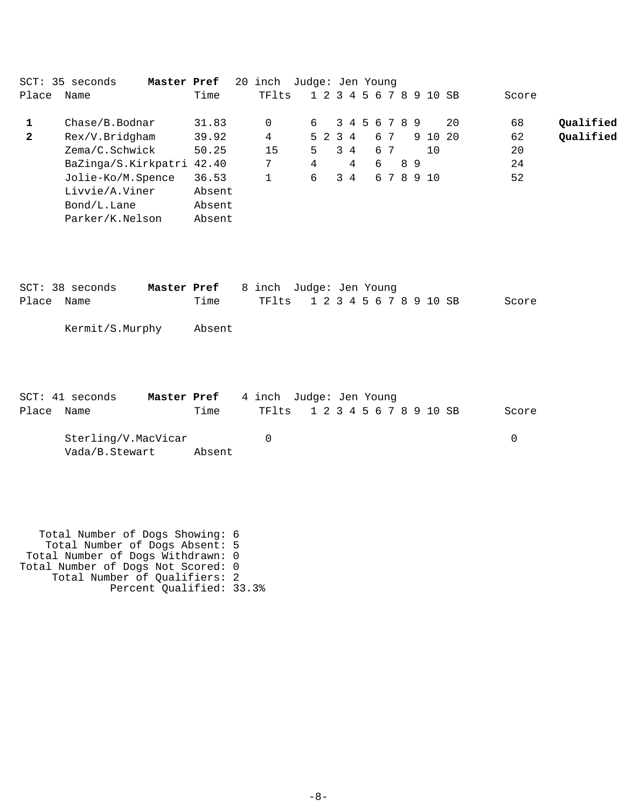|              | SCT: 35 seconds<br>Master Pref |        | 20 | inch     | Judge: Jen Young |    |         |     |   |               |    |                         |    |       |           |
|--------------|--------------------------------|--------|----|----------|------------------|----|---------|-----|---|---------------|----|-------------------------|----|-------|-----------|
| Place        | Name                           | Time   |    | TFlts    |                  |    |         |     |   |               |    | 1 2 3 4 5 6 7 8 9 10 SB |    | Score |           |
|              | Chase/B.Bodnar                 | 31.83  |    | $\Omega$ |                  | б. |         |     |   | 3 4 5 6 7 8 9 |    |                         | 20 | 68    | Qualified |
| $\mathbf{2}$ | Rex/V.Bridgham                 | 39.92  |    | 4        |                  |    | 5 2 3 4 |     |   | 67            |    | 9 10 20                 |    | 62    | Qualified |
|              | Zema/C.Schwick                 | 50.25  |    | 15       |                  | 5  |         | 3 4 |   | 6 7           |    | 10                      |    | 20    |           |
|              | BaZinga/S.Kirkpatri 42.40      |        |    | 7        |                  | 4  |         | 4   | 6 |               | 89 |                         |    | 24    |           |
|              | Jolie-Ko/M.Spence              | 36.53  |    |          |                  | 6  | 3       | 4   |   |               |    | 6 7 8 9 10              |    | 52    |           |
|              | Livvie/A.Viner                 | Absent |    |          |                  |    |         |     |   |               |    |                         |    |       |           |
|              | Bond/L.Lane                    | Absent |    |          |                  |    |         |     |   |               |    |                         |    |       |           |
|              | Parker/K.Nelson                | Absent |    |          |                  |    |         |     |   |               |    |                         |    |       |           |

|            | SCT: 38 seconds | <b>Master Pref</b> 8 inch Judge: Jen Young |                               |  |  |  |  |  |  |       |
|------------|-----------------|--------------------------------------------|-------------------------------|--|--|--|--|--|--|-------|
| Place Name |                 | Time                                       | TF1ts 1 2 3 4 5 6 7 8 9 10 SB |  |  |  |  |  |  | Score |

Kermit/S.Murphy Absent

|            | $SCT: 41$ seconds   | <b>Master Pref</b> 4 inch Judge: Jen Young |                               |  |  |  |  |  |       |
|------------|---------------------|--------------------------------------------|-------------------------------|--|--|--|--|--|-------|
| Place Name |                     | Time                                       | TF1ts 1 2 3 4 5 6 7 8 9 10 SB |  |  |  |  |  | Score |
|            | Sterling/V.MacVicar |                                            |                               |  |  |  |  |  |       |

Vada/B.Stewart Absent

 Total Number of Dogs Showing: 6 Total Number of Dogs Absent: 5 Total Number of Dogs Withdrawn: 0 Total Number of Dogs Not Scored: 0 Total Number of Qualifiers: 2 Percent Qualified: 33.3%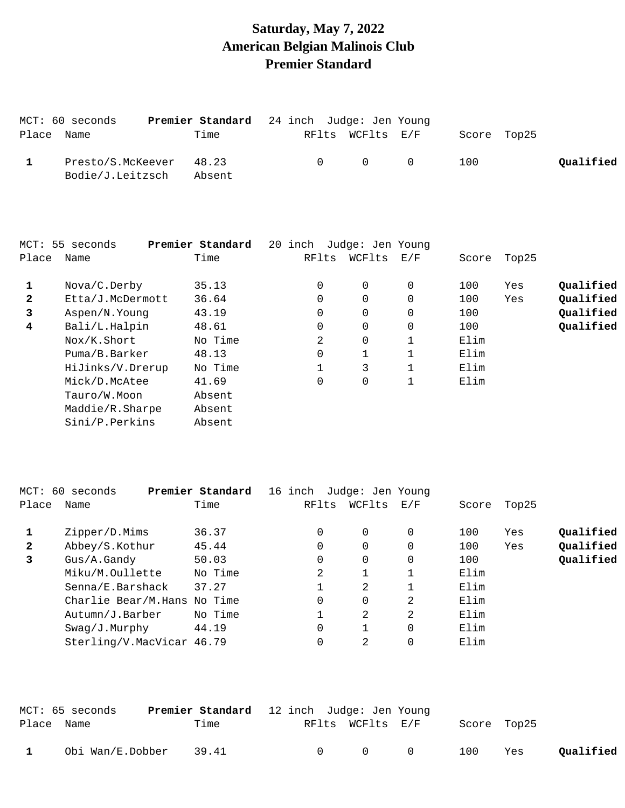# **Saturday, May 7, 2022 American Belgian Malinois Club Premier Standard**

|            | MCT: 60 seconds                             |        | Premier Standard 24 inch Judge: Jen Young |                  |                                     |     |             |           |
|------------|---------------------------------------------|--------|-------------------------------------------|------------------|-------------------------------------|-----|-------------|-----------|
| Place Name |                                             | Time   |                                           | RFlts WCFlts E/F |                                     |     | Score Top25 |           |
|            | Presto/S.McKeever 48.23<br>Bodie/J.Leitzsch | Absent | $\cap$ and $\cap$                         |                  | $\begin{matrix} 0 & 0 \end{matrix}$ | 100 |             | Qualified |

|              | MCT: 55 seconds  | Premier Standard | 20 | inch     | Judge: Jen Young |          |       |       |           |
|--------------|------------------|------------------|----|----------|------------------|----------|-------|-------|-----------|
| Place        | Name             | Time             |    | RFlts    | WCFlts           | E/F      | Score | Top25 |           |
|              | Nova/C.Derby     | 35.13            |    | $\Omega$ | $\Omega$         | $\Omega$ | 100   | Yes   | Oualified |
| $\mathbf{2}$ | Etta/J.McDermott | 36.64            |    | 0        | 0                |          | 100   | Yes   | Qualified |
| 3            | Aspen/N.Young    | 43.19            |    | $\Omega$ | $\Omega$         | $\Omega$ | 100   |       | Qualified |
| 4            | Bali/L.Halpin    | 48.61            |    | $\Omega$ | $\Omega$         | $\Omega$ | 100   |       | Qualified |
|              | Nox/K.Short      | No Time          |    | 2        | $\Omega$         |          | Elim  |       |           |
|              | Puma/B.Barker    | 48.13            |    | 0        |                  |          | Elim  |       |           |
|              | HiJinks/V.Drerup | No Time          |    |          | 3                |          | Elim  |       |           |
|              | Mick/D.McAtee    | 41.69            |    | 0        | 0                |          | Elim  |       |           |
|              | Tauro/W.Moon     | Absent           |    |          |                  |          |       |       |           |
|              | Maddie/R.Sharpe  | Absent           |    |          |                  |          |       |       |           |
|              | Sini/P.Perkins   | Absent           |    |          |                  |          |       |       |           |

|              | MCT: 60 seconds             | Premier Standard | 16 inch | Judge: Jen Young |                |       |       |           |
|--------------|-----------------------------|------------------|---------|------------------|----------------|-------|-------|-----------|
| Place        | Name                        | Time             | RFlts   | WCFlts           | E/F            | Score | Top25 |           |
|              | Zipper/D.Mims               | 36.37            | 0       | 0                | 0              | 100   | Yes   | Qualified |
| $\mathbf{2}$ | Abbey/S.Kothur              | 45.44            | 0       | $\Omega$         | $\Omega$       | 100   | Yes   | Qualified |
| 3            | Gus/A.Gandy                 | 50.03            | 0       | $\Omega$         | 0              | 100   |       | Qualified |
|              | Miku/M.Oullette             | No Time          | 2       |                  |                | Elim  |       |           |
|              | Senna/E.Barshack            | 37.27            |         | 2                |                | Elim  |       |           |
|              | Charlie Bear/M.Hans No Time |                  | 0       | $\Omega$         | 2              | Elim  |       |           |
|              | Autumn/J.Barber             | No Time          |         | 2.               | $\mathfrak{D}$ | Elim  |       |           |
|              | Swag/J.Murphy               | 44.19            | 0       |                  | $\Omega$       | Elim  |       |           |
|              | Sterling/V.MacVicar 46.79   |                  |         | 2                | 0              | Elim  |       |           |
|              |                             |                  |         |                  |                |       |       |           |

|            | MCT: 65 seconds        | Premier Standard 12 inch Judge: Jen Young |                   |                  |                                     |             |     |           |
|------------|------------------------|-------------------------------------------|-------------------|------------------|-------------------------------------|-------------|-----|-----------|
| Place Name |                        | Time                                      |                   | RFlts WCFlts E/F |                                     | Score Top25 |     |           |
|            | Obi Wan/E.Dobber 39.41 |                                           | $\cap$ and $\cap$ |                  | $\begin{matrix} 0 & 0 \end{matrix}$ | 100         | Yes | Qualified |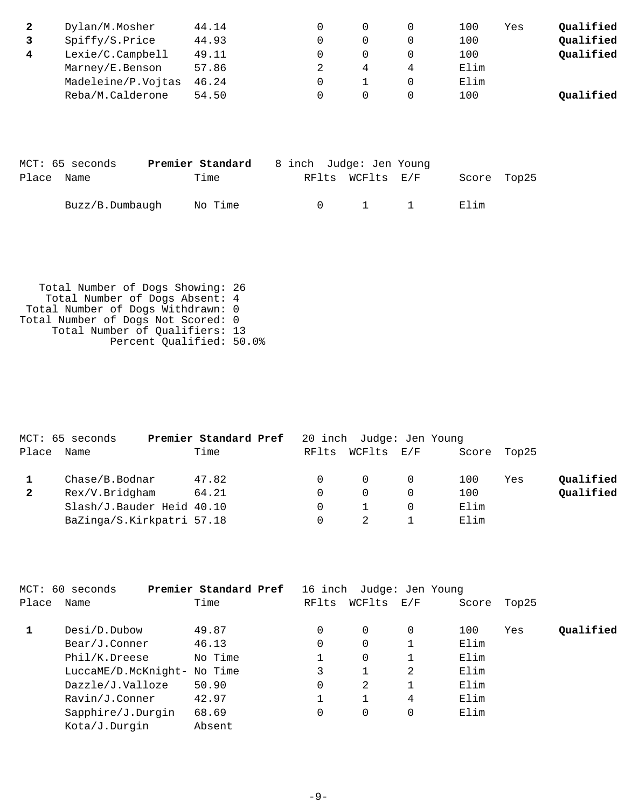|   | Dylan/M.Mosher     | 44.14 |  | 100  | Yes | Qualified |
|---|--------------------|-------|--|------|-----|-----------|
|   | Spiffy/S.Price     | 44.93 |  | 100  |     | Qualified |
| 4 | Lexie/C.Campbell   | 49.11 |  | 100  |     | Qualified |
|   | Marney/E.Benson    | 57.86 |  | Elim |     |           |
|   | Madeleine/P.Vojtas | 46.24 |  | Elim |     |           |
|   | Reba/M.Calderone   | 54.50 |  | 100  |     | Oualified |

|            | MCT: 65 seconds | Premier Standard |        | 8 inch Judge: Jen Young |       |             |
|------------|-----------------|------------------|--------|-------------------------|-------|-------------|
| Place Name |                 | Time             |        | RFlts WCFlts E/F        |       | Score Top25 |
|            | Buzz/B.Dumbaugh | No Time          | $\cap$ | $1 \quad 1$             | Filim |             |

 Total Number of Dogs Showing: 26 Total Number of Dogs Absent: 4 Total Number of Dogs Withdrawn: 0 Total Number of Dogs Not Scored: 0 Total Number of Qualifiers: 13 Percent Qualified: 50.0%

|              | MCT: 65 seconds           | Premier Standard Pref |       | 20 inch Judge: Jen Young |             |     |           |
|--------------|---------------------------|-----------------------|-------|--------------------------|-------------|-----|-----------|
| Place        | Name                      | Time                  | RFlts | WCFlts E/F               | Score Top25 |     |           |
|              | Chase/B.Bodnar            | 47.82                 |       | $\Omega$                 | 100         | Yes | Qualified |
| $\mathbf{2}$ | Rex/V.Bridgham            | 64.21                 |       | $\Omega$                 | 100         |     | Qualified |
|              | Slash/J.Bauder Heid 40.10 |                       |       |                          | Elim        |     |           |
|              | BaZinga/S.Kirkpatri 57.18 |                       |       |                          | Elim        |     |           |

| MCT: 60 seconds   |         |                                                      |          |          |                                                           |                  |           |
|-------------------|---------|------------------------------------------------------|----------|----------|-----------------------------------------------------------|------------------|-----------|
| Name              | Time    | RFlts                                                | WCFlts   |          | Score                                                     | Top25            |           |
| Desi/D.Dubow      | 49.87   | 0                                                    | $\Omega$ | $\Omega$ | 100                                                       | Yes              | Qualified |
| Bear/J.Conner     | 46.13   | 0                                                    | 0        |          | Elim                                                      |                  |           |
| Phil/K.Dreese     | No Time |                                                      | 0        |          | Elim                                                      |                  |           |
|                   |         |                                                      |          | 2        | Elim                                                      |                  |           |
| Dazzle/J.Valloze  | 50.90   | 0                                                    | 2        |          | Elim                                                      |                  |           |
| Ravin/J.Conner    | 42.97   |                                                      |          | 4        | Elim                                                      |                  |           |
| Sapphire/J.Durgin | 68.69   | 0                                                    | 0        | 0        | Elim                                                      |                  |           |
| Kota/J.Durgin     | Absent  |                                                      |          |          |                                                           |                  |           |
|                   |         | Premier Standard Pref<br>LuccaME/D.McKnight- No Time |          | 16 inch  | $\mathop{\rm E{}}\nolimits$ / $\mathop{\rm F{}}\nolimits$ | Judge: Jen Young |           |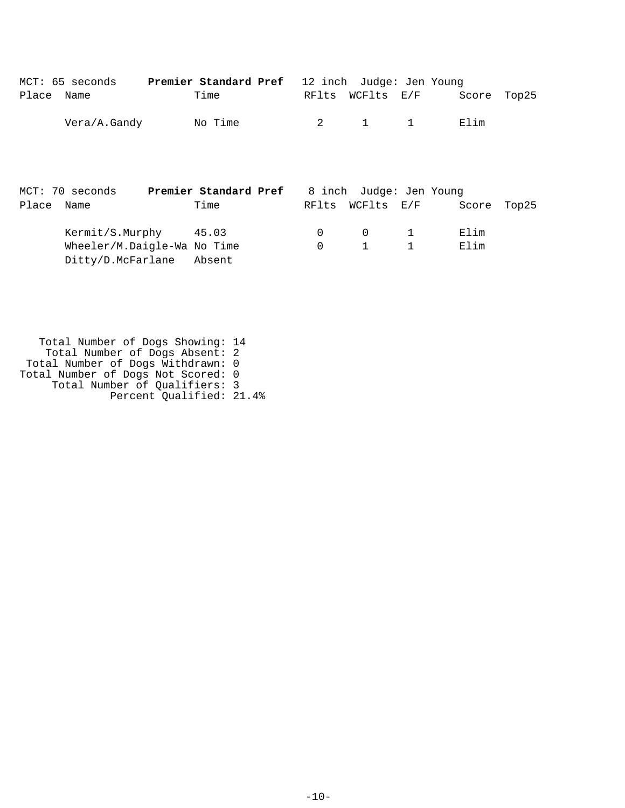|       | MCT: 65 seconds                                                           | Premier Standard Pref |               | 12 inch Judge: Jen Young |              |              |       |
|-------|---------------------------------------------------------------------------|-----------------------|---------------|--------------------------|--------------|--------------|-------|
| Place | Name                                                                      | Time                  | RFlts         |                          | WCFlts E/F   | Score        | Top25 |
|       | Vera/A.Gandy                                                              | No Time               | 2             | 1                        | $\mathbf{1}$ | Elim         |       |
|       | MCT: 70 seconds                                                           | Premier Standard Pref |               | 8 inch Judge: Jen Young  |              |              |       |
| Place | Name                                                                      | Time                  | RFlts         |                          | WCFlts E/F   | Score        | Top25 |
|       | Kermit/S.Murphy 45.03<br>Wheeler/M.Daigle-Wa No Time<br>Ditty/D.McFarlane | Absent                | 0<br>$\Omega$ | 0<br>$\mathbf{1}$        | 1            | Elim<br>Elim |       |

 Total Number of Dogs Showing: 14 Total Number of Dogs Absent: 2 Total Number of Dogs Withdrawn: 0 Total Number of Dogs Not Scored: 0 Total Number of Qualifiers: 3 Percent Qualified: 21.4%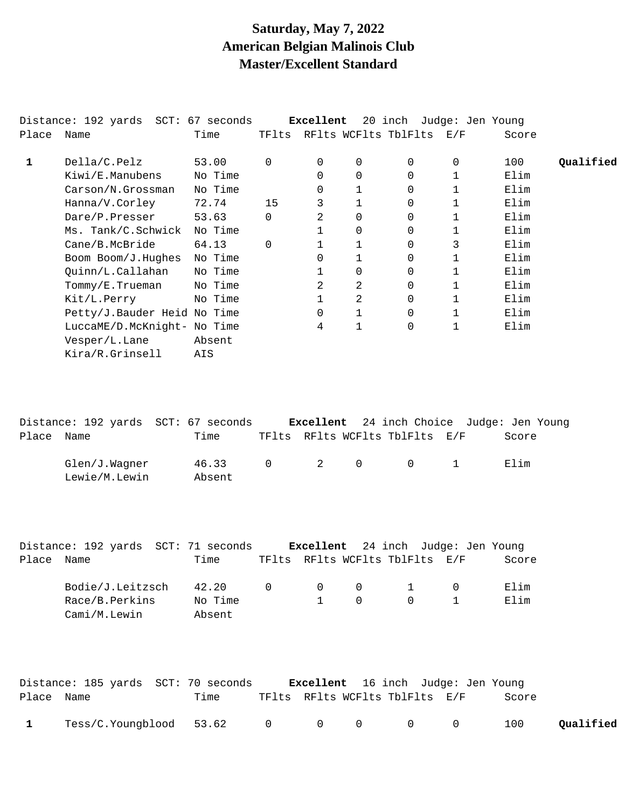## **Saturday, May 7, 2022 American Belgian Malinois Club Master/Excellent Standard**

|            | Distance: 192 yards SCT: 67 seconds |         |          | Excellent |                | 20 inch Judge: Jen Young       |   |       |           |
|------------|-------------------------------------|---------|----------|-----------|----------------|--------------------------------|---|-------|-----------|
| Place Name |                                     | Time    |          |           |                | TFlts RFlts WCFlts TblFlts E/F |   | Score |           |
| 1          | Della/C.Pelz                        | 53.00   | $\Omega$ | $\Omega$  | 0              | 0                              | 0 | 100   | Oualified |
|            | Kiwi/E.Manubens                     | No Time |          | 0         | $\overline{0}$ | 0                              |   | Elim  |           |
|            | Carson/N.Grossman                   | No Time |          | 0         |                | 0                              |   | Elim  |           |
|            | Hanna/V.Corley                      | 72.74   | 15       | 3         |                | 0                              |   | Elim  |           |
|            | Dare/P.Presser                      | 53.63   | $\Omega$ | 2         | $\Omega$       | 0                              |   | Elim  |           |
|            | Ms. Tank/C.Schwick                  | No Time |          |           | $\Omega$       | 0                              |   | Elim  |           |
|            | Cane/B.McBride                      | 64.13   | $\Omega$ |           |                | 0                              | 3 | Elim  |           |
|            | Boom Boom/J.Hughes                  | No Time |          | $\Omega$  |                | 0                              |   | Elim  |           |
|            | Quinn/L.Callahan                    | No Time |          |           | 0              | 0                              |   | Elim  |           |
|            | Tommy/E.Trueman                     | No Time |          | 2         | 2              | 0                              |   | Elim  |           |
|            | Kit/L.Perry                         | No Time |          |           | 2              | $\Omega$                       |   | Elim  |           |
|            | Petty/J.Bauder Heid No Time         |         |          | $\Omega$  | $\mathbf{1}$   | $\Omega$                       |   | Elim  |           |
|            | LuccaME/D.McKnight- No Time         |         |          | 4         | $\mathbf{1}$   | $\Omega$                       |   | Elim  |           |
|            | Vesper/L.Lane                       | Absent  |          |           |                |                                |   |       |           |
|            | Kira/R.Grinsell                     | AIS     |          |           |                |                                |   |       |           |

|            | Distance: 192 yards SCT: 67 seconds |                 |  |                                         | <b>Excellent</b> 24 inch Choice Judge: Jen Young |
|------------|-------------------------------------|-----------------|--|-----------------------------------------|--------------------------------------------------|
| Place Name |                                     | Time            |  | TFlts RFlts WCFlts TblFlts E/F          | Score                                            |
|            | Glen/J.Waqner<br>Lewie/M.Lewin      | 46.33<br>Absent |  | $0 \qquad 2 \qquad 0 \qquad 0 \qquad 1$ | Elim                                             |

|       | Distance: 192 yards SCT: 71 seconds |  |         |          |                   |                                | <b>Excellent</b> 24 inch Judge: Jen Young |       |
|-------|-------------------------------------|--|---------|----------|-------------------|--------------------------------|-------------------------------------------|-------|
| Place | Name                                |  | Time    |          |                   | TFlts RFlts WCFlts TblFlts E/F |                                           | Score |
|       | Bodie/J.Leitzsch                    |  | 42.20   | $\Omega$ | $\Omega$ $\Omega$ |                                |                                           | Elim  |
|       | Race/B.Perkins                      |  | No Time |          | $\bigcap$         | $\cap$                         |                                           | Elim  |
|       | Cami/M.Lewin                        |  | Absent  |          |                   |                                |                                           |       |

|              | Distance: 185 yards SCT: 70 seconds                                        |      |  |                                | <b>Excellent</b> 16 inch Judge: Jen Young |       |           |
|--------------|----------------------------------------------------------------------------|------|--|--------------------------------|-------------------------------------------|-------|-----------|
| Place Name   |                                                                            | Time |  | TFlts RFlts WCFlts TblFlts E/F |                                           | Score |           |
| $\mathbf{1}$ | $\text{Test/C.Youngblood} \quad 53.62 \qquad 0 \qquad 0 \qquad 0 \qquad 0$ |      |  |                                |                                           | 100   | Qualified |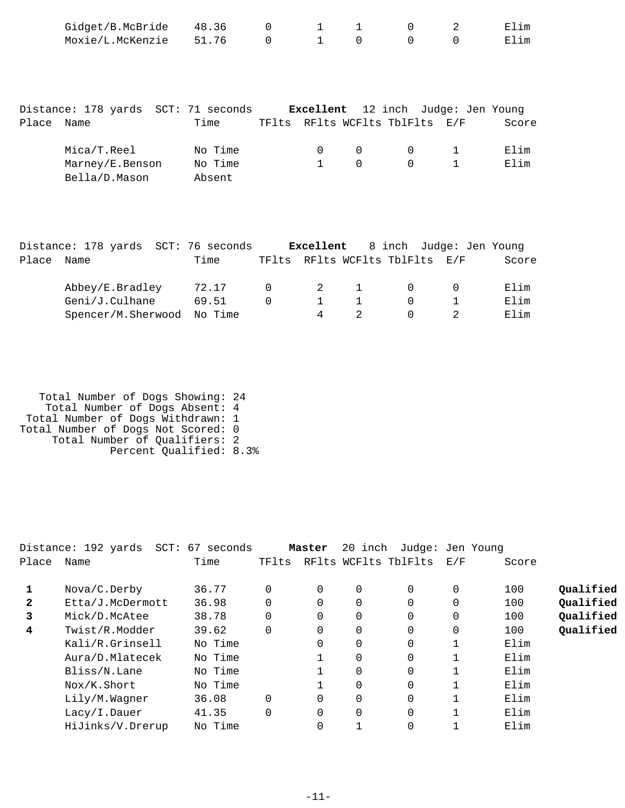| Gidget/B.McBride 48.36 |  |  | 1 1 0 2 | Elim |
|------------------------|--|--|---------|------|
| Moxie/L.McKenzie 51.76 |  |  |         | Elim |

|       | Distance: 178 yards SCT: 71 seconds |         |          |          |                                | <b>Excellent</b> 12 inch Judge: Jen Young |       |
|-------|-------------------------------------|---------|----------|----------|--------------------------------|-------------------------------------------|-------|
| Place | Name                                | Time    |          |          | TFlts RFlts WCFlts TblFlts E/F |                                           | Score |
|       | Mica/T.Reel                         | No Time | $\Omega$ | $\Omega$ | $\Omega$                       | $\sim$ 1                                  | Elim  |
|       | Marney/E.Benson                     | No Time |          | $\cap$   | $\Omega$                       |                                           | Elim  |
|       | Bella/D.Mason                       | Absent  |          |          |                                |                                           |       |

|       | Distance: 178 yards SCT: 76 seconds |       |           |   |                                | <b>Excellent</b> 8 inch Judge: Jen Young |       |
|-------|-------------------------------------|-------|-----------|---|--------------------------------|------------------------------------------|-------|
| Place | Name                                | Time  |           |   | TFlts RFlts WCFlts TblFlts E/F |                                          | Score |
|       | Abbey/E.Bradley                     | 72.17 | $\bigcap$ |   | 2 1                            |                                          | Elim  |
|       | Geni/J.Culhane                      | 69.51 |           |   | $\sim$ 1                       |                                          | Elim  |
|       | Spencer/M.Sherwood No Time          |       |           | 4 |                                |                                          | Elim  |

| Total Number of Dogs Showing: 24   |  |
|------------------------------------|--|
| Total Number of Dogs Absent: 4     |  |
| Total Number of Dogs Withdrawn: 1  |  |
| Total Number of Dogs Not Scored: 0 |  |
| Total Number of Qualifiers: 2      |  |
| Percent Qualified: 8.3%            |  |

|              | Distance: 192 yards SCT: 67 seconds |         |          | Master   | 20 inch  | Judge: Jen Young     |          |       |           |
|--------------|-------------------------------------|---------|----------|----------|----------|----------------------|----------|-------|-----------|
| Place        | Name                                | Time    | TFlts    |          |          | RFlts WCFlts TblFlts | E/F      | Score |           |
|              | Nova/C.Derby                        | 36.77   | $\Omega$ | $\Omega$ | $\Omega$ | $\Omega$             | $\Omega$ | 100   | Qualified |
| $\mathbf{2}$ | Etta/J.McDermott                    | 36.98   | 0        | $\Omega$ | 0        | $\Omega$             | 0        | 100   | Qualified |
| 3            | Mick/D.McAtee                       | 38.78   | 0        | 0        | 0        | 0                    | 0        | 100   | Qualified |
| 4            | Twist/R.Modder                      | 39.62   | $\Omega$ | $\Omega$ | $\Omega$ | 0                    | 0        | 100   | Qualified |
|              | Kali/R.Grinsell                     | No Time |          | 0        | $\Omega$ | $\Omega$             |          | Elim  |           |
|              | Aura/D.Mlatecek                     | No Time |          |          | 0        | 0                    |          | Elim  |           |
|              | Bliss/N.Lane                        | No Time |          |          | 0        | 0                    |          | Elim  |           |
|              | Nox/K.Short                         | No Time |          |          | $\Omega$ | $\Omega$             |          | Elim  |           |
|              | Lily/M.Wagner                       | 36.08   | $\Omega$ | $\Omega$ | $\Omega$ | 0                    |          | Elim  |           |
|              | Lacy/I.Dauer                        | 41.35   | $\Omega$ | 0        | 0        | 0                    |          | Elim  |           |
|              | HiJinks/V.Drerup                    | No Time |          | 0        |          | 0                    |          | Elim  |           |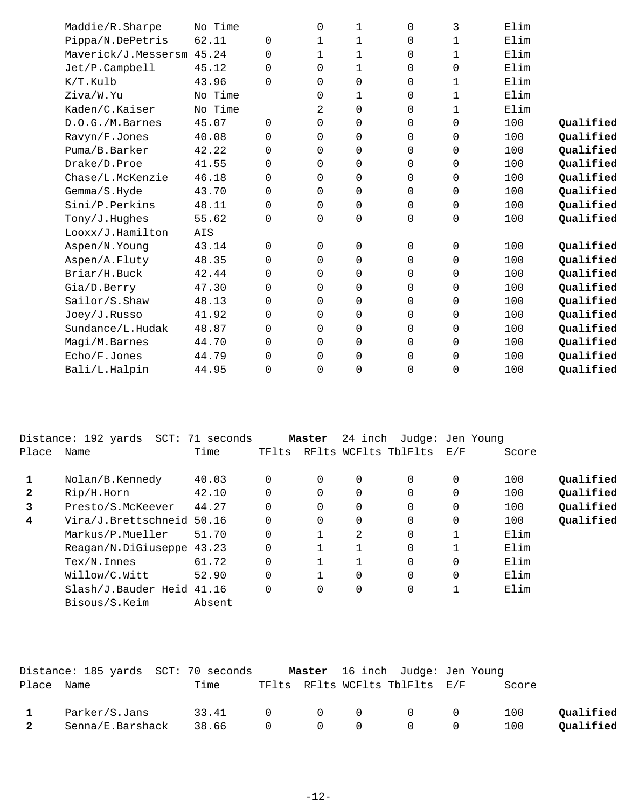| Maddie/R.Sharpe     | No Time |             | 0            | 1        | $\Omega$    | 3            | Elim |           |
|---------------------|---------|-------------|--------------|----------|-------------|--------------|------|-----------|
| Pippa/N.DePetris    | 62.11   | $\mathbf 0$ | $\mathbf{1}$ | 1        | $\Omega$    | $\mathbf{1}$ | Elim |           |
| Maverick/J.Messersm | 45.24   | $\Omega$    | $\mathbf{1}$ | 1        | $\Omega$    | $\mathbf{1}$ | Elim |           |
| Jet/P.Campbell      | 45.12   | $\Omega$    | $\Omega$     | 1        | $\Omega$    | 0            | Elim |           |
| K/T.Kulb            | 43.96   | $\Omega$    | $\Omega$     | $\Omega$ | 0           | 1            | Elim |           |
| Ziva/W.Yu           | No Time |             | $\Omega$     | 1        | $\Omega$    | 1            | Elim |           |
| Kaden/C.Kaiser      | No Time |             | 2            | 0        | 0           | $\mathbf{1}$ | Elim |           |
| D.O.G./M.Barnes     | 45.07   | 0           | 0            | 0        | 0           | 0            | 100  | Qualified |
| Ravyn/F.Jones       | 40.08   | $\mathbf 0$ | 0            | 0        | 0           | 0            | 100  | Qualified |
| Puma/B.Barker       | 42.22   | $\Omega$    | 0            | 0        | 0           | 0            | 100  | Qualified |
| Drake/D.Proe        | 41.55   | $\mathbf 0$ | $\Omega$     | 0        | $\Omega$    | 0            | 100  | Qualified |
| Chase/L.McKenzie    | 46.18   | $\Omega$    | $\Omega$     | 0        | 0           | 0            | 100  | Qualified |
| Gemma/S.Hyde        | 43.70   | $\mathbf 0$ | 0            | 0        | $\mathbf 0$ | 0            | 100  | Qualified |
| Sini/P.Perkins      | 48.11   | $\Omega$    | 0            | 0        | $\mathbf 0$ | 0            | 100  | Qualified |
| Tony/J.Hughes       | 55.62   | $\mathbf 0$ | $\Omega$     | 0        | 0           | 0            | 100  | Qualified |
| Looxx/J.Hamilton    | AIS     |             |              |          |             |              |      |           |
| Aspen/N.Young       | 43.14   | $\Omega$    | $\Omega$     | 0        | $\Omega$    | 0            | 100  | Qualified |
| Aspen/A.Fluty       | 48.35   | $\Omega$    | $\Omega$     | 0        | $\Omega$    | $\Omega$     | 100  | Qualified |
| Briar/H.Buck        | 42.44   | $\Omega$    | $\Omega$     | 0        | 0           | 0            | 100  | Qualified |
| Gia/D.Berry         | 47.30   | $\mathbf 0$ | 0            | 0        | $\mathbf 0$ | 0            | 100  | Qualified |
| Sailor/S.Shaw       | 48.13   | 0           | 0            | 0        | $\mathbf 0$ | 0            | 100  | Qualified |
| Joey/J.Russo        | 41.92   | $\mathbf 0$ | 0            | 0        | 0           | 0            | 100  | Qualified |
| Sundance/L.Hudak    | 48.87   | $\Omega$    | $\Omega$     | 0        | 0           | 0            | 100  | Qualified |
| Magi/M.Barnes       | 44.70   | $\Omega$    | $\Omega$     | 0        | $\Omega$    | 0            | 100  | Qualified |
| Echo/F.Jones        | 44.79   | $\Omega$    | $\Omega$     | 0        | 0           | 0            | 100  | Qualified |
| Bali/L.Halpin       | 44.95   | 0           | $\Omega$     | 0        | 0           | 0            | 100  | Qualified |
|                     |         |             |              |          |             |              |      |           |

|              | Distance: 192 yards SCT: 71 seconds |        |          | Master   | 24 inch |                      | Judge: Jen Young |       |           |
|--------------|-------------------------------------|--------|----------|----------|---------|----------------------|------------------|-------|-----------|
| Place        | Name                                | Time   | TFlts    |          |         | RFlts WCFlts TblFlts | E/F              | Score |           |
|              |                                     |        |          |          |         |                      |                  |       |           |
|              | Nolan/B.Kennedy                     | 40.03  | $\Omega$ | $\Omega$ | 0       | 0                    | 0                | 100   | Oualified |
| $\mathbf{2}$ | Rip/H.Horn                          | 42.10  | $\Omega$ |          | 0       | $\Omega$             | 0                | 100   | Oualified |
| 3            | Presto/S.McKeever                   | 44.27  | $\Omega$ | 0        | 0       | 0                    | 0                | 100   | Oualified |
| 4            | Vira/J.Brettschneid 50.16           |        | $\Omega$ | $\Omega$ | 0       | $\Omega$             | 0                | 100   | Qualified |
|              | Markus/P.Mueller                    | 51.70  | $\Omega$ |          | 2       | $\Omega$             |                  | Elim  |           |
|              | Reagan/N.DiGiuseppe 43.23           |        | $\Omega$ |          |         | $\Omega$             |                  | Elim  |           |
|              | $Text/N$ . Innes                    | 61.72  | $\Omega$ |          |         | $\Omega$             | $\Omega$         | Elim  |           |
|              | Willow/C.Witt                       | 52.90  | $\Omega$ |          | 0       | $\Omega$             | $\Omega$         | Elim  |           |
|              | Slash/J.Bauder Heid 41.16           |        | $\Omega$ | $\Omega$ | 0       | $\Omega$             |                  | Elim  |           |
|              | Bisous/S.Keim                       | Absent |          |          |         |                      |                  |       |           |
|              |                                     |        |          |          |         |                      |                  |       |           |

|              | Distance: 185 yards SCT: 70 seconds |                 |                |  | <b>Master</b> 16 inch Judge: Jen Young |       |           |
|--------------|-------------------------------------|-----------------|----------------|--|----------------------------------------|-------|-----------|
| Place Name   |                                     | Time            |                |  | TFlts RFlts WCFlts TblFlts E/F         | Score |           |
|              | Parker/S.Jans                       | 33.41           | $\overline{0}$ |  | $0\qquad 0\qquad 0\qquad 0$            | 100   | Oualified |
| $\mathbf{2}$ | Senna/E.Barshack                    | 38.66 0 0 0 0 0 |                |  |                                        | 100   | Oualified |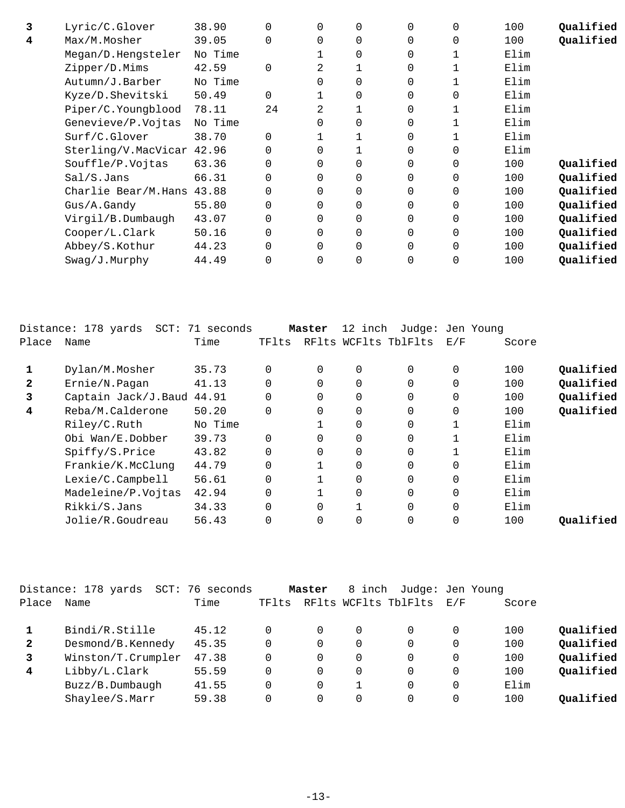| 3 | Lyric/C.Glover            | 38.90   |          | $\Omega$ | $\Omega$ | $\Omega$ | $\Omega$    | 100  | Qualified |
|---|---------------------------|---------|----------|----------|----------|----------|-------------|------|-----------|
| 4 | Max/M.Mosher              | 39.05   | $\Omega$ | 0        | $\Omega$ | $\Omega$ | $\Omega$    | 100  | Qualified |
|   | Megan/D.Hengsteler        | No Time |          |          | $\Omega$ | 0        |             | Elim |           |
|   | Zipper/D.Mims             | 42.59   | $\Omega$ | 2        |          | 0        |             | Elim |           |
|   | Autumn/J.Barber           | No Time |          | 0        | $\Omega$ | 0        |             | Elim |           |
|   | Kyze/D.Shevitski          | 50.49   | $\Omega$ |          | $\Omega$ | 0        | $\Omega$    | Elim |           |
|   | Piper/C.Youngblood        | 78.11   | 24       | 2        |          | 0        |             | Elim |           |
|   | Genevieve/P.Vojtas        | No Time |          | $\Omega$ | $\Omega$ | 0        |             | Elim |           |
|   | Surf/C.Glover             | 38.70   | $\Omega$ |          |          | 0        |             | Elim |           |
|   | Sterling/V.MacVicar 42.96 |         |          | 0        |          | $\Omega$ | 0           | Elim |           |
|   | Souffle/P.Vojtas          | 63.36   | 0        | $\Omega$ | $\Omega$ | 0        | 0           | 100  | Qualified |
|   | Sal/S.Jans                | 66.31   | $\Omega$ | $\Omega$ | $\Omega$ | 0        | $\Omega$    | 100  | Qualified |
|   | Charlie Bear/M.Hans       | 43.88   | $\Omega$ | $\Omega$ | $\Omega$ | $\Omega$ | $\mathbf 0$ | 100  | Qualified |
|   | Gus/A.Gandy               | 55.80   | $\Omega$ | $\Omega$ | $\Omega$ | $\Omega$ | $\Omega$    | 100  | Qualified |
|   | Virgil/B.Dumbaugh         | 43.07   |          | 0        | $\Omega$ | 0        | $\Omega$    | 100  | Qualified |
|   | Cooper/L.Clark            | 50.16   |          | 0        | $\Omega$ | 0        | $\Omega$    | 100  | Qualified |
|   | Abbey/S.Kothur            | 44.23   | 0        | $\Omega$ | $\Omega$ | $\Omega$ | $\Omega$    | 100  | Qualified |
|   | $Swaq/J$ . Murphy         | 44.49   |          | 0        | 0        | 0        | $\Omega$    | 100  | Qualified |
|   |                           |         |          |          |          |          |             |      |           |

|              | Distance: 178 yards<br>SCT: | 71 seconds |          | Master   | 12 inch        | Judge: Jen Young     |             |       |           |
|--------------|-----------------------------|------------|----------|----------|----------------|----------------------|-------------|-------|-----------|
| Place        | Name                        | Time       | TFlts    |          |                | RFlts WCFlts TblFlts | E/F         | Score |           |
|              | Dylan/M.Mosher              | 35.73      | $\Omega$ | $\Omega$ | $\overline{0}$ | $\Omega$             | 0           | 100   | Qualified |
| $\mathbf{2}$ | Ernie/N.Pagan               | 41.13      | $\Omega$ | $\Omega$ | $\overline{0}$ | $\Omega$             | $\mathbf 0$ | 100   | Qualified |
| 3            | Captain Jack/J.Baud 44.91   |            | $\Omega$ | $\Omega$ | $\Omega$       | $\Omega$             | $\Omega$    | 100   | Qualified |
| 4            | Reba/M.Calderone            | 50.20      | $\Omega$ | $\Omega$ | $\overline{0}$ | $\Omega$             | $\mathbf 0$ | 100   | Qualified |
|              | Riley/C.Ruth                | No Time    |          |          | $\overline{0}$ | $\Omega$             | 1           | Elim  |           |
|              | Obi Wan/E.Dobber            | 39.73      | $\Omega$ | 0        | $\overline{0}$ | 0                    | 1           | Elim  |           |
|              | Spiffy/S.Price              | 43.82      | $\Omega$ | $\Omega$ | $\overline{0}$ | $\Omega$             |             | Elim  |           |
|              | Frankie/K.McClunq           | 44.79      | 0        |          | $\overline{0}$ | $\Omega$             | $\mathbf 0$ | Elim  |           |
|              | Lexie/C.Campbell            | 56.61      | $\Omega$ |          | $\overline{0}$ | $\Omega$             | 0           | Elim  |           |
|              | Madeleine/P.Vojtas          | 42.94      | 0        |          | $\overline{0}$ | $\Omega$             | $\mathbf 0$ | Elim  |           |
|              | Rikki/S.Jans                | 34.33      | $\Omega$ | $\Omega$ | $\mathbf{1}$   | $\Omega$             | $\Omega$    | Elim  |           |
|              | Jolie/R.Goudreau            | 56.43      | 0        | 0        | 0              | 0                    | 0           | 100   | Oualified |

|              | Distance: 178 yards<br>$SCT$ : | 76 seconds |       | Master   | 8 inch | Judge: Jen Young     |          |       |           |
|--------------|--------------------------------|------------|-------|----------|--------|----------------------|----------|-------|-----------|
| Place        | Name                           | Time       | TFlts |          |        | RFlts WCFlts TblFlts | E/F      | Score |           |
|              | Bindi/R.Stille                 | 45.12      |       |          |        |                      | 0        | 100   | Qualified |
| $\mathbf{2}$ | Desmond/B.Kennedy              | 45.35      |       | 0        |        | $\Omega$             | 0        | 100   | Qualified |
| 3            | Winston/T.Crumpler             | 47.38      |       | $\Omega$ |        | $\Omega$             | 0        | 100   | Qualified |
| 4            | Libby/L.Clark                  | 55.59      |       | 0        |        | $\Omega$             | 0        | 100   | Qualified |
|              | Buzz/B.Dumbaugh                | 41.55      |       | 0        |        |                      | 0        | Elim  |           |
|              | Shaylee/S.Marr                 | 59.38      |       |          |        |                      | $\Omega$ | 100   | Oualified |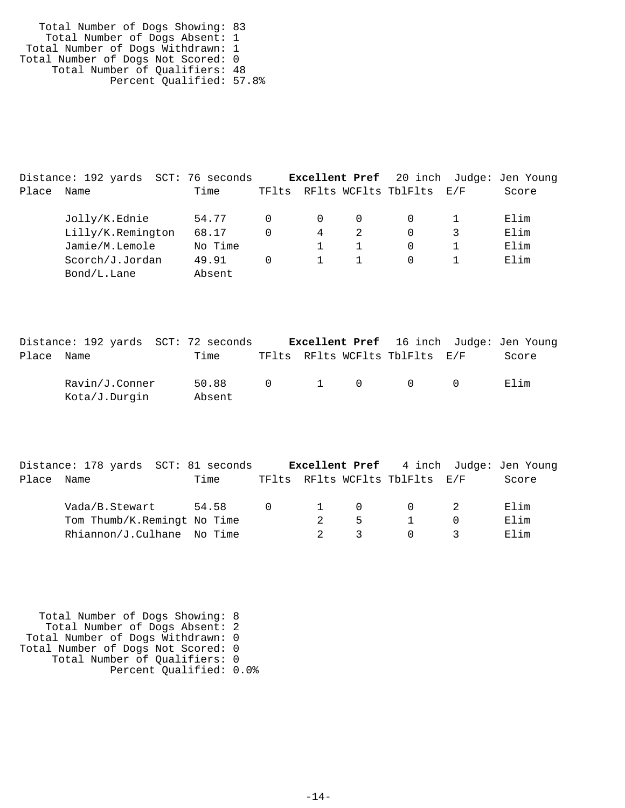Total Number of Dogs Showing: 83 Total Number of Dogs Absent: 1 Total Number of Dogs Withdrawn: 1 Total Number of Dogs Not Scored: 0 Total Number of Qualifiers: 48 Percent Qualified: 57.8%

|       | Distance: 192 yards SCT: 76 seconds |  |         |          |          |          |                          | <b>Excellent Pref</b> 20 inch Judge: Jen Young |
|-------|-------------------------------------|--|---------|----------|----------|----------|--------------------------|------------------------------------------------|
| Place | Name                                |  | Time    | TFlts    |          |          | RFlts WCFlts TblFlts E/F | Score                                          |
|       | Jolly/K.Ednie                       |  | 54.77   | 0        | $\Omega$ | $\Omega$ |                          | Elim                                           |
|       | Lilly/K.Remington                   |  | 68.17   | $\Omega$ | 4        |          | 0                        | Elim                                           |
|       | Jamie/M.Lemole                      |  | No Time |          |          |          | 0                        | Elim                                           |
|       | Scorch/J.Jordan                     |  | 49.91   | 0        |          |          | 0                        | Elim                                           |
|       | Bond/L.Lane                         |  | Absent  |          |          |          |                          |                                                |

|            | Distance: 192 yards SCT: 72 seconds |                 |  |                                                 | <b>Excellent Pref</b> 16 inch Judge: Jen Young |
|------------|-------------------------------------|-----------------|--|-------------------------------------------------|------------------------------------------------|
| Place Name |                                     | Time            |  | TFlts RFlts WCFlts TblFlts E/F                  | Score                                          |
|            | Ravin/J.Conner<br>Kota/J.Durgin     | 50.88<br>Absent |  | $\begin{matrix} 0 & 1 & 0 & 0 & 0 \end{matrix}$ | Elim                                           |

|       | Distance: 178 yards SCT: 81 seconds |       |                |          |          |                                        | <b>Excellent Pref</b> 4 inch Judge: Jen Young |
|-------|-------------------------------------|-------|----------------|----------|----------|----------------------------------------|-----------------------------------------------|
| Place | Name                                | Time  |                |          |          | TFlts RFlts WCFlts TblFlts E/F         | Score                                         |
|       | Vada/B.Stewart                      | 54.58 | $\overline{0}$ | $\sim$ 1 | $\Omega$ | $\begin{array}{ccc} 0 & 2 \end{array}$ | Elim                                          |
|       | Tom Thumb/K.Remingt No Time         |       |                |          | 5        |                                        | Elim                                          |
|       | Rhiannon/J.Culhane No Time          |       |                |          |          | $\Omega$                               | Elim                                          |

 Total Number of Dogs Showing: 8 Total Number of Dogs Absent: 2 Total Number of Dogs Withdrawn: 0 Total Number of Dogs Not Scored: 0 Total Number of Qualifiers: 0 Percent Qualified: 0.0%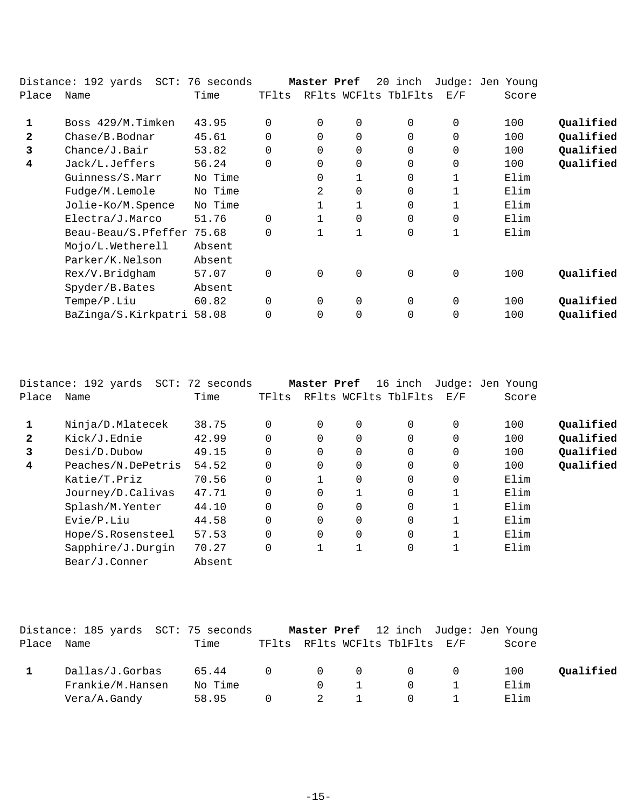|              | Distance: 192 yards<br>SCT: | 76 seconds |          | Master Pref |                | 20 inch              |             | Judge: Jen Young |           |
|--------------|-----------------------------|------------|----------|-------------|----------------|----------------------|-------------|------------------|-----------|
| Place        | Name                        | Time       | TFlts    |             |                | RFlts WCFlts TblFlts | E/F         | Score            |           |
| 1            | Boss 429/M.Timken           | 43.95      | $\Omega$ | $\Omega$    | $\overline{0}$ | $\Omega$             | $\Omega$    | 100              | Qualified |
| $\mathbf{2}$ | Chase/B.Bodnar              | 45.61      | $\Omega$ | $\Omega$    | $\overline{0}$ | $\Omega$             | 0           | 100              | Qualified |
| 3            | Change/J.Bair               | 53.82      | $\Omega$ | 0           | $\mathbf 0$    | $\Omega$             | 0           | 100              | Qualified |
| 4            | Jack/L.Jeffers              | 56.24      | $\Omega$ | 0           | $\mathbf 0$    | $\Omega$             | 0           | 100              | Qualified |
|              | Guinness/S.Marr             | No Time    |          | 0           |                | $\Omega$             | $\mathbf 1$ | Elim             |           |
|              | Fudge/M.Lemole              | No Time    |          | 2           | $\mathbf 0$    | $\Omega$             | 1           | Elim             |           |
|              | Jolie-Ko/M.Spence           | No Time    |          |             |                | $\Omega$             |             | Elim             |           |
|              | Electra/J.Marco             | 51.76      | $\Omega$ |             | $\mathbf 0$    | $\Omega$             | 0           | Elim             |           |
|              | Beau-Beau/S.Pfeffer         | 75.68      | $\Omega$ |             | 1              | 0                    | 1           | Elim             |           |
|              | Mojo/L.Wetherell            | Absent     |          |             |                |                      |             |                  |           |
|              | Parker/K.Nelson             | Absent     |          |             |                |                      |             |                  |           |
|              | Rex/V.Bridgham              | 57.07      | 0        | 0           | $\mathbf 0$    | $\mathbf 0$          | $\mathbf 0$ | 100              | Qualified |
|              | Spyder/B.Bates              | Absent     |          |             |                |                      |             |                  |           |
|              | Tempe/P.Liu                 | 60.82      | $\Omega$ | $\Omega$    | $\mathbf 0$    | $\Omega$             | $\mathbf 0$ | 100              | Qualified |
|              | BaZinga/S.Kirkpatri         | 58.08      | 0        | 0           | $\mathbf 0$    | 0                    | 0           | 100              | Qualified |
|              |                             |            |          |             |                |                      |             |                  |           |

|              | Distance: 192 yards SCT: 72 seconds |        |       | Master Pref |             | 16 inch              |              | Judge: Jen Young |           |
|--------------|-------------------------------------|--------|-------|-------------|-------------|----------------------|--------------|------------------|-----------|
| Place        | Name                                | Time   | TFlts |             |             | RFlts WCFlts TblFlts | E/F          | Score            |           |
|              |                                     |        |       |             |             |                      |              |                  |           |
|              | Ninja/D.Mlatecek                    | 38.75  |       | $\Omega$    | 0           | $\Omega$             | $\mathbf{0}$ | 100              | Oualified |
| $\mathbf{2}$ | Kick/J.Ednie                        | 42.99  |       | $\Omega$    | $\Omega$    | 0                    | $\mathbf{0}$ | 100              | Qualified |
| 3            | Desi/D.Dubow                        | 49.15  |       | 0           | 0           | 0                    | 0            | 100              | Oualified |
| 4            | Peaches/N.DePetris                  | 54.52  |       | $\Omega$    | $\Omega$    | $\Omega$             | $\mathbf{0}$ | 100              | Qualified |
|              | Katie/T.Priz                        | 70.56  |       |             | $\mathbf 0$ | 0                    | $\mathbf{0}$ | Elim             |           |
|              | Journey/D.Calivas                   | 47.71  |       | 0           |             | 0                    |              | Elim             |           |
|              | Splash/M.Yenter                     | 44.10  |       | 0           | 0           | 0                    |              | Elim             |           |
|              | Evie/P.Liu                          | 44.58  |       | $\Omega$    | $\Omega$    | 0                    |              | Elim             |           |
|              | Hope/S.Rosensteel                   | 57.53  |       | $\Omega$    | $\Omega$    | 0                    |              | Elim             |           |
|              | Sapphire/J.Durgin                   | 70.27  |       |             |             | 0                    | 1            | Elim             |           |
|              | Bear/J.Conner                       | Absent |       |             |             |                      |              |                  |           |

|       | Distance: 185 yards  SCT: 75 seconds                |                           |                          |                             |                                 | <b>Master Pref</b> 12 inch Judge: Jen Young        |  |                     |           |
|-------|-----------------------------------------------------|---------------------------|--------------------------|-----------------------------|---------------------------------|----------------------------------------------------|--|---------------------|-----------|
| Place | Name                                                | Time                      |                          |                             |                                 | TFlts RFlts WCFlts TblFlts E/F                     |  | Score               |           |
|       | Dallas/J.Gorbas<br>Frankie/M.Hansen<br>Vera/A.Gandy | 65.44<br>No Time<br>58.95 | $\overline{0}$<br>$\cap$ | $\bigcap$<br>$\overline{2}$ | $\begin{matrix}0&0\end{matrix}$ | $\begin{matrix}0&0\end{matrix}$<br>$\Omega$<br>(1) |  | 100<br>Elim<br>Elim | Qualified |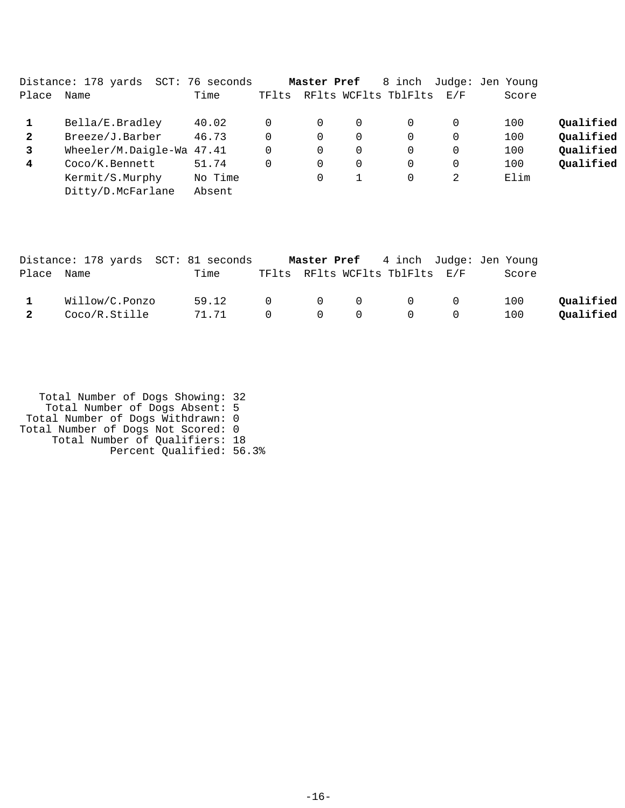|              | Distance: 178 yards       | SCT: 76 seconds |       | Master Pref |   | 8 inch               |          | Judge: Jen Young |           |
|--------------|---------------------------|-----------------|-------|-------------|---|----------------------|----------|------------------|-----------|
| Place        | Name                      | Time            | TFlts |             |   | RFlts WCFlts TblFlts | F. / F   | Score            |           |
|              | Bella/E.Bradley           | 40.02           |       | 0           | 0 |                      | $\Omega$ | 100              | Qualified |
| $\mathbf{2}$ | Breeze/J.Barber           | 46.73           |       | 0           | 0 |                      | $\Omega$ | 100              | Qualified |
| 3            | Wheeler/M.Daigle-Wa 47.41 |                 |       | 0           | 0 |                      | $\Omega$ | 100              | Qualified |
| 4            | Coco/K.Bennett            | 51.74           |       | 0           | 0 |                      | $\Omega$ | 100              | Qualified |
|              | Kermit/S.Murphy           | No Time         |       | $\Omega$    |   |                      | 2        | Elim             |           |
|              | Ditty/D.McFarlane         | Absent          |       |             |   |                      |          |                  |           |

|                         | Distance: 178 yards SCT: 81 seconds |       |  |                                                                 | Master Pref 4 inch Judge: Jen Young |           |
|-------------------------|-------------------------------------|-------|--|-----------------------------------------------------------------|-------------------------------------|-----------|
| Place Name              |                                     | Time  |  | TFlts RFlts WCFlts TblFlts E/F                                  | Score                               |           |
| $\mathbf{1}$            | Willow/C.Ponzo                      | 59.12 |  | $0\qquad \qquad 0\qquad \qquad 0\qquad \qquad 0\qquad \qquad 0$ | 100                                 | Qualified |
| $\overline{\mathbf{2}}$ | Coco/R.Stille                       | 71.71 |  | $0\qquad \qquad 0\qquad \qquad 0\qquad \qquad 0\qquad \qquad 0$ | 100                                 | Qualified |

| Total Number of Dogs Showing: 32   |  |
|------------------------------------|--|
| Total Number of Dogs Absent: 5     |  |
| Total Number of Dogs Withdrawn: 0  |  |
| Total Number of Dogs Not Scored: 0 |  |
| Total Number of Qualifiers: 18     |  |
| Percent Qualified: 56.3%           |  |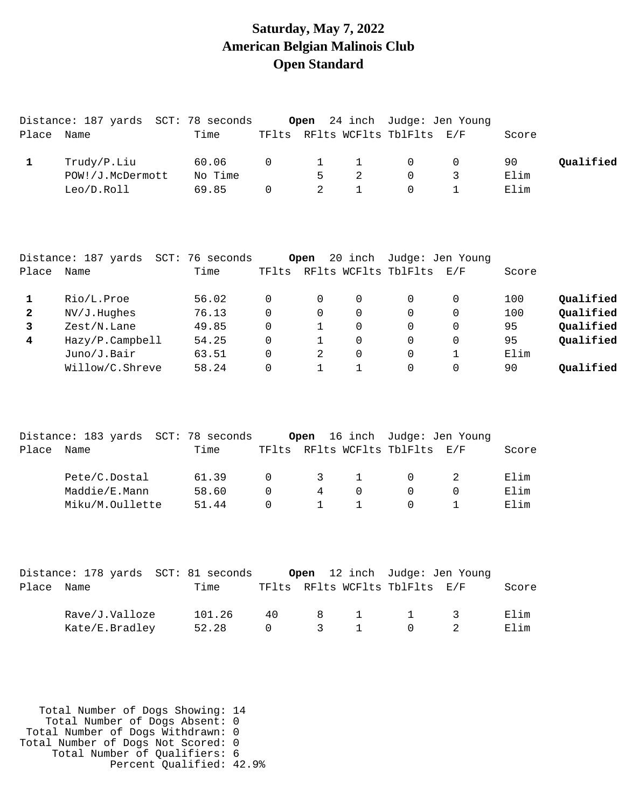#### **Saturday, May 7, 2022 American Belgian Malinois Club Open Standard**

|                         | Distance: 187 yards SCT: 78 seconds |         |          | Open           |                |                                | 24 inch Judge: Jen Young      |       |           |
|-------------------------|-------------------------------------|---------|----------|----------------|----------------|--------------------------------|-------------------------------|-------|-----------|
| Place Name              |                                     | Time    |          |                |                | TFlts RFlts WCFlts TblFlts E/F |                               | Score |           |
| $\mathbf{1}$            | Trudy/P.Liu                         | 60.06   | 0        | $\mathbf 1$    | $\mathbf{1}$   | $\mathsf{O}$                   | $\mathsf{O}$                  | 90    | Qualified |
|                         | POW!/J.McDermott                    | No Time |          | 5              | $\overline{2}$ | $\mathbf 0$                    | 3                             | Elim  |           |
|                         | Leo/D.Roll                          | 69.85   | $\Omega$ | $\overline{2}$ | $\mathbf{1}$   | $\Omega$                       | $\mathbf{1}$                  | Elim  |           |
|                         | Distance: 187 yards SCT: 76 seconds |         |          | Open           |                |                                | 20 inch Judge: Jen Young      |       |           |
| Place Name              |                                     | Time    |          |                |                | TFlts RFlts WCFlts TblFlts E/F |                               | Score |           |
| 1                       | Rio/L.Proe                          | 56.02   | 0        | 0              | 0              | $\mathbf 0$                    | 0                             | 100   | Qualified |
| $\mathbf{2}$            | NV/J.Hughes                         | 76.13   | 0        | 0              | $\mathbf 0$    | $\mathbf 0$                    | 0                             | 100   | Qualified |
| $\overline{\mathbf{3}}$ | Zest/N.Lane                         | 49.85   | $\Omega$ | $\mathbf 1$    | $\Omega$       | $\mathbf 0$                    | 0                             | 95    | Qualified |
| $\overline{\mathbf{4}}$ | Hazy/P.Campbell                     | 54.25   | $\Omega$ | $\mathbf{1}$   | $\Omega$       | $\Omega$                       | 0                             | 95    | Qualified |
|                         | Juno/J.Bair                         | 63.51   | $\Omega$ | 2              | $\Omega$       | $\Omega$                       | 1                             | Elim  |           |
|                         | Willow/C.Shreve                     | 58.24   | 0        | $\mathbf{1}$   | $\mathbf{1}$   | $\Omega$                       | $\Omega$                      | 90    | Qualified |
|                         | Distance: 183 yards SCT: 78 seconds |         |          |                |                |                                | Open 16 inch Judge: Jen Young |       |           |
| Place Name              |                                     | Time    |          |                |                | TFlts RFlts WCFlts TblFlts E/F |                               | Score |           |
|                         | Pete/C.Dostal                       | 61.39   | 0        | 3              | $\mathbf{1}$   | 0                              | $\overline{a}$                | Elim  |           |
|                         | Maddie/E.Mann                       | 58.60   | 0        | $\overline{4}$ | 0              | 0                              | $\mathsf 0$                   | Elim  |           |
|                         | Miku/M.Oullette                     | 51.44   | $\Omega$ | $\mathbf{1}$   | $\mathbf{1}$   | $\Omega$                       | $\mathbf{1}$                  | Elim  |           |
|                         | Distance: 178 yards SCT: 81 seconds |         |          | Open           |                |                                | 12 inch Judge: Jen Young      |       |           |
| Place                   | Name                                | Time    |          |                |                | TFlts RFlts WCFlts TblFlts E/F |                               | Score |           |
|                         | Rave/J.Valloze                      | 101.26  | 40       | 8              | $\mathbf{1}$   | $\mathbf{1}$                   | 3                             | Elim  |           |

Kate/E.Bradley 52.28 0 3 1 0 2 Elim

 Total Number of Dogs Showing: 14 Total Number of Dogs Absent: 0 Total Number of Dogs Withdrawn: 0 Total Number of Dogs Not Scored: 0 Total Number of Qualifiers: 6 Percent Qualified: 42.9%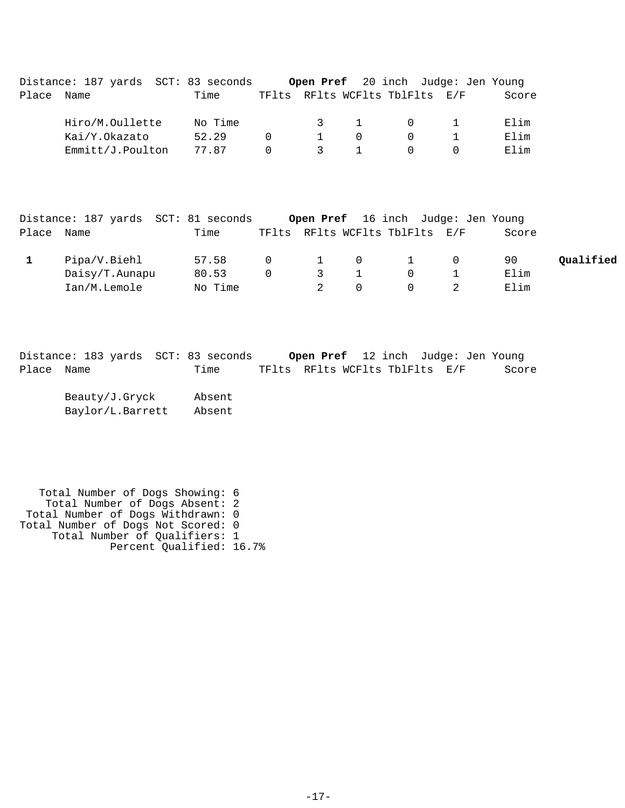|       | Distance: 187 yards SCT: 83 seconds |         |          |               |            | Open Pref 20 inch Judge: Jen Young |       |  |
|-------|-------------------------------------|---------|----------|---------------|------------|------------------------------------|-------|--|
| Place | Name                                | Time    |          |               |            | TFlts RFlts WCFlts TblFlts E/F     | Score |  |
|       |                                     |         |          |               |            |                                    |       |  |
|       | Hiro/M.Oullette                     | No Time |          |               | $\sim$ 3 1 | $\cup$                             | Elim  |  |
|       | Kai/Y.Okazato                       | 52.29   | $\Omega$ |               | $\cap$     |                                    | Elim  |  |
|       | Emmitt/J.Poulton                    | 77.87   | $\Omega$ | $\mathcal{S}$ |            |                                    | Elim  |  |
|       |                                     |         |          |               |            |                                    |       |  |

|            | Distance: 187 yards SCT: 81 seconds |         |        |               | Open Pref 16 inch Judge: Jen Young |                |       |           |
|------------|-------------------------------------|---------|--------|---------------|------------------------------------|----------------|-------|-----------|
| Place Name |                                     | Time    |        |               | TFlts RFlts WCFlts TblFlts E/F     |                | Score |           |
|            | Pipa/V.Biehl                        | 57.58   |        |               | $0 \qquad 1 \qquad 0 \qquad 1$     | $\overline{0}$ | 90    | Oualified |
|            | Daisy/T.Aunapu                      | 80.53   | $\cap$ | $\mathcal{R}$ |                                    |                | Elim  |           |
|            | Ian/M.Lemole                        | No Time |        |               |                                    |                | Elim  |           |

|            | Distance: 183 yards SCT: 83 seconds | Open Pref 12 inch Judge: Jen Young |  |       |
|------------|-------------------------------------|------------------------------------|--|-------|
| Place Name | Time                                | TFlts RFlts WCFlts TblFlts E/F     |  | Score |

| Beauty/J.Gryck   | Absent |
|------------------|--------|
| Baylor/L.Barrett | Absent |

 Total Number of Dogs Showing: 6 Total Number of Dogs Absent: 2 Total Number of Dogs Withdrawn: 0 Total Number of Dogs Not Scored: 0 Total Number of Qualifiers: 1 Percent Qualified: 16.7%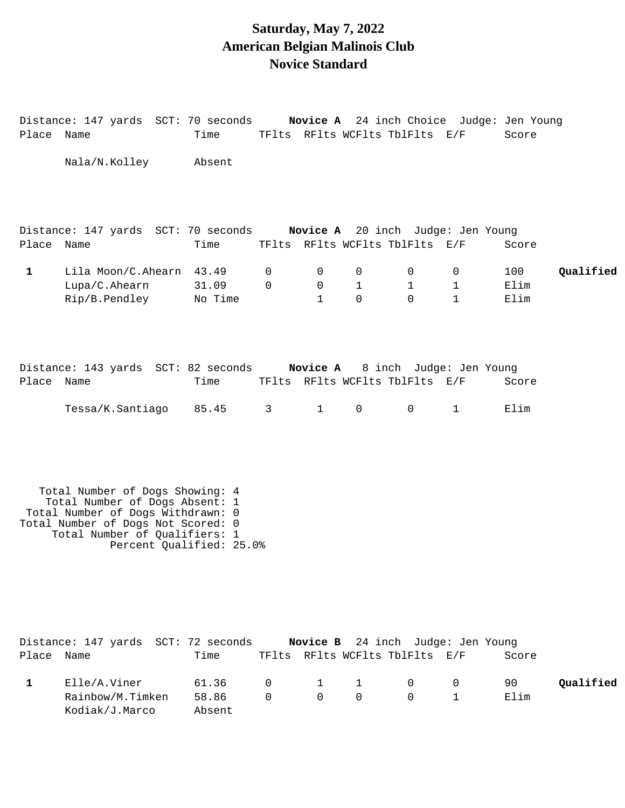#### **Saturday, May 7, 2022 American Belgian Malinois Club Novice Standard**

Distance: 147 yards SCT: 70 seconds **Novice A** 24 inch Choice Judge: Jen Young

| Place        | Name                                                                                                                                                                                                      | Time    | TFlts          |              |              | RFlts WCFlts TblFlts                                                | E/F          | Score |           |
|--------------|-----------------------------------------------------------------------------------------------------------------------------------------------------------------------------------------------------------|---------|----------------|--------------|--------------|---------------------------------------------------------------------|--------------|-------|-----------|
|              | Nala/N.Kolley                                                                                                                                                                                             | Absent  |                |              |              |                                                                     |              |       |           |
|              |                                                                                                                                                                                                           |         |                |              |              |                                                                     |              |       |           |
| Place Name   | Distance: 147 yards SCT: 70 seconds                                                                                                                                                                       | Time    |                |              |              | Novice A 20 inch Judge: Jen Young<br>TFlts RFlts WCFlts TblFlts E/F |              | Score |           |
| $\mathbf{1}$ | Lila Moon/C.Ahearn 43.49                                                                                                                                                                                  |         | 0              | 0            | 0            | 0                                                                   | 0            | 100   | Qualified |
|              | Lupa/C.Ahearn                                                                                                                                                                                             | 31.09   | $\mathbf 0$    | $\mathbf 0$  | $\mathbf{1}$ | $\mathbf{1}$                                                        | $\mathbf{1}$ | Elim  |           |
|              | Rip/B.Pendley                                                                                                                                                                                             | No Time |                | $\mathbf{1}$ | $\Omega$     | $\Omega$                                                            | $\mathbf{1}$ | Elim  |           |
|              |                                                                                                                                                                                                           |         |                |              |              |                                                                     |              |       |           |
|              | Distance: 143 yards SCT: 82 seconds Novice A 8 inch Judge: Jen Young                                                                                                                                      |         |                |              |              |                                                                     |              |       |           |
| Place Name   |                                                                                                                                                                                                           | Time    |                |              |              | TFlts RFlts WCFlts TblFlts E/F                                      |              | Score |           |
|              | Tessa/K.Santiago                                                                                                                                                                                          | 85.45   | 3 <sup>7</sup> | $\mathbf{1}$ | $\mathsf{O}$ | $\mathbf 0$                                                         | $\mathbf{1}$ | Elim  |           |
|              | Total Number of Dogs Showing: 4<br>Total Number of Dogs Absent: 1<br>Total Number of Dogs Withdrawn: 0<br>Total Number of Dogs Not Scored: 0<br>Total Number of Qualifiers: 1<br>Percent Qualified: 25.0% |         |                |              |              |                                                                     |              |       |           |
| Place Name   | Distance: 147 yards SCT: 72 seconds                                                                                                                                                                       | Time    |                | Novice B     |              | 24 inch Judge: Jen Young<br>TFlts RFlts WCFlts TblFlts E/F          |              | Score |           |
| $\mathbf 1$  | Elle/A.Viner                                                                                                                                                                                              | 61.36   | 0              | 1            | 1            | 0                                                                   | 0            | 90    | Qualified |
|              | Rainbow/M.Timken                                                                                                                                                                                          | 58.86   | $\Omega$       | $\Omega$     | $\Omega$     | 0                                                                   | $\mathbf{1}$ | Elim  |           |
|              | Kodiak/J.Marco                                                                                                                                                                                            | Absent  |                |              |              |                                                                     |              |       |           |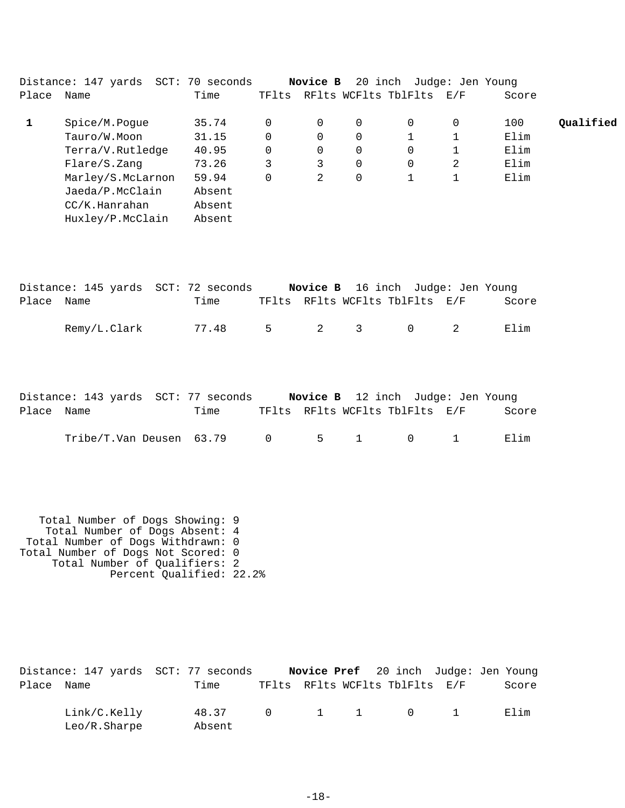|       | Distance: 147 yards SCT: | 70 seconds |          | Novice B |             | 20 inch Judge: Jen Young |                             |       |           |
|-------|--------------------------|------------|----------|----------|-------------|--------------------------|-----------------------------|-------|-----------|
| Place | Name                     | Time       | TFlts    |          |             | RFlts WCFlts TblFlts     | $\mathrm{E}$ / $\mathrm{F}$ | Score |           |
|       | Spice/M.Pogue            | 35.74      | $\Omega$ | 0        | $\mathbf 0$ | $\Omega$                 | 0                           | 100   | Qualified |
|       | Tauro/W.Moon             | 31.15      | 0        | 0        | 0           |                          |                             | Elim  |           |
|       | Terra/V.Rutledge         | 40.95      | 0        | 0        | $\mathbf 0$ | 0                        |                             | Elim  |           |
|       | Flare/S.Zang             | 73.26      | 3        | 3        | 0           | 0                        | 2                           | Elim  |           |
|       | Marley/S.McLarnon        | 59.94      | $\Omega$ | 2        | 0           |                          |                             | Elim  |           |
|       | Jaeda/P.McClain          | Absent     |          |          |             |                          |                             |       |           |
|       | CC/K.Hanraham            | Absent     |          |          |             |                          |                             |       |           |
|       | Huxley/P.McClain         | Absent     |          |          |             |                          |                             |       |           |
|       |                          |            |          |          |             |                          |                             |       |           |

|            | Distance: 145 yards SCT: 72 seconds |       |                |  | <b>Novice B</b> 16 inch Judge: Jen Young |       |
|------------|-------------------------------------|-------|----------------|--|------------------------------------------|-------|
| Place Name |                                     | Time  |                |  | TFlts RFlts WCFlts TblFlts E/F           | Score |
|            | Remy/L.Clark                        | 77.48 | 5 <sup>1</sup> |  | 2 3 0                                    | Elim  |

|            | Distance: 143 yards SCT: 77 seconds                                    |      |  | <b>Novice B</b> 12 inch Judge: Jen Young |       |
|------------|------------------------------------------------------------------------|------|--|------------------------------------------|-------|
| Place Name |                                                                        | Time |  | TFlts RFlts WCFlts TblFlts E/F           | Score |
|            | Tribe/T.Van Deusen 63.79        0         5      1          0        1 |      |  |                                          | Elim  |

 Total Number of Dogs Showing: 9 Total Number of Dogs Absent: 4 Total Number of Dogs Withdrawn: 0 Total Number of Dogs Not Scored: 0 Total Number of Qualifiers: 2 Percent Qualified: 22.2%

|            |                              | Distance: 147 yards SCT: 77 seconds |  | <b>Novice Pref</b> 20 inch Judge: Jen Young |  |       |
|------------|------------------------------|-------------------------------------|--|---------------------------------------------|--|-------|
| Place Name |                              | Time                                |  | TFlts RFlts WCFlts TblFlts E/F              |  | Score |
|            | Link/C.Kelly<br>Leo/R.Sharpe | 48.37 0 1 1 0 1<br>Absent           |  |                                             |  | Filim |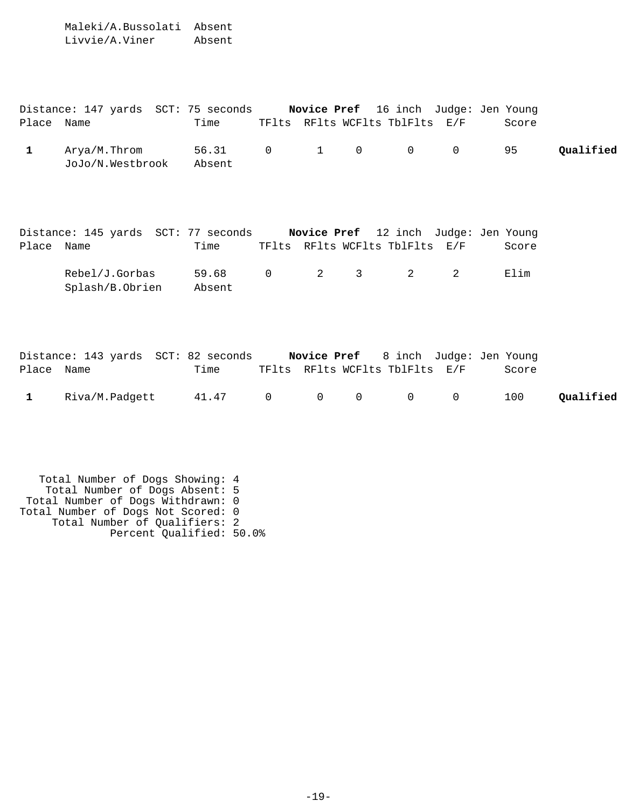Maleki/A.Bussolati Absent Livvie/A.Viner Absent

|            | Distance: 147 yards SCT: 75 seconds |                           |  | <b>Novice Pref</b> 16 inch Judge: Jen Young |  |       |           |
|------------|-------------------------------------|---------------------------|--|---------------------------------------------|--|-------|-----------|
| Place Name |                                     | Time                      |  | TFlts RFlts WCFlts TblFlts E/F              |  | Score |           |
|            | Arya/M.Throm<br>JoJo/N.Westbrook    | 56.31 0 1 0 0 0<br>Absent |  |                                             |  | 95    | Oualified |

|            | Distance: 145 yards SCT: 77 seconds |                           |  | <b>Novice Pref</b> 12 inch Judge: Jen Young |  |       |
|------------|-------------------------------------|---------------------------|--|---------------------------------------------|--|-------|
| Place Name |                                     | Time                      |  | TFlts RFlts WCFlts TblFlts E/F              |  | Score |
|            | Rebel/J.Gorbas<br>Splash/B.Obrien   | 59.68 0 2 3 2 2<br>Absent |  |                                             |  | Elim  |

|            |                  | Distance: 143 yards SCT: 82 seconds |  |                                | <b>Novice Pref</b> 8 inch Judge: Jen Young |           |
|------------|------------------|-------------------------------------|--|--------------------------------|--------------------------------------------|-----------|
| Place Name |                  | Time                                |  | TFlts RFlts WCFlts TblFlts E/F | Score                                      |           |
|            | 1 Riva/M.Padgett | 41.47 0 0 0 0 0                     |  |                                | 100                                        | Qualified |

 Total Number of Dogs Showing: 4 Total Number of Dogs Absent: 5 Total Number of Dogs Withdrawn: 0 Total Number of Dogs Not Scored: 0 Total Number of Qualifiers: 2 Percent Qualified: 50.0%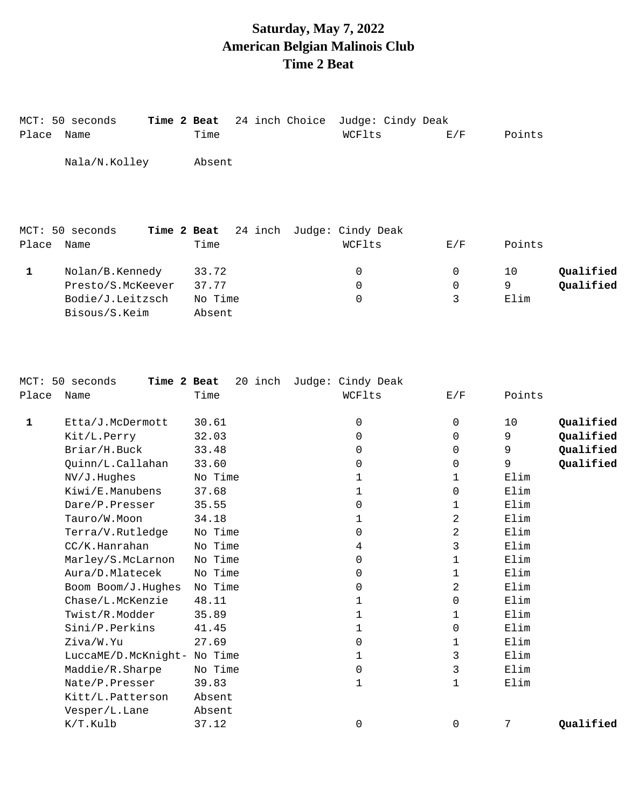## **Saturday, May 7, 2022 American Belgian Malinois Club Time 2 Beat**

| Place | MCT: 50 seconds<br>Name | Time 2 Beat<br>Time |         | 24 inch Choice | Judge: Cindy Deak<br>WCFlts | E/F         | Points |           |
|-------|-------------------------|---------------------|---------|----------------|-----------------------------|-------------|--------|-----------|
|       | Nala/N.Kolley           | Absent              |         |                |                             |             |        |           |
|       |                         |                     |         |                |                             |             |        |           |
|       | MCT: 50 seconds         | Time 2 Beat         | 24 inch |                | Judge: Cindy Deak           |             |        |           |
| Place | Name                    | Time                |         |                | WCFlts                      | E/F         | Points |           |
| 1     | Nolan/B.Kennedy         | 33.72               |         |                | 0                           | 0           | 10     | Qualified |
|       | Presto/S.McKeever       | 37.77               |         |                | $\mathbf 0$                 | $\mathbf 0$ | 9      | Qualified |
|       | Bodie/J.Leitzsch        | No Time             |         |                | 0                           | 3           | Elim   |           |
|       | Bisous/S.Keim           | Absent              |         |                |                             |             |        |           |

|       | MCT: 50 seconds<br>Time 2 Beat | 20 inch | Judge: Cindy Deak |              |                 |  |
|-------|--------------------------------|---------|-------------------|--------------|-----------------|--|
| Place | Name                           | Time    | WCFlts            | E/F          | Points          |  |
|       |                                |         |                   |              |                 |  |
| 1     | Etta/J.McDermott               | 30.61   | 0                 | $\mathbf 0$  | Qualified<br>10 |  |
|       | Kit/L.Perry                    | 32.03   | 0                 | $\mathbf 0$  | Qualified<br>9  |  |
|       | Briar/H.Buck                   | 33.48   | 0                 | 0            | 9<br>Qualified  |  |
|       | Quinn/L.Callahan               | 33.60   | 0                 | 0            | Qualified<br>9  |  |
|       | NV/J.Hughes                    | No Time | 1                 | 1            | Elim            |  |
|       | Kiwi/E.Manubens                | 37.68   | 1                 | $\mathbf 0$  | Elim            |  |
|       | Dare/P.Presser                 | 35.55   | 0                 | 1            | Elim            |  |
|       | Tauro/W.Moon                   | 34.18   | 1                 | 2            | Elim            |  |
|       | Terra/V.Rutledge               | No Time | 0                 | 2            | Elim            |  |
|       | CC/K.Hanraham                  | No Time | 4                 | 3            | Elim            |  |
|       | Marley/S.McLarnon              | No Time | 0                 | $\mathbf 1$  | Elim            |  |
|       | Aura/D.Mlatecek                | No Time | 0                 | 1            | Elim            |  |
|       | Boom Boom/J.Hughes             | No Time | 0                 | 2            | Elim            |  |
|       | Chase/L.McKenzie               | 48.11   | 1                 | $\mathbf 0$  | Elim            |  |
|       | Twist/R.Modder                 | 35.89   | $\mathbf{1}$      | $\mathbf{1}$ | Elim            |  |
|       | Sini/P.Perkins                 | 41.45   | 1                 | 0            | Elim            |  |
|       | Ziva/W.Yu                      | 27.69   | 0                 | 1            | Elim            |  |
|       | LuccaME/D.McKnight-            | No Time | 1                 | 3            | Elim            |  |
|       | Maddie/R.Sharpe                | No Time | 0                 | 3            | Elim            |  |
|       | Nate/P.Presser                 | 39.83   | 1                 | 1            | Elim            |  |
|       | Kitt/L.Patterson               | Absent  |                   |              |                 |  |
|       | Vesper/L.Lane                  | Absent  |                   |              |                 |  |
|       | K/T.Kulb                       | 37.12   | 0                 | $\Omega$     | Qualified<br>7  |  |
|       |                                |         |                   |              |                 |  |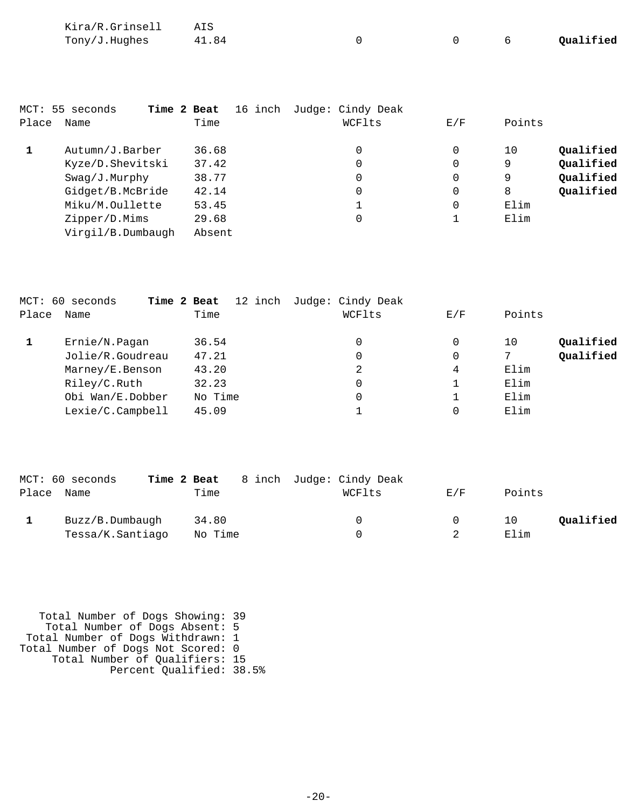| Kira/R.Grinsell |       |  |           |
|-----------------|-------|--|-----------|
| Tony/J.Hughes   | 41.84 |  | Qualified |

|       | MCT: 55 seconds<br>Time 2 Beat | 16 inch | Judge: Cindy Deak |     |                 |
|-------|--------------------------------|---------|-------------------|-----|-----------------|
| Place | Name                           | Time    | WCFlts            | E/F | Points          |
|       | Autumn/J.Barber                | 36.68   | 0                 | 0   | Qualified<br>10 |
|       | Kyze/D.Shevitski               | 37.42   | 0                 | 0   | Qualified<br>9  |
|       | Swag/J.Murphy                  | 38.77   | 0                 |     | Qualified<br>9  |
|       | Gidget/B.McBride               | 42.14   | $\mathbf 0$       | 0   | Qualified<br>8  |
|       | Miku/M.Oullette                | 53.45   |                   | 0   | Elim            |
|       | Zipper/D.Mims                  | 29.68   | 0                 |     | Elim            |
|       | Virgil/B.Dumbaugh              | Absent  |                   |     |                 |

|       | MCT: 60 seconds  | Time 2 Beat | 12 inch Judge: Cindy Deak |     |        |           |
|-------|------------------|-------------|---------------------------|-----|--------|-----------|
| Place | Name             | Time        | WCFlts                    | E/F | Points |           |
|       | Ernie/N.Pagan    | 36.54       | 0                         | 0   | 10     | Oualified |
|       | Jolie/R.Goudreau | 47.21       | 0                         | 0   | 7      | Qualified |
|       | Marney/E.Benson  | 43.20       | 2                         | 4   | Elim   |           |
|       | Riley/C.Ruth     | 32.23       | 0                         |     | Elim   |           |
|       | Obi Wan/E.Dobber | No Time     | 0                         |     | Elim   |           |
|       | Lexie/C.Campbell | 45.09       |                           | 0   | Elim   |           |

|       | MCT: 60 seconds  | Time 2 Beat | 8 inch Judge: Cindy Deak |     |                 |
|-------|------------------|-------------|--------------------------|-----|-----------------|
| Place | Name             | Time        | WCFlts                   | E/F | Points          |
|       | Buzz/B.Dumbaugh  | 34.80       | $\Omega$                 | 0   | Qualified<br>10 |
|       | Tessa/K.Santiago | No Time     | U.                       |     | Elim            |

 Total Number of Dogs Showing: 39 Total Number of Dogs Absent: 5 Total Number of Dogs Withdrawn: 1 Total Number of Dogs Not Scored: 0 Total Number of Qualifiers: 15 Percent Qualified: 38.5%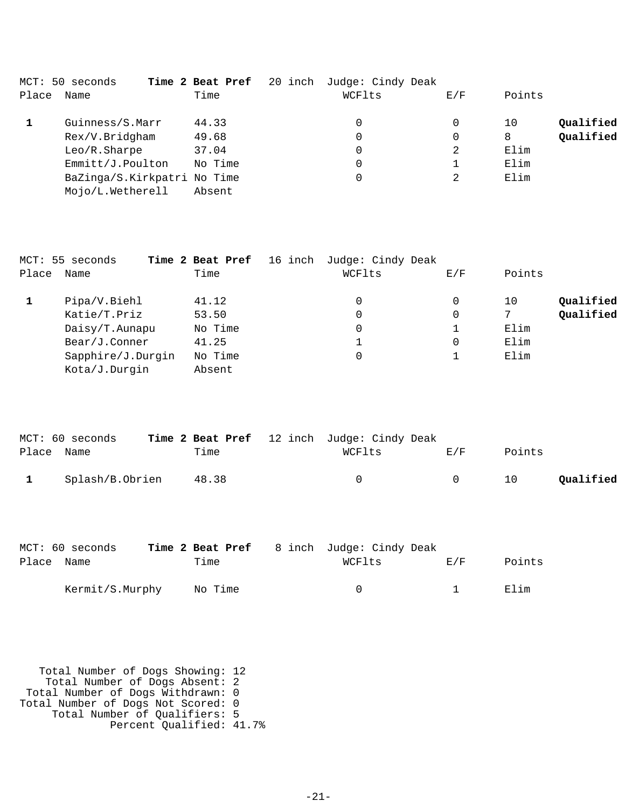|       | MCT: 50 seconds             | Time 2 Beat Pref | 20 inch Judge: Cindy Deak |     |                 |  |
|-------|-----------------------------|------------------|---------------------------|-----|-----------------|--|
| Place | Name                        | Time             | WCFlts                    | E/F | Points          |  |
|       | Guinness/S.Marr             | 44.33            | 0                         | 0   | Qualified<br>10 |  |
|       | Rex/V.Bridgham              | 49.68            | 0                         | 0   | Qualified<br>8  |  |
|       | Leo/R.Sharpe                | 37.04            | 0                         | 2   | Elim            |  |
|       | Emmitt/J.Poulton            | No Time          | 0                         |     | Elim            |  |
|       | BaZinga/S.Kirkpatri No Time |                  | 0                         | 2   | Elim            |  |
|       | Mojo/L.Wetherell            | Absent           |                           |     |                 |  |

|       | MCT: 55 seconds   | Time 2 Beat Pref 16 inch | Judge: Cindy Deak |     |        |           |
|-------|-------------------|--------------------------|-------------------|-----|--------|-----------|
| Place | Name              | Time                     | WCFlts            | E/F | Points |           |
|       | Pipa/V.Biehl      | 41.12                    | 0                 |     | 10     | Qualified |
|       | Katie/T.Priz      | 53.50                    | 0                 | 0   |        | Qualified |
|       | Daisy/T.Aunapu    | No Time                  | 0                 |     | Elim   |           |
|       | Bear/J.Conner     | 41.25                    |                   |     | Elim   |           |
|       | Sapphire/J.Durgin | No Time                  | 0                 |     | Elim   |           |
|       | Kota/J.Durgin     | Absent                   |                   |     |        |           |

|              | MCT: 60 seconds |       | Time 2 Beat Pref 12 inch Judge: Cindy Deak |     |        |           |
|--------------|-----------------|-------|--------------------------------------------|-----|--------|-----------|
| Place Name   |                 | Time  | WCFlts                                     | E/F | Points |           |
| $\mathbf{1}$ | Splash/B.Obrien | 48.38 |                                            | - 0 | 10     | Qualified |

|            | MCT: 60 seconds |         | Time 2 Beat Pref 8 inch Judge: Cindy Deak |              |        |
|------------|-----------------|---------|-------------------------------------------|--------------|--------|
| Place Name |                 | Time    | WCFlts                                    | <b>E</b> ./F | Points |
|            | Kermit/S.Murphy | No Time | $\cap$                                    |              | Elim   |

 Total Number of Dogs Showing: 12 Total Number of Dogs Absent: 2 Total Number of Dogs Withdrawn: 0 Total Number of Dogs Not Scored: 0 Total Number of Qualifiers: 5 Percent Qualified: 41.7%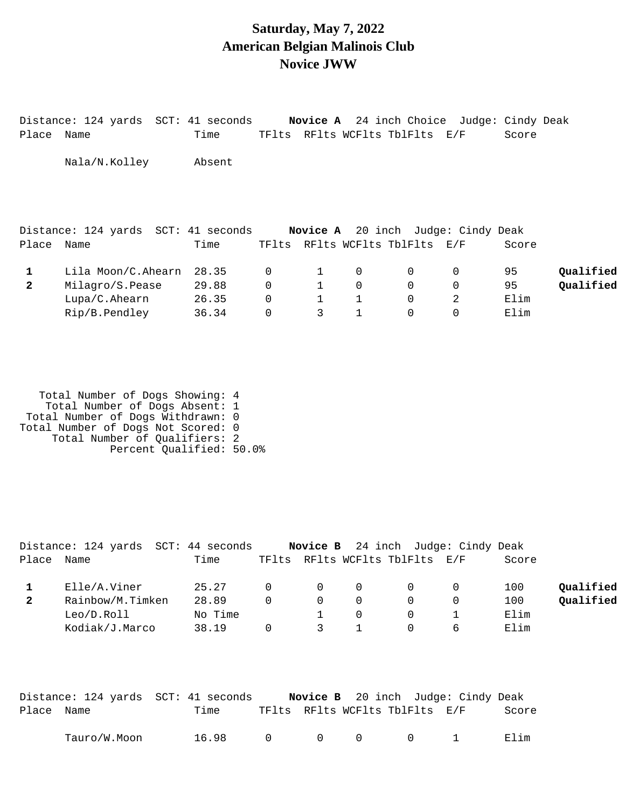### **Saturday, May 7, 2022 American Belgian Malinois Club Novice JWW**

|              |                    | Distance: 124 yards SCT: 41 seconds |             |   |             |                                | <b>Novice A</b> 24 inch Choice Judge: Cindy Deak |       |           |
|--------------|--------------------|-------------------------------------|-------------|---|-------------|--------------------------------|--------------------------------------------------|-------|-----------|
| Place        | Name               | Time                                |             |   |             | TFlts RFlts WCFlts TblFlts E/F |                                                  | Score |           |
|              | Nala/N.Kolley      | Absent                              |             |   |             |                                |                                                  |       |           |
|              |                    | Distance: 124 yards SCT: 41 seconds |             |   |             |                                | <b>Novice A</b> 20 inch Judge: Cindy Deak        |       |           |
| Place        | Name               | Time                                |             |   |             | TFlts RFlts WCFlts TblFlts E/F |                                                  | Score |           |
| 1            | Lila Moon/C.Ahearn | 28.35                               | $\mathbf 0$ |   | 0           | 0                              | 0                                                | 95    | Qualified |
| $\mathbf{2}$ | Milagro/S.Pease    | 29.88                               | $\mathbf 0$ |   | $\Omega$    | $\Omega$                       | $\Omega$                                         | 95    | Oualified |
|              | Lupa/C.Ahearn      | 26.35                               | $\mathbf 0$ |   | $\mathbf 1$ | 0                              | 2                                                | Elim  |           |
|              | Rip/B.Pendley      | 36.34                               | $\mathbf 0$ | 3 | 1           | $\Omega$                       | $\Omega$                                         | Elim  |           |

| Total Number of Dogs Showing: 4    |  |
|------------------------------------|--|
| Total Number of Dogs Absent: 1     |  |
| Total Number of Dogs Withdrawn: 0  |  |
| Total Number of Dogs Not Scored: 0 |  |
| Total Number of Oualifiers: 2      |  |
| Percent Qualified: 50.0%           |  |

|              | Distance: 124 yards SCT: 44 seconds |         |          |               |     | Novice B 24 inch Judge: Cindy Deak |              |       |           |
|--------------|-------------------------------------|---------|----------|---------------|-----|------------------------------------|--------------|-------|-----------|
| Place        | Name                                | Time    |          |               |     | TFlts RFlts WCFlts TblFlts E/F     |              | Score |           |
|              | Elle/A.Viner                        | 25.27   | $\Omega$ | $\Omega$      | - 0 | $\Omega$                           |              | 100   | Oualified |
| $\mathbf{2}$ | Rainbow/M.Timken                    | 28.89   | $\Omega$ | $\Omega$      | - 0 | $\Omega$                           |              | 100   | Oualified |
|              | Leo/D.Rol1                          | No Time |          |               |     | $\Omega$                           |              | Elim  |           |
|              | Kodiak/J.Marco                      | 38.19   |          | $\mathcal{S}$ |     | $\Omega$                           | <sub>6</sub> | Elim  |           |

|            | Distance: 124 yards SCT: 41 seconds |       |        |  |                                | <b>Novice B</b> 20 inch Judge: Cindy Deak |       |
|------------|-------------------------------------|-------|--------|--|--------------------------------|-------------------------------------------|-------|
| Place Name |                                     | Time  |        |  | TFlts RFlts WCFlts TblFlts E/F |                                           | Score |
|            | Tauro/W.Moon                        | 16.98 | $\cap$ |  | $0 \qquad 0 \qquad 0 \qquad 1$ |                                           | Elim  |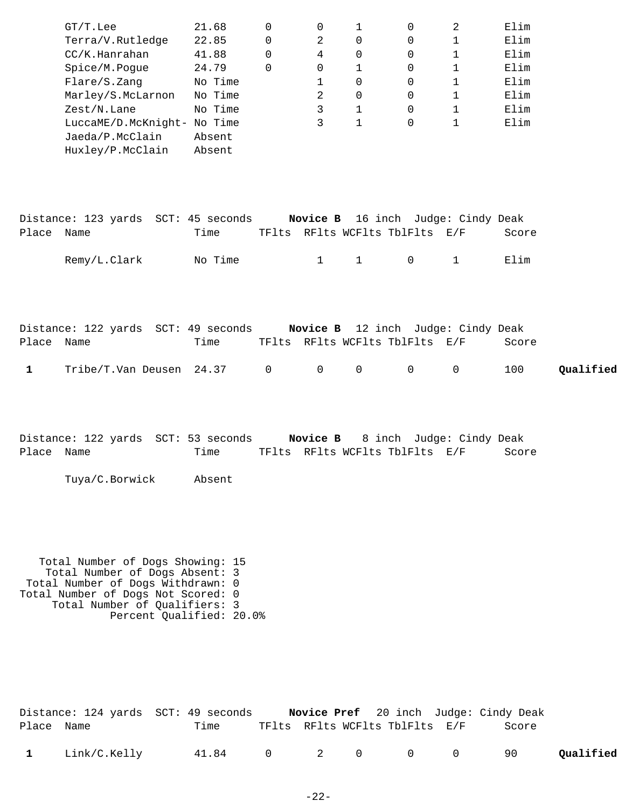|              | $GT/T$ . Lee                                                                  | 21.68   | 0           | 0              | 1                              | 0            | 2                        | Elim  |           |
|--------------|-------------------------------------------------------------------------------|---------|-------------|----------------|--------------------------------|--------------|--------------------------|-------|-----------|
|              | Terra/V.Rutledge                                                              | 22.85   | 0           | 2              | $\Omega$                       | 0            | 1                        | Elim  |           |
|              | CC/K.Hanrahan                                                                 | 41.88   | 0           | $\overline{4}$ | $\mathbf 0$                    | 0            | 1                        | Elim  |           |
|              | Spice/M.Pogue                                                                 | 24.79   | 0           | 0              | $\mathbf{1}$                   | 0            | $\mathbf 1$              | Elim  |           |
|              | Flare/S.Zang                                                                  | No Time |             | 1              | $\Omega$                       | 0            | $\mathbf 1$              | Elim  |           |
|              | Marley/S.McLarnon No Time                                                     |         |             | 2              | 0                              | 0            | 1                        | Elim  |           |
|              | Zest/N.Lane                                                                   | No Time |             | 3              | $\mathbf{1}$                   | 0            | $\mathbf 1$              | Elim  |           |
|              | LuccaME/D.McKnight- No Time                                                   |         |             | 3              | $\mathbf{1}$                   | 0            | $\mathbf{1}$             | Elim  |           |
|              | Jaeda/P.McClain                                                               | Absent  |             |                |                                |              |                          |       |           |
|              | Huxley/P.McClain                                                              | Absent  |             |                |                                |              |                          |       |           |
|              |                                                                               |         |             |                |                                |              |                          |       |           |
|              |                                                                               |         |             |                |                                |              |                          |       |           |
|              |                                                                               |         |             |                |                                |              |                          |       |           |
|              | Distance: 123 yards SCT: 45 seconds <b>Novice B</b> 16 inch Judge: Cindy Deak |         |             |                |                                |              |                          |       |           |
| Place Name   |                                                                               | Time    |             |                | TFlts RFlts WCFlts TblFlts E/F |              |                          | Score |           |
|              | Remy/L.Clark                                                                  | No Time |             | $\mathbf{1}$   | $\mathbf{1}$                   | $\mathsf{O}$ | $\mathbf 1$              | Elim  |           |
|              |                                                                               |         |             |                |                                |              |                          |       |           |
|              |                                                                               |         |             |                |                                |              |                          |       |           |
|              |                                                                               |         |             |                |                                |              |                          |       |           |
|              |                                                                               |         |             |                |                                |              |                          |       |           |
|              | Distance: 122 yards SCT: 49 seconds <b>Novice B</b> 12 inch Judge: Cindy Deak |         |             |                |                                |              |                          |       |           |
| Place Name   |                                                                               | Time    |             |                | TFlts RFlts WCFlts TblFlts E/F |              |                          | Score |           |
| $\mathbf{1}$ | Tribe/T.Van Deusen 24.37                                                      |         | $\mathbf 0$ | $\mathbf 0$    | $\mathsf{O}$                   | $\mathsf{O}$ | 0                        | 100   | Qualified |
|              |                                                                               |         |             |                |                                |              |                          |       |           |
|              |                                                                               |         |             |                |                                |              |                          |       |           |
|              |                                                                               |         |             |                |                                |              |                          |       |           |
|              |                                                                               |         |             |                |                                |              |                          |       |           |
| Place Name   | Distance: 122 yards  SCT: 53 seconds                                          | Time    |             | Novice B       | TFlts RFlts WCFlts TblFlts E/F |              | 8 inch Judge: Cindy Deak | Score |           |
|              |                                                                               |         |             |                |                                |              |                          |       |           |
|              | Tuya/C.Borwick                                                                | Absent  |             |                |                                |              |                          |       |           |
|              |                                                                               |         |             |                |                                |              |                          |       |           |
|              |                                                                               |         |             |                |                                |              |                          |       |           |
|              |                                                                               |         |             |                |                                |              |                          |       |           |
|              |                                                                               |         |             |                |                                |              |                          |       |           |
|              |                                                                               |         |             |                |                                |              |                          |       |           |
|              | Total Number of Dogs Showing: 15<br>Total Number of Dogs Absent: 3            |         |             |                |                                |              |                          |       |           |
|              | Total Number of Dogs Withdrawn: 0                                             |         |             |                |                                |              |                          |       |           |
|              | Total Number of Dogs Not Scored: 0                                            |         |             |                |                                |              |                          |       |           |
|              | Total Number of Qualifiers: 3<br>Percent Qualified: 20.0%                     |         |             |                |                                |              |                          |       |           |
|              |                                                                               |         |             |                |                                |              |                          |       |           |
|              |                                                                               |         |             |                |                                |              |                          |       |           |

|            |                | Distance: 124 yards  SCT: 49 seconds |  |                                | <b>Novice Pref</b> 20 inch Judge: Cindy Deak |           |
|------------|----------------|--------------------------------------|--|--------------------------------|----------------------------------------------|-----------|
| Place Name |                | Time                                 |  | TFlts RFlts WCFlts TblFlts E/F | Score                                        |           |
|            | 1 Link/C.Kelly | 41.84 0 2 0 0 0 90                   |  |                                |                                              | Qualified |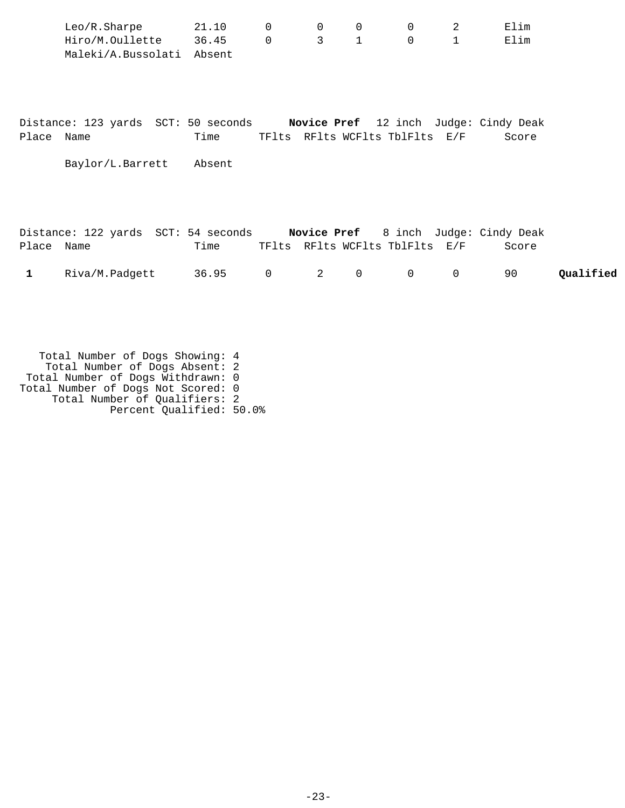|            | Leo/R.Sharpe<br>Hiro/M.Oullette 36.45<br>Maleki/A.Bussolati Absent | 21.10  | 0<br>$\mathbf 0$ | $\mathbf 0$<br>3 <sup>7</sup> | 0<br>$\mathbf{1}$ | 0<br>$\mathsf{O}$              | 2<br>$\mathbf{1}$ | Elim<br>Elim                                   |
|------------|--------------------------------------------------------------------|--------|------------------|-------------------------------|-------------------|--------------------------------|-------------------|------------------------------------------------|
| Place Name | Distance: 123 yards SCT: 50 seconds                                | Time   |                  |                               |                   | TFlts RFlts WCFlts TblFlts E/F |                   | Novice Pref 12 inch Judge: Cindy Deak<br>Score |
|            | Baylor/L.Barrett                                                   | Absent |                  |                               |                   |                                |                   |                                                |
|            |                                                                    |        |                  |                               |                   |                                |                   |                                                |

|              |                | Distance: 122 yards SCT: 54 seconds |  |                                | <b>Novice Pref</b> 8 inch Judge: Cindy Deak |           |
|--------------|----------------|-------------------------------------|--|--------------------------------|---------------------------------------------|-----------|
| Place Name   |                | Time                                |  | TFlts RFlts WCFlts TblFlts E/F | Score                                       |           |
| $\mathbf{1}$ | Riva/M.Padgett | 36.95 0 2 0 0 0                     |  |                                | 90.                                         | Qualified |

 Total Number of Dogs Showing: 4 Total Number of Dogs Absent: 2 Total Number of Dogs Withdrawn: 0 Total Number of Dogs Not Scored: 0 Total Number of Qualifiers: 2 Percent Qualified: 50.0%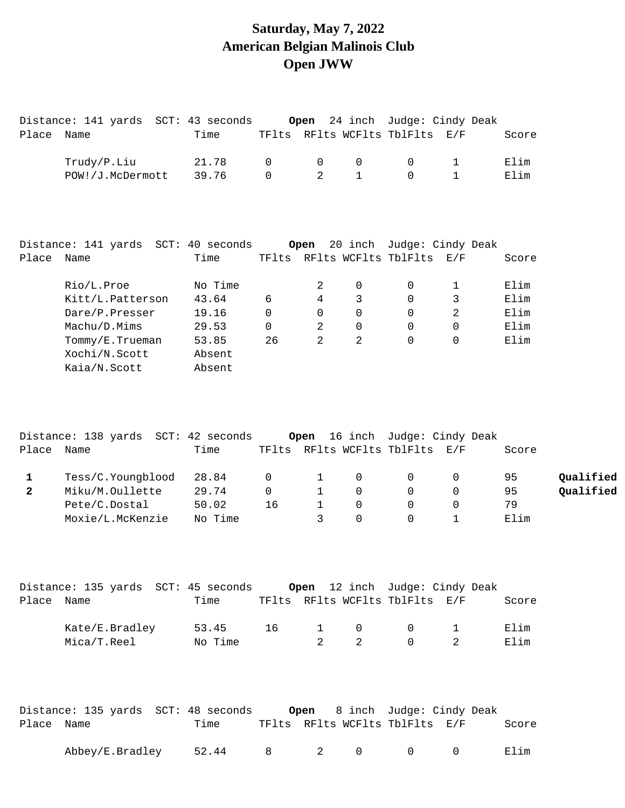### **Saturday, May 7, 2022 American Belgian Malinois Club Open JWW**

|              | Distance: 141 yards SCT: 43 seconds                                |         |              | Open           |                     |                                | 24 inch Judge: Cindy Deak                      |       |           |
|--------------|--------------------------------------------------------------------|---------|--------------|----------------|---------------------|--------------------------------|------------------------------------------------|-------|-----------|
| Place Name   |                                                                    | Time    |              |                |                     | TFlts RFlts WCFlts TblFlts E/F |                                                | Score |           |
|              | Trudy/P.Liu                                                        | 21.78   | $\mathsf{O}$ | 0              | $\mathsf{O}$        | 0                              | 1                                              | Elim  |           |
|              | POW!/J.McDermott                                                   | 39.76   | $\mathbf 0$  | $\overline{2}$ | $\mathbf{1}$        | $\Omega$                       | $\mathbf{1}$                                   | Elim  |           |
|              |                                                                    |         |              |                |                     |                                |                                                |       |           |
|              | Distance: 141 yards SCT: 40 seconds                                |         |              | Open           |                     |                                | 20 inch Judge: Cindy Deak                      |       |           |
| Place Name   |                                                                    | Time    |              |                |                     | TFlts RFlts WCFlts TblFlts E/F |                                                | Score |           |
|              | Rio/L.Proe                                                         | No Time |              | 2              | $\mathbf 0$         | 0                              | $\mathbf 1$                                    | Elim  |           |
|              | Kitt/L.Patterson                                                   | 43.64   | 6            | $\overline{4}$ | 3                   | 0                              | 3                                              | Elim  |           |
|              | Dare/P.Presser                                                     | 19.16   | $\mathsf{O}$ | 0              | $\mathsf{O}$        | $\mathbf 0$                    | $\overline{2}$                                 | Elim  |           |
|              | Machu/D.Mims                                                       | 29.53   | 0            | 2              | 0                   | 0                              | $\mathsf{O}$                                   | Elim  |           |
|              | Tommy/E.Trueman                                                    | 53.85   | 26           | $\overline{2}$ | 2                   | 0                              | 0                                              | Elim  |           |
|              | Xochi/N.Scott                                                      | Absent  |              |                |                     |                                |                                                |       |           |
|              | Kaia/N.Scott                                                       | Absent  |              |                |                     |                                |                                                |       |           |
| Place        | Distance: 138 yards SCT: 42 seconds<br>Name                        | Time    |              | Open           |                     | TFlts RFlts WCFlts TblFlts     | 16 inch Judge: Cindy Deak<br>$\rm E$ / $\rm F$ | Score |           |
| $\mathbf{1}$ | Tess/C.Youngblood                                                  | 28.84   | 0            | $\mathbf{1}$   | $\mathsf{O}\xspace$ | 0                              | 0                                              | 95    | Qualified |
| $\mathbf{2}$ | Miku/M.Oullette                                                    | 29.74   | 0            | $\mathbf{1}$   | $\mathbf 0$         | $\mathbf 0$                    | 0                                              | 95    | Qualified |
|              | Pete/C.Dostal                                                      | 50.02   | 16           | $\mathbf{1}$   | 0                   | $\mathbf 0$                    | $\mathbf 0$                                    | 79    |           |
|              | Moxie/L.McKenzie                                                   | No Time |              | 3              | $\mathbf 0$         | 0                              | 1                                              | Elim  |           |
|              | Distance: 135 yards SCT: 45 seconds Open 12 inch Judge: Cindy Deak |         |              |                |                     |                                |                                                |       |           |
| Place Name   |                                                                    | Time    |              |                |                     | TFlts RFlts WCFlts TblFlts E/F |                                                | Score |           |
|              | Kate/E.Bradley                                                     | 53.45   | 16           | $\mathbf{1}$   | 0                   | 0                              | 1                                              | Elim  |           |
|              | Mica/T.Reel                                                        | No Time |              | $\overline{2}$ | $\overline{2}$      | $\Omega$                       | $\overline{2}$                                 | Elim  |           |
|              |                                                                    |         |              |                |                     |                                |                                                |       |           |
|              |                                                                    |         |              |                |                     |                                |                                                |       |           |
|              |                                                                    |         |              |                |                     |                                |                                                |       |           |

|            | Distance: 135 yards  SCT: 48 seconds |       |              |     |                                | <b>Open</b> 8 inch Judge: Cindy Deak |       |
|------------|--------------------------------------|-------|--------------|-----|--------------------------------|--------------------------------------|-------|
| Place Name |                                      | Time  |              |     | TFlts RFlts WCFlts TblFlts E/F |                                      | Score |
|            | Abbey/E.Bradley                      | 52.44 | $\mathsf{R}$ | 2 0 | $\cap$                         | $\cap$                               | Flim  |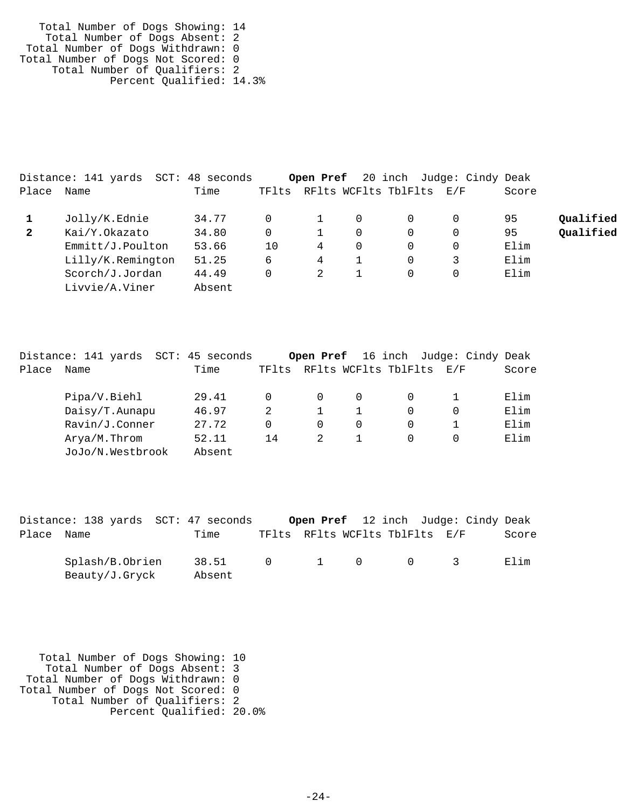Total Number of Dogs Showing: 14 Total Number of Dogs Absent: 2 Total Number of Dogs Withdrawn: 0 Total Number of Dogs Not Scored: 0 Total Number of Qualifiers: 2 Percent Qualified: 14.3%

|              | Distance: 141 yards | SCT: 48 seconds |          |   |   |                          | <b>Open Pref</b> 20 inch Judge: Cindy Deak |       |           |
|--------------|---------------------|-----------------|----------|---|---|--------------------------|--------------------------------------------|-------|-----------|
| Place        | Name                | Time            | TFlts    |   |   | RFlts WCFlts TblFlts E/F |                                            | Score |           |
|              | Jolly/K.Ednie       | 34.77           | $\Omega$ |   | 0 |                          |                                            | 95    | Qualified |
| $\mathbf{2}$ | Kai/Y.Okazato       | 34.80           | $\Omega$ |   | 0 | 0                        |                                            | 95    | Qualified |
|              | Emmitt/J.Poulton    | 53.66           | 10       | 4 | 0 | 0                        |                                            | Elim  |           |
|              | Lilly/K.Remington   | 51.25           | 6        | 4 |   | 0                        |                                            | Elim  |           |
|              | Scorch/J.Jordan     | 44.49           | 0        | 2 |   | 0                        |                                            | Elim  |           |
|              | Livvie/A.Viner      | Absent          |          |   |   |                          |                                            |       |           |

|       | Distance: 141 yards | SCT: 45 seconds |          |               | <b>Open Pref</b> 16 inch | Judge: Cindy Deak |       |
|-------|---------------------|-----------------|----------|---------------|--------------------------|-------------------|-------|
| Place | Name                | Time            | TFlts    |               | RFlts WCFlts TblFlts     | $\rm E$ / F       | Score |
|       | Pipa/V.Biehl        | 29.41           | $\Omega$ | $\Omega$      |                          |                   | Elim  |
|       | Daisy/T.Aunapu      | 46.97           | 2        |               |                          |                   | Elim  |
|       | Ravin/J.Conner      | 27.72           | $\Omega$ | $\Omega$      | 0                        |                   | Elim  |
|       | Arya/M.Throm        | 52.11           | 14       | $\mathcal{L}$ |                          |                   | Elim  |
|       | JoJo/N.Westbrook    | Absent          |          |               |                          |                   |       |

| TFlts RFlts WCFlts TblFlts E/F<br>Place Name<br>Time<br>Splash/B.Obrien<br>38.51<br>$0 \qquad 1 \qquad 0$<br>$\begin{array}{ccc} & & & & \text{if } & \mathbf{1} \ & & & & \mathbf{1} \ & & & & & \mathbf{1} \ & & & & & \mathbf{1} \ & & & & & \mathbf{1} \ & & & & & \mathbf{1} \ & & & & & \mathbf{1} \ & & & & & \mathbf{1} \ & & & & & \mathbf{1} \ & & & & & \mathbf{1} \ & & & & & \mathbf{1} \ & & & & & \mathbf{1} \ & & & & & \mathbf{1} \ & & & & & \mathbf{1} \ & & & & & \mathbf{1} \ & & & & & \mathbf{1} \ & & & & & \mathbf{1} \ & & & & &$ | Distance: 138 yards SCT: 47 seconds |        |  |  | <b>Open Pref</b> 12 inch Judge: Cindy Deak |  |
|-------------------------------------------------------------------------------------------------------------------------------------------------------------------------------------------------------------------------------------------------------------------------------------------------------------------------------------------------------------------------------------------------------------------------------------------------------------------------------------------------------------------------------------------------------------|-------------------------------------|--------|--|--|--------------------------------------------|--|
|                                                                                                                                                                                                                                                                                                                                                                                                                                                                                                                                                             |                                     |        |  |  | Score                                      |  |
|                                                                                                                                                                                                                                                                                                                                                                                                                                                                                                                                                             | Beauty/J.Gryck                      | Absent |  |  | Filim                                      |  |

 Total Number of Dogs Showing: 10 Total Number of Dogs Absent: 3 Total Number of Dogs Withdrawn: 0 Total Number of Dogs Not Scored: 0 Total Number of Qualifiers: 2 Percent Qualified: 20.0%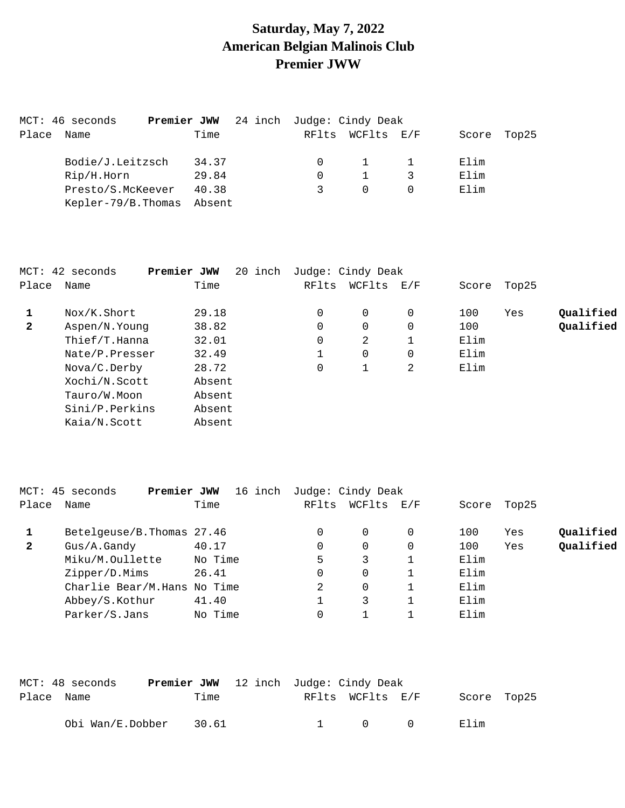# **Saturday, May 7, 2022 American Belgian Malinois Club Premier JWW**

|       | MCT: 46 seconds     | <b>Premier JWW</b> 24 inch Judge: Cindy Deak |          |            |       |       |
|-------|---------------------|----------------------------------------------|----------|------------|-------|-------|
| Place | Name                | Time                                         | RFlts    | WCFlts E/F | Score | Top25 |
|       | Bodie/J.Leitzsch    | 34.37                                        | $\Omega$ |            | Elim  |       |
|       | Rip/H.Horn          | 29.84                                        |          |            | Elim  |       |
|       | Presto/S.McKeever   | 40.38                                        | 3        | $\Omega$   | Elim  |       |
|       | Kepler-79/B. Thomas | Absent                                       |          |            |       |       |

|              | MCT: 42 seconds | Premier JWW | 20 inch |       | Judge: Cindy Deak |     |       |       |           |
|--------------|-----------------|-------------|---------|-------|-------------------|-----|-------|-------|-----------|
| Place        | Name            | Time        |         | RFlts | WCFlts            | E/F | Score | Top25 |           |
|              | Nox/K.Short     | 29.18       |         | 0     | $\Omega$          | 0   | 100   | Yes   | Qualified |
| $\mathbf{2}$ | Aspen/N.Young   | 38.82       |         | 0     | $\Omega$          | 0   | 100   |       | Qualified |
|              | Thief/T.Hanna   | 32.01       |         | 0     | 2                 |     | Elim  |       |           |
|              | Nate/P.Presser  | 32.49       |         |       | 0                 | 0   | Elim  |       |           |
|              | Nova/C.Derby    | 28.72       |         | 0     | 1                 | 2   | Elim  |       |           |
|              | Xochi/N.Scott   | Absent      |         |       |                   |     |       |       |           |
|              | Tauro/W.Moon    | Absent      |         |       |                   |     |       |       |           |
|              | Sini/P.Perkins  | Absent      |         |       |                   |     |       |       |           |
|              | Kaia/N.Scott    | Absent      |         |       |                   |     |       |       |           |

|              | MCT: 45 seconds<br>Premier JWW | 16 inch |       | Judge: Cindy Deak |     |       |       |           |
|--------------|--------------------------------|---------|-------|-------------------|-----|-------|-------|-----------|
| Place        | Name                           | Time    | RFlts | WCFlts            | E/F | Score | Top25 |           |
|              | Betelgeuse/B. Thomas 27.46     |         | 0     | 0                 |     | 100   | Yes   | Qualified |
| $\mathbf{2}$ | Gus/A.Gandy                    | 40.17   | 0     | 0                 |     | 100   | Yes   | Qualified |
|              | Miku/M.Oullette                | No Time | 5     | 3                 |     | Elim  |       |           |
|              | Zipper/D.Mims                  | 26.41   | 0     | $\Omega$          |     | Elim  |       |           |
|              | Charlie Bear/M.Hans No Time    |         |       | 0                 |     | Elim  |       |           |
|              | Abbey/S.Kothur                 | 41.40   |       | 3                 |     | Elim  |       |           |
|              | Parker/S.Jans                  | No Time | 0     |                   |     | Elim  |       |           |
|              |                                |         |       |                   |     |       |       |           |

|            | MCT: 48 seconds  | <b>Premier JWW</b> 12 inch Judge: Cindy Deak |       |  |                                            |             |  |
|------------|------------------|----------------------------------------------|-------|--|--------------------------------------------|-------------|--|
| Place Name |                  |                                              | Time  |  | RFlts WCFlts E/F                           | Score Top25 |  |
|            | Obi Wan/E.Dobber |                                              | 30.61 |  | $\begin{array}{ccc} 1 & 0 & 0 \end{array}$ | Elim        |  |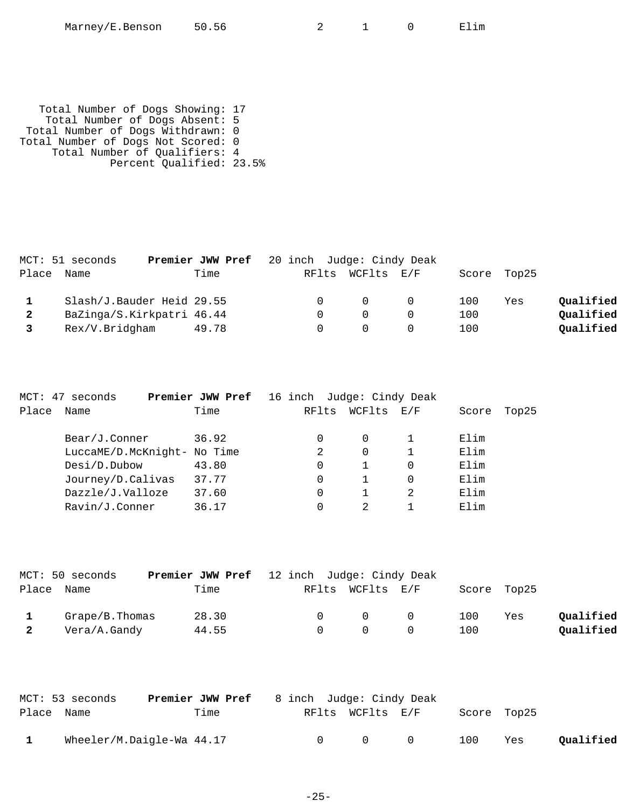| Marney/E.Benson | 50.56 |  |
|-----------------|-------|--|
|-----------------|-------|--|

 $2$  1 0 Elim

 Total Number of Dogs Showing: 17 Total Number of Dogs Absent: 5 Total Number of Dogs Withdrawn: 0 Total Number of Dogs Not Scored: 0 Total Number of Qualifiers: 4 Percent Qualified: 23.5%

|              | MCT: 51 seconds           | <b>Premier JWW Pref</b> 20 inch Judge: Cindy Deak |                  |             |     |           |
|--------------|---------------------------|---------------------------------------------------|------------------|-------------|-----|-----------|
| Place        | Name                      | Time                                              | RFlts WCFlts E/F | Score Top25 |     |           |
|              | Slash/J.Bauder Heid 29.55 |                                                   | $\overline{0}$   | 100         | Yes | Qualified |
| $\mathbf{2}$ | BaZinga/S.Kirkpatri 46.44 |                                                   | $\Omega$         | 100         |     | Qualified |
|              |                           |                                                   |                  |             |     |           |
|              | Rex/V.Bridgham            | 49.78                                             | $\Omega$         | 100         |     | Qualified |

|       | MCT: 47 seconds             | Premier JWW Pref | 16 inch Judge: Cindy Deak |          |     |       |       |
|-------|-----------------------------|------------------|---------------------------|----------|-----|-------|-------|
| Place | Name                        | Time             | RFlts                     | WCFlts   | E/F | Score | Top25 |
|       | Bear/J.Conner               | 36.92            | $\Omega$                  | $\Omega$ |     | Elim  |       |
|       | LuccaME/D.McKnight- No Time |                  | 2                         | 0        |     | Elim  |       |
|       | Design. Dubow               | 43.80            | 0                         |          | 0   | Elim  |       |
|       | Journey/D.Calivas           | 37.77            | 0                         |          | 0   | Elim  |       |
|       | Dazzle/J.Valloze            | 37.60            | 0                         |          |     | Elim  |       |
|       | Ravin/J.Conner              | 36.17            | 0                         | 2        |     | Elim  |       |
|       |                             |                  |                           |          |     |       |       |

| MCT: 50 seconds    | <b>Premier JWW Pref</b> 12 inch Judge: Cindy Deak |        |                   |     |             |           |
|--------------------|---------------------------------------------------|--------|-------------------|-----|-------------|-----------|
| Place Name         | Time                                              |        | RFlts WCFlts E/F  |     | Score Top25 |           |
| $Grape/B$ . Thomas | 28.30                                             | $\cap$ | $\Omega$ $\Omega$ | 100 | Yes         | Oualified |
| Vera/A.Gandy       | 44.55                                             | $\cap$ | $\bigcap$         | 100 |             | Qualified |

|            | MCT: 53 seconds           | Premier JWW Pref | 8 inch Judge: Cindy Deak |                  |           |     |             |           |
|------------|---------------------------|------------------|--------------------------|------------------|-----------|-----|-------------|-----------|
| Place Name |                           | Time             |                          | RFlts WCFlts E/F |           |     | Score Top25 |           |
|            | Wheeler/M.Daigle-Wa 44.17 |                  | $\cap$                   | $\bigcap$        | $\bigcap$ | 100 | Yes         | Qualified |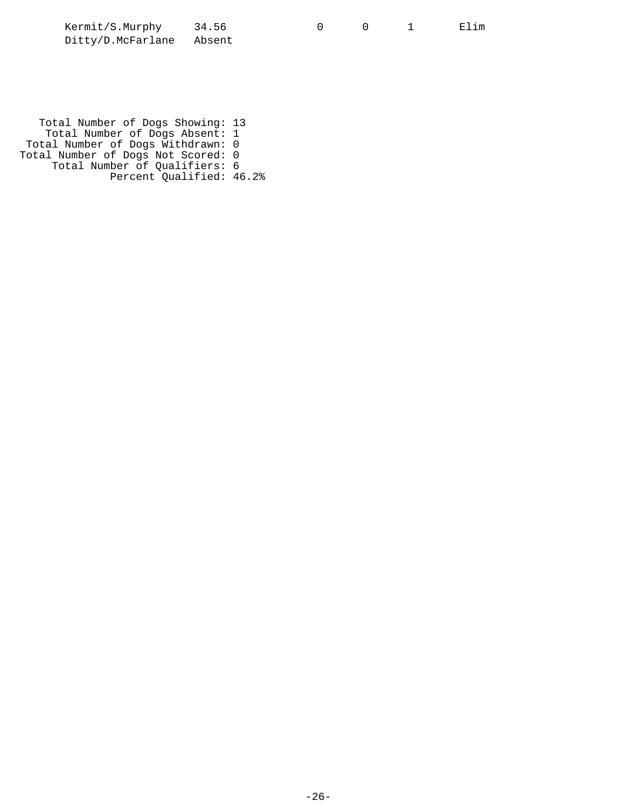| Kermit/S.Murphy          | 34.56 |  | Elim |
|--------------------------|-------|--|------|
| Ditty/D.McFarlane Absent |       |  |      |

 Total Number of Dogs Showing: 13 Total Number of Dogs Absent: 1 Total Number of Dogs Withdrawn: 0 Total Number of Dogs Not Scored: 0 Total Number of Qualifiers: 6 Percent Qualified: 46.2%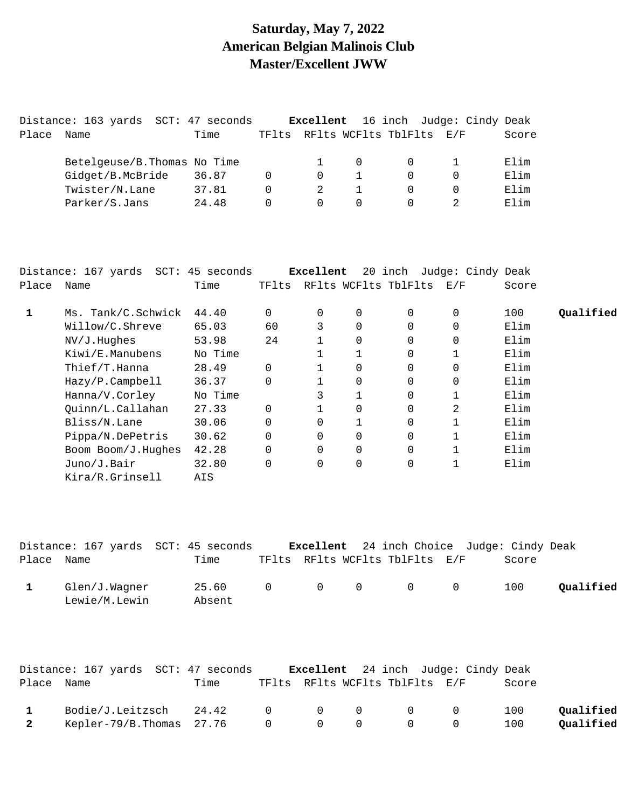## **Saturday, May 7, 2022 American Belgian Malinois Club Master/Excellent JWW**

|       | Distance: 163 yards          | SCT: 47 seconds |       | Excellent |          |                      | 16 inch Judge: Cindy Deak |       |
|-------|------------------------------|-----------------|-------|-----------|----------|----------------------|---------------------------|-------|
| Place | Name                         | Time            | TFlts |           |          | RFlts WCFlts TblFlts | E/F                       | Score |
|       | Betelgeuse/B. Thomas No Time |                 |       |           |          |                      |                           | Elim  |
|       | Gidget/B.McBride             | 36.87           |       | $\Omega$  |          |                      |                           | Elim  |
|       | Twister/N.Lane               | 37.81           | 0     |           |          |                      |                           | Elim  |
|       | Parker/S.Jans                | 24.48           |       | $\Omega$  | $\Omega$ |                      |                           | Elim  |
|       |                              |                 |       |           |          |                      |                           |       |

|       | Distance: 167 yards SCT: 45 seconds |         |          | Excellent |                |                      | 20 inch Judge: Cindy Deak |       |           |
|-------|-------------------------------------|---------|----------|-----------|----------------|----------------------|---------------------------|-------|-----------|
| Place | Name                                | Time    | TFlts    |           |                | RFlts WCFlts TblFlts | E/F                       | Score |           |
|       | Ms. Tank/C.Schwick                  | 44.40   | 0        | 0         | 0              | $\Omega$             | 0                         | 100   | Qualified |
|       | Willow/C.Shreve                     | 65.03   | 60       | 3         | $\Omega$       | 0                    | $\Omega$                  | Elim  |           |
|       | NV/J.Hughes                         | 53.98   | 24       |           | $\Omega$       | $\Omega$             | $\Omega$                  | Elim  |           |
|       | Kiwi/E.Manubens                     | No Time |          |           |                | $\Omega$             |                           | Elim  |           |
|       | Thief/T.Hanna                       | 28.49   | 0        |           | $\Omega$       | $\Omega$             | $\Omega$                  | Elim  |           |
|       | Hazy/P.Campbell                     | 36.37   | $\Omega$ |           | 0              | $\Omega$             | 0                         | Elim  |           |
|       | Hanna/V.Corley                      | No Time |          | 3         | $\mathbf{1}$   | $\Omega$             |                           | Elim  |           |
|       | Quinn/L.Callahan                    | 27.33   | $\Omega$ |           |                | $\Omega$             | 2                         | Elim  |           |
|       | Bliss/N.Lane                        | 30.06   | 0        | 0         |                | 0                    |                           | Elim  |           |
|       | Pippa/N.DePetris                    | 30.62   | 0        | $\Omega$  | $\Omega$       | $\Omega$             |                           | Elim  |           |
|       | Boom Boom/J.Hughes                  | 42.28   | $\Omega$ | $\Omega$  | $\Omega$       | $\Omega$             |                           | Elim  |           |
|       | Juno/J.Bair                         | 32.80   | 0        | 0         | $\overline{0}$ | $\Omega$             |                           | Elim  |           |
|       | Kira/R.Grinsell                     | AIS     |          |           |                |                      |                           |       |           |
|       |                                     |         |          |           |                |                      |                           |       |           |

|            | Distance: 167 yards SCT: 45 seconds |                 |  |                                                 | <b>Excellent</b> 24 inch Choice Judge: Cindy Deak |           |
|------------|-------------------------------------|-----------------|--|-------------------------------------------------|---------------------------------------------------|-----------|
| Place Name |                                     | Time            |  | TFlts RFlts WCFlts TblFlts E/F                  | Score                                             |           |
|            | Glen/J.Wagner<br>Lewie/M.Lewin      | 25.60<br>Absent |  | $\begin{matrix} 0 & 0 & 0 & 0 & 0 \end{matrix}$ | 100                                               | Oualified |

|              | Distance: 167 yards SCT: 47 seconds  |      |  |                                                    | <b>Excellent</b> 24 inch Judge: Cindy Deak |       |           |
|--------------|--------------------------------------|------|--|----------------------------------------------------|--------------------------------------------|-------|-----------|
| Place Name   |                                      | Time |  | TFlts RFlts WCFlts TblFlts E/F                     |                                            | Score |           |
| $\mathbf{1}$ | $Bodie/J.Leitzsch$ $24.42$ 0 0 0 0 0 |      |  |                                                    |                                            | 100   | Oualified |
| 2            | Kepler-79/B.Thomas $27.76$ 0 0 0     |      |  | $\begin{array}{ccc} & & & 0 & \quad & \end{array}$ |                                            | 100   | Qualified |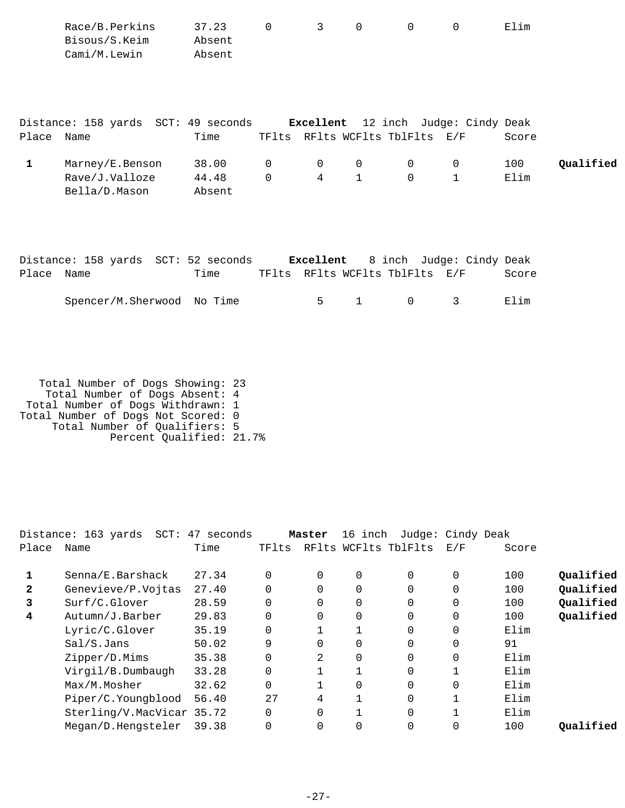|              | Race/B.Perkins<br>Bisous/S.Keim<br>Cami/M.Lewin    | 37.23<br>Absent<br>Absent | $\Omega$                | 3                              | $\Omega$                    | $\Omega$      | $\Omega$                                   | Elim        |           |
|--------------|----------------------------------------------------|---------------------------|-------------------------|--------------------------------|-----------------------------|---------------|--------------------------------------------|-------------|-----------|
| Place Name   | Distance: 158 yards SCT: 49 seconds                | Time                      |                         | TFlts RFlts WCFlts TblFlts E/F |                             |               | <b>Excellent</b> 12 inch Judge: Cindy Deak | Score       |           |
| $\mathbf{1}$ | Marney/E.Benson<br>Rave/J.Valloze<br>Bella/D.Mason | 38.00<br>44.48<br>Absent  | $\mathbf 0$<br>$\Omega$ | $\mathbf 0$<br>$\overline{4}$  | $\mathbf 0$<br>$\mathbf{1}$ | 0<br>$\Omega$ | 0<br>$\mathbf 1$                           | 100<br>Elim | Qualified |
|              | Distance: 158 yards SCT: 52 seconds                |                           |                         | Excellent                      |                             | 8 inch        | Judge: Cindy Deak                          |             |           |

| Place Name |                            | Time |  | TFlts RFlts WCFlts TblFlts E/F |      | Score |
|------------|----------------------------|------|--|--------------------------------|------|-------|
|            | Spencer/M.Sherwood No Time |      |  | 5 1 0 3                        | Elim |       |

 Total Number of Dogs Showing: 23 Total Number of Dogs Absent: 4 Total Number of Dogs Withdrawn: 1 Total Number of Dogs Not Scored: 0 Total Number of Qualifiers: 5 Percent Qualified: 21.7%

| Distance: 163 yards<br>$SCT$ : |       |                                         |          |          |          |                                 |       |                   |
|--------------------------------|-------|-----------------------------------------|----------|----------|----------|---------------------------------|-------|-------------------|
| Name                           | Time  | TFlts                                   |          |          |          | E/F                             | Score |                   |
| Senna/E.Barshack               | 27.34 |                                         | $\Omega$ | $\Omega$ | $\Omega$ | $\Omega$                        | 100   | Qualified         |
| Genevieve/P.Vojtas             | 27.40 |                                         | $\Omega$ | 0        | $\Omega$ | 0                               | 100   | Qualified         |
| Surf/C.Glover                  | 28.59 |                                         | $\Omega$ | 0        | 0        | $\Omega$                        | 100   | Qualified         |
| Autumn/J.Barber                | 29.83 |                                         | $\Omega$ | 0        | $\Omega$ | 0                               | 100   | Qualified         |
| Lyric/C.Glover                 | 35.19 |                                         |          |          | 0        | 0                               | Elim  |                   |
| Sal/S.Jans                     | 50.02 | 9                                       | $\Omega$ | 0        | $\Omega$ | $\Omega$                        | 91    |                   |
| Zipper/D.Mims                  | 35.38 |                                         | 2        | 0        | 0        | 0                               | Elim  |                   |
| Virgil/B.Dumbaugh              | 33.28 |                                         |          |          | $\Omega$ |                                 | Elim  |                   |
| Max/M.Mosher                   | 32.62 |                                         |          | 0        | $\Omega$ | 0                               | Elim  |                   |
| Piper/C.Youngblood             | 56.40 | 2.7                                     | 4        |          | $\Omega$ |                                 | Elim  |                   |
|                                |       |                                         | $\Omega$ |          | $\Omega$ |                                 | Elim  |                   |
| Megan/D.Hengsteler             | 39.38 |                                         | $\Omega$ | 0        | 0        | 0                               | 100   | Qualified         |
|                                |       | 47 seconds<br>Sterling/V.MacVicar 35.72 |          | Master   |          | 16 inch<br>RFlts WCFlts TblFlts |       | Judge: Cindy Deak |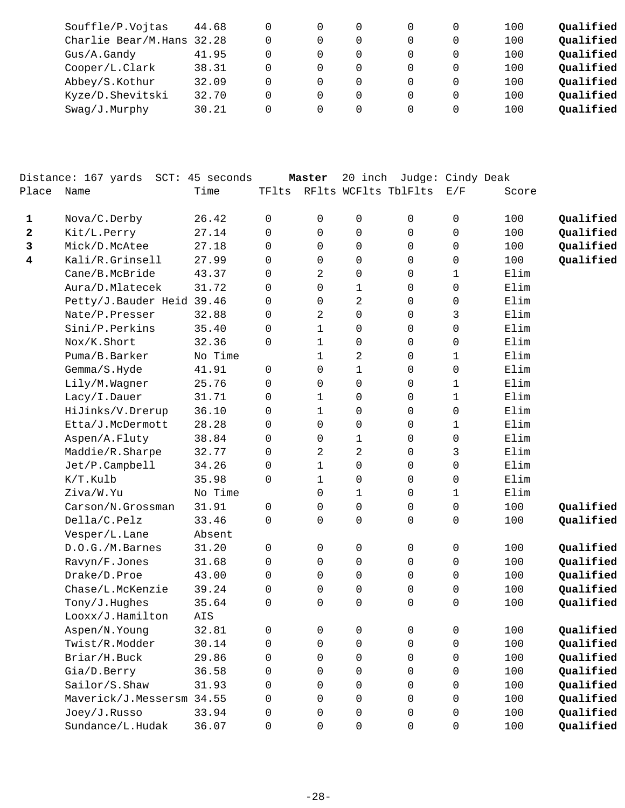| Souffle/P.Vojtas          | 44.68 |  |  |   | 100 | Qualified |
|---------------------------|-------|--|--|---|-----|-----------|
| Charlie Bear/M.Hans 32.28 |       |  |  |   | 100 | Qualified |
| Gus/A.Gandy               | 41.95 |  |  |   | 100 | Qualified |
| Cooper/L.Clark            | 38.31 |  |  |   | 100 | Qualified |
| Abbey/S.Kothur            | 32.09 |  |  |   | 100 | Qualified |
| Kyze/D.Shevitski          | 32.70 |  |  | 0 | 100 | Qualified |
| $Swaq/J$ . Murphy         | 30.21 |  |  |   | 100 | Qualified |
|                           |       |  |  |   |     |           |

|              | Distance: 167 yards SCT: 45 seconds |         |              | Master         | 20 inch              | Judge: Cindy Deak |             |       |           |
|--------------|-------------------------------------|---------|--------------|----------------|----------------------|-------------------|-------------|-------|-----------|
| Place        | Name                                | Time    | TFlts        |                | RFlts WCFlts TblFlts |                   | E/F         | Score |           |
| 1            | Nova/C.Derby                        | 26.42   | $\mathbf 0$  | 0              | 0                    | $\mathbf 0$       | 0           | 100   | Qualified |
| $\mathbf{2}$ | Kit/L.Perry                         | 27.14   | $\Omega$     | 0              | 0                    | 0                 | 0           | 100   | Qualified |
| 3            | Mick/D.McAtee                       | 27.18   | $\mathbf 0$  | $\mathbf 0$    | 0                    | 0                 | 0           | 100   | Qualified |
| 4            | Kali/R.Grinsell                     | 27.99   | $\mathbf 0$  | $\mathbf 0$    | 0                    | 0                 | 0           | 100   | Qualified |
|              | Cane/B.McBride                      | 43.37   | $\mathbf 0$  | 2              | 0                    | 0                 | 1           | Elim  |           |
|              | Aura/D.Mlatecek                     | 31.72   | 0            | 0              | 1                    | 0                 | 0           | Elim  |           |
|              | Petty/J.Bauder Heid 39.46           |         | 0            | $\mathbf 0$    | $\sqrt{2}$           | 0                 | 0           | Elim  |           |
|              | Nate/P.Presser                      | 32.88   | $\mathbf 0$  | $\overline{c}$ | $\mathsf 0$          | 0                 | 3           | Elim  |           |
|              | Sini/P.Perkins                      | 35.40   | $\mathbf 0$  | $\mathbf 1$    | 0                    | 0                 | 0           | Elim  |           |
|              | Nox/K.Short                         | 32.36   | 0            | 1              | 0                    | 0                 | 0           | Elim  |           |
|              | Puma/B.Barker                       | No Time |              | 1              | $\sqrt{2}$           | 0                 | 1           | Elim  |           |
|              | Gemma/S.Hyde                        | 41.91   | $\mathsf{O}$ | $\mathbf 0$    | $\mathbf{1}$         | 0                 | 0           | Elim  |           |
|              | Lily/M.Wagner                       | 25.76   | 0            | $\mathbf 0$    | 0                    | 0                 | 1           | Elim  |           |
|              | Lacy/I.Dauer                        | 31.71   | $\mathbf 0$  | $\mathbf 1$    | 0                    | 0                 | 1           | Elim  |           |
|              | HiJinks/V.Drerup                    | 36.10   | $\mathbf 0$  | $\mathbf{1}$   | 0                    | 0                 | 0           | Elim  |           |
|              | Etta/J.McDermott                    | 28.28   | $\mathbf 0$  | $\mathbf 0$    | 0                    | 0                 | 1           | Elim  |           |
|              | Aspen/A.Fluty                       | 38.84   | $\mathbf 0$  | 0              | $\mathbf 1$          | 0                 | 0           | Elim  |           |
|              | Maddie/R.Sharpe                     | 32.77   | $\mathbf 0$  | 2              | $\overline{2}$       | 0                 | 3           | Elim  |           |
|              | Jet/P.Campbell                      | 34.26   | $\mathbf 0$  | 1              | 0                    | 0                 | 0           | Elim  |           |
|              | K/T.Kulb                            | 35.98   | 0            | $\mathbf 1$    | 0                    | 0                 | 0           | Elim  |           |
|              | Ziva/W.Yu                           | No Time |              | $\mathbf 0$    | $\mathbf 1$          | 0                 | 1           | Elim  |           |
|              | Carson/N.Grossman                   | 31.91   | $\mathbf 0$  | 0              | 0                    | 0                 | 0           | 100   | Qualified |
|              | Della/C.Pelz                        | 33.46   | $\mathbf 0$  | $\mathbf 0$    | 0                    | 0                 | 0           | 100   | Qualified |
|              | Vesper/L.Lane                       | Absent  |              |                |                      |                   |             |       |           |
|              | D.O.G./M.Barnes                     | 31.20   | $\mathbf 0$  | 0              | 0                    | 0                 | 0           | 100   | Qualified |
|              | Ravyn/F.Jones                       | 31.68   | $\mathbf 0$  | 0              | 0                    | $\mathbf 0$       | 0           | 100   | Qualified |
|              | Drake/D.Proe                        | 43.00   | $\mathbf 0$  | $\Omega$       | 0                    | $\mathbf 0$       | 0           | 100   | Qualified |
|              | Chase/L.McKenzie                    | 39.24   | $\mathbf 0$  | $\mathbf 0$    | 0                    | 0                 | 0           | 100   | Qualified |
|              | Tony/J.Hughes                       | 35.64   | $\mathbf 0$  | $\mathbf 0$    | 0                    | 0                 | 0           | 100   | Qualified |
|              | Looxx/J.Hamilton                    | AIS     |              |                |                      |                   |             |       |           |
|              | Aspen/N.Young                       | 32.81   | $\Omega$     | $\Omega$       | $\Omega$             | $\Omega$          | 0           | 100   | Qualified |
|              | Twist/R.Modder                      | 30.14   | 0            | 0              | 0                    | 0                 | 0           | 100   | Qualified |
|              | Briar/H.Buck                        | 29.86   | 0            | 0              | $\mathsf 0$          | 0                 | $\mathsf 0$ | 100   | Qualified |
|              | Gia/D.Berry                         | 36.58   | 0            | $\Omega$       | 0                    | $\Omega$          | 0           | 100   | Qualified |
|              | Sailor/S.Shaw                       | 31.93   | 0            | $\Omega$       | 0                    | $\Omega$          | 0           | 100   | Qualified |
|              | Maverick/J.Messersm 34.55           |         | 0            | $\Omega$       | 0                    | $\Omega$          | 0           | 100   | Qualified |
|              | Joey/J.Russo                        | 33.94   | 0            | 0              | $\mathsf{O}\xspace$  | 0                 | 0           | 100   | Qualified |
|              | Sundance/L.Hudak                    | 36.07   | 0            | 0              | $\mathsf 0$          | 0                 | 0           | 100   | Qualified |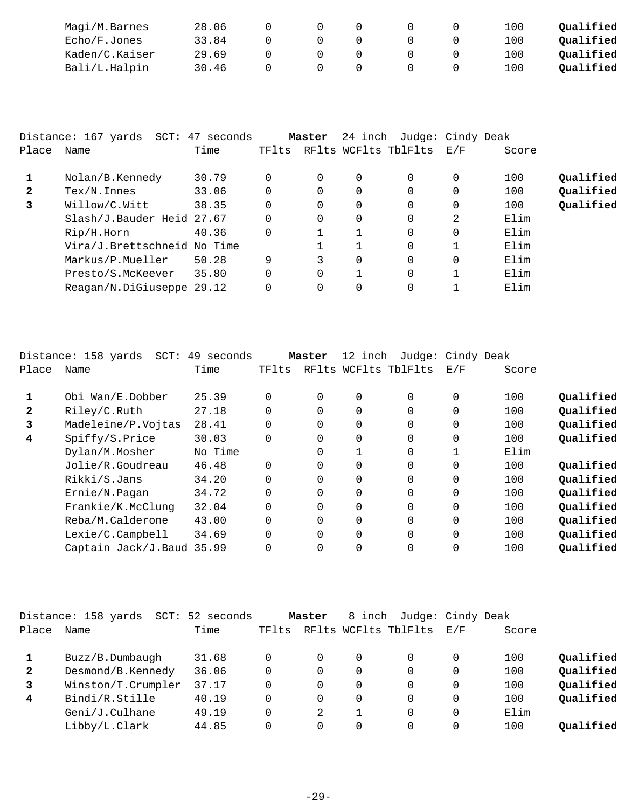| Magi/M.Barnes  | 28.06 |  |  | 100 | Oualified |
|----------------|-------|--|--|-----|-----------|
| Echo/F.Jones   | 33.84 |  |  | 100 | Oualified |
| Kaden/C.Kaiser | 29.69 |  |  | 100 | Oualified |
| Bali/L.Halpin  | 30.46 |  |  | 100 | Oualified |

|       | Distance: 167 yards SCT: 47 seconds |       |       | Master   | 24 inch  | Judge: Cindy Deak    |     |       |           |
|-------|-------------------------------------|-------|-------|----------|----------|----------------------|-----|-------|-----------|
| Place | Name                                | Time  | TFlts |          |          | RFlts WCFlts TblFlts | E/F | Score |           |
|       | Nolan/B.Kennedy                     | 30.79 | 0     | 0        | $\Omega$ | $\Omega$             | 0   | 100   | Oualified |
| 2     | $Text/N.$ Innes                     | 33.06 | 0     | 0        | $\Omega$ | $\Omega$             |     | 100   | Qualified |
| 3     | Willow/C.Witt                       | 38.35 | 0     | 0        | $\Omega$ | $\Omega$             | 0   | 100   | Qualified |
|       | Slash/J.Bauder Heid 27.67           |       | 0     | 0        | $\Omega$ | $\Omega$             | 2   | Elim  |           |
|       | Rip/H.Horn                          | 40.36 | 0     |          |          | $\Omega$             | 0   | Elim  |           |
|       | Vira/J.Brettschneid No Time         |       |       |          |          | $\Omega$             |     | Elim  |           |
|       | Markus/P.Mueller                    | 50.28 | 9     | 3        | $\Omega$ | $\Omega$             | 0   | Elim  |           |
|       | Presto/S.McKeever                   | 35.80 | 0     | $\Omega$ | 1        | $\Omega$             |     | Elim  |           |
|       | Reagan/N.DiGiuseppe 29.12           |       | 0     | 0        | $\Omega$ | $\Omega$             |     | Elim  |           |

|              | Distance: 158 yards<br>$SCT$ : | 49 seconds |          | Master   | 12 inch | Judge: Cindy Deak    |          |       |           |
|--------------|--------------------------------|------------|----------|----------|---------|----------------------|----------|-------|-----------|
| Place        | Name                           | Time       | TFlts    |          |         | RFlts WCFlts TblFlts | E/F      | Score |           |
|              | Obi Wan/E.Dobber               | 25.39      | $\Omega$ | $\Omega$ | 0       | $\Omega$             | $\Omega$ | 100   | Oualified |
| $\mathbf{2}$ | Riley/C.Ruth                   | 27.18      | $\Omega$ | $\Omega$ | 0       | $\Omega$             | $\Omega$ | 100   | Qualified |
| 3            | Madeleine/P.Vojtas             | 28.41      | $\Omega$ | $\Omega$ | 0       | $\Omega$             | $\Omega$ | 100   | Qualified |
| 4            | Spiffy/S.Price                 | 30.03      | $\Omega$ | $\Omega$ | 0       | $\Omega$             | 0        | 100   | Qualified |
|              | Dylan/M.Mosher                 | No Time    |          | $\Omega$ |         | $\overline{0}$       |          | Elim  |           |
|              | Jolie/R.Goudreau               | 46.48      | $\Omega$ | $\Omega$ | 0       | $\Omega$             | $\Omega$ | 100   | Qualified |
|              | Rikki/S.Jans                   | 34.20      | $\Omega$ | 0        | 0       | $\mathbf 0$          | 0        | 100   | Oualified |
|              | Ernie/N.Pagan                  | 34.72      | $\Omega$ | $\Omega$ | 0       | $\Omega$             | $\Omega$ | 100   | Qualified |
|              | Frankie/K.McClung              | 32.04      | 0        | $\Omega$ | 0       | 0                    | 0        | 100   | Qualified |
|              | Reba/M.Calderone               | 43.00      | $\Omega$ | $\Omega$ | 0       | $\Omega$             | $\Omega$ | 100   | Qualified |
|              | Lexie/C.Campbell               | 34.69      | $\Omega$ | $\Omega$ | 0       | $\Omega$             | $\Omega$ | 100   | Qualified |
|              | Captain Jack/J.Baud 35.99      |            |          | $\Omega$ |         | $\Omega$             | 0        | 100   | Qualified |

|              | Distance: 158 yards<br>SCT: | 52 seconds |       | Master   | 8 inch | Judge: Cindy Deak    |     |       |           |
|--------------|-----------------------------|------------|-------|----------|--------|----------------------|-----|-------|-----------|
| Place        | Name                        | Time       | TFlts |          |        | RFlts WCFlts TblFlts | E/F | Score |           |
|              | Buzz/B.Dumbaugh             | 31.68      |       | 0        | 0      | 0                    | 0   | 100   | Qualified |
| $\mathbf{2}$ | Desmond/B.Kennedy           | 36.06      |       | 0        | 0      | 0                    | 0   | 100   | Qualified |
|              | Winston/T.Crumpler          | 37.17      |       | 0        | 0      | 0                    | 0   | 100   | Qualified |
| 4            | Bindi/R.Stille              | 40.19      |       | $\Omega$ | 0      | 0                    | 0   | 100   | Qualified |
|              | Geni/J.Culhane              | 49.19      |       | 2        |        | 0                    | 0   | Elim  |           |
|              | Libby/L.Clark               | 44.85      |       | 0        | 0      | 0                    | 0   | 100   | Oualified |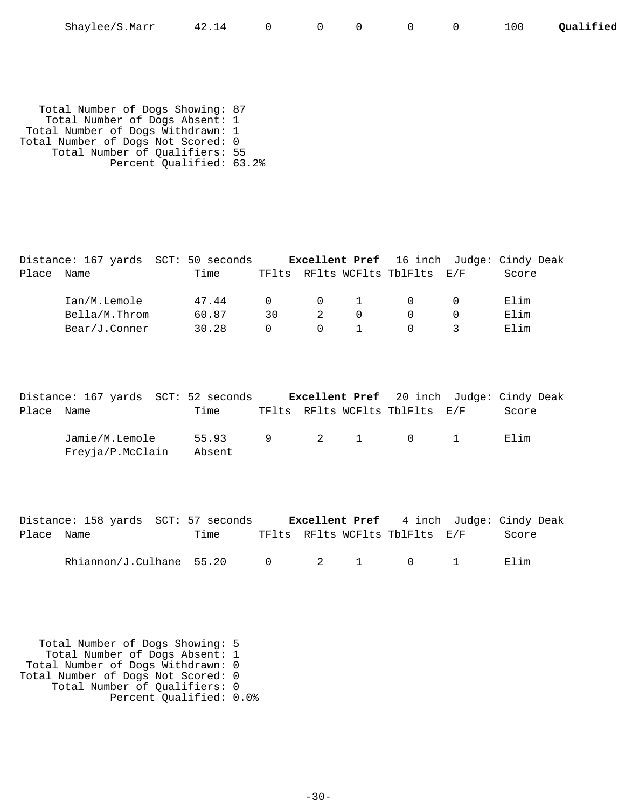| Shaylee/S.Marr | 42.14 |  |  |  |  |  |  | Qualified |
|----------------|-------|--|--|--|--|--|--|-----------|
|----------------|-------|--|--|--|--|--|--|-----------|

 Total Number of Dogs Showing: 87 Total Number of Dogs Absent: 1 Total Number of Dogs Withdrawn: 1 Total Number of Dogs Not Scored: 0 Total Number of Qualifiers: 55 Percent Qualified: 63.2%

|            |               | Distance: 167 yards SCT: 50 seconds |          |          |                                     |                                | <b>Excellent Pref</b> 16 inch Judge: Cindy Deak |
|------------|---------------|-------------------------------------|----------|----------|-------------------------------------|--------------------------------|-------------------------------------------------|
| Place Name |               | Time                                |          |          |                                     | TFlts RFlts WCFlts TblFlts E/F | Score                                           |
|            | Ian/M.Lemole  | 47.44                               | $\Omega$ |          | $\begin{matrix} 0 & 1 \end{matrix}$ |                                | Elim                                            |
|            | Bella/M.Throm | 60.87                               | 30       |          | $\cap$                              |                                | Elim                                            |
|            | Bear/J.Conner | 30.28                               |          | $\Omega$ |                                     |                                | Elim                                            |

|            | Distance: 167 yards SCT: 52 seconds |                           |  |                                | <b>Excellent Pref</b> 20 inch Judge: Cindy Deak |
|------------|-------------------------------------|---------------------------|--|--------------------------------|-------------------------------------------------|
| Place Name |                                     | Time                      |  | TFlts RFlts WCFlts TblFlts E/F | Score                                           |
|            | Jamie/M.Lemole<br>Freyja/P.McClain  | 55.93 9 2 1 0 1<br>Absent |  |                                | Flim                                            |

|            |  | Distance: 158 yards SCT: 57 seconds |  |                                | <b>Excellent Pref</b> 4 inch Judge: Cindy Deak |
|------------|--|-------------------------------------|--|--------------------------------|------------------------------------------------|
| Place Name |  | Time                                |  | TFlts RFlts WCFlts TblFlts E/F | Score                                          |
|            |  |                                     |  |                                |                                                |

| Rhiannon/J.Culhane | າ ເ<br>55.20 |  |  |  |  |  |  |
|--------------------|--------------|--|--|--|--|--|--|
|--------------------|--------------|--|--|--|--|--|--|

 Total Number of Dogs Showing: 5 Total Number of Dogs Absent: 1 Total Number of Dogs Withdrawn: 0 Total Number of Dogs Not Scored: 0 Total Number of Qualifiers: 0 Percent Qualified: 0.0%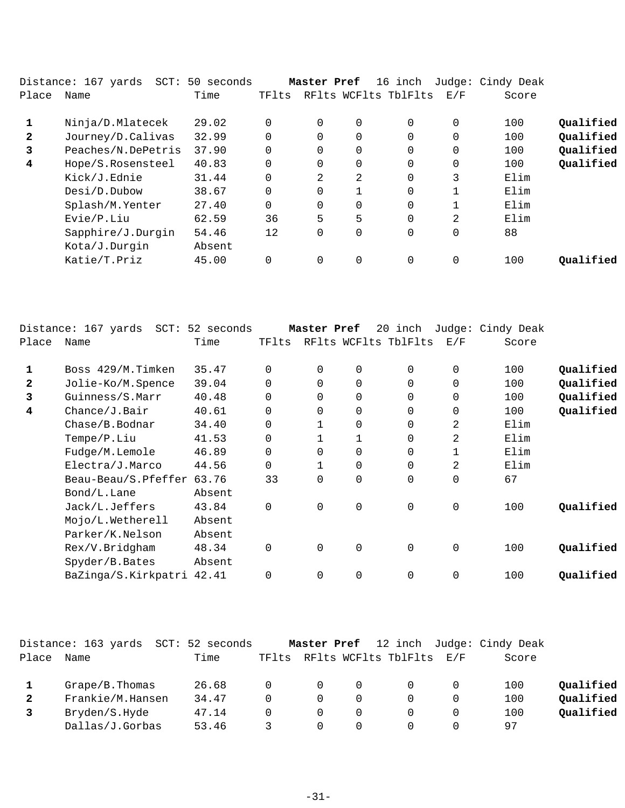|              | Distance: 167 yards | SCT: 50 seconds |          | Master Pref |                | 16 inch              |          | Judge: Cindy Deak |           |
|--------------|---------------------|-----------------|----------|-------------|----------------|----------------------|----------|-------------------|-----------|
| Place        | Name                | Time            | TFlts    |             |                | RFlts WCFlts TblFlts | E/F      | Score             |           |
|              | Ninja/D.Mlatecek    | 29.02           | $\Omega$ | $\Omega$    | $\overline{0}$ | $\Omega$             | $\Omega$ | 100               | Qualified |
| $\mathbf{2}$ | Journey/D.Calivas   | 32.99           | $\Omega$ | 0           | $\overline{0}$ | 0                    | 0        | 100               | Qualified |
| 3            | Peaches/N.DePetris  | 37.90           | $\Omega$ | 0           | 0              | 0                    | 0        | 100               | Qualified |
| 4            | Hope/S.Rosensteel   | 40.83           | $\Omega$ | $\Omega$    | $\Omega$       | $\Omega$             | $\Omega$ | 100               | Qualified |
|              | Kick/J.Ednie        | 31.44           | $\Omega$ | 2           | 2              | $\Omega$             | 3        | Elim              |           |
|              | Desi/D.Dubow        | 38.67           | $\Omega$ | 0           |                | $\Omega$             | 1        | Elim              |           |
|              | Splash/M.Yenter     | 27.40           | $\Omega$ | 0           | $\Omega$       | $\Omega$             | 1        | Elim              |           |
|              | Evie/P.Liu          | 62.59           | 36       | 5           | 5              | $\Omega$             | 2        | Elim              |           |
|              | Sapphire/J.Durgin   | 54.46           | 12       | 0           | $\overline{0}$ | 0                    | 0        | 88                |           |
|              | Kota/J.Durgin       | Absent          |          |             |                |                      |          |                   |           |
|              | Katie/T.Priz        | 45.00           | $\Omega$ | $\Omega$    | 0              | $\Omega$             | $\Omega$ | 100               | Oualified |
|              |                     |                 |          |             |                |                      |          |                   |           |

|              | Distance: 167 yards<br>$SCT$ : | 52 seconds |          | Master Pref | 20       | inch                 |             | Judge: Cindy Deak |           |
|--------------|--------------------------------|------------|----------|-------------|----------|----------------------|-------------|-------------------|-----------|
| Place        | Name                           | Time       | TFlts    |             |          | RFlts WCFlts TblFlts | E/F         | Score             |           |
| 1            | Boss 429/M.Timken              | 35.47      | $\Omega$ | $\mathbf 0$ | 0        | 0                    | 0           | 100               | Qualified |
| $\mathbf{z}$ | Jolie-Ko/M.Spence              | 39.04      | $\Omega$ | $\Omega$    | $\Omega$ | $\Omega$             | 0           | 100               | Qualified |
| 3            | Guinness/S.Marr                | 40.48      | $\Omega$ | $\Omega$    | 0        | $\Omega$             | 0           | 100               | Qualified |
| 4            | Change/J.Bair                  | 40.61      | $\Omega$ | $\Omega$    | 0        | $\Omega$             | 0           | 100               | Qualified |
|              | Chase/B.Bodnar                 | 34.40      | $\Omega$ |             | 0        | $\Omega$             | 2           | Elim              |           |
|              | Tempe/P.Liu                    | 41.53      | 0        |             |          | 0                    | 2           | Elim              |           |
|              | Fudge/M.Lemole                 | 46.89      | $\Omega$ | $\Omega$    | 0        | 0                    | 1           | Elim              |           |
|              | Electra/J.Marco                | 44.56      | $\Omega$ |             | 0        | 0                    | 2           | Elim              |           |
|              | Beau-Beau/S.Pfeffer            | 63.76      | 33       | $\Omega$    | 0        | $\Omega$             | 0           | 67                |           |
|              | Bond/L.Lane                    | Absent     |          |             |          |                      |             |                   |           |
|              | Jack/L.Jeffers                 | 43.84      | $\Omega$ | $\Omega$    | 0        | $\mathbf 0$          | $\mathbf 0$ | 100               | Qualified |
|              | Mojo/L.Wetherell               | Absent     |          |             |          |                      |             |                   |           |
|              | Parker/K.Nelson                | Absent     |          |             |          |                      |             |                   |           |
|              | Rex/V.Bridgham                 | 48.34      | $\Omega$ | $\Omega$    | 0        | $\mathbf 0$          | $\mathbf 0$ | 100               | Qualified |
|              | Spyder/B.Bates                 | Absent     |          |             |          |                      |             |                   |           |
|              | BaZinga/S.Kirkpatri            | 42.41      | $\Omega$ | $\Omega$    | 0        | $\overline{0}$       | 0           | 100               | Qualified |
|              |                                |            |          |             |          |                      |             |                   |           |

|       | Distance: 163 yards<br>$\mathtt{SCT}$ : | 52 seconds |       | Master Pref |                      |                             | 12 inch Judge: Cindy Deak |           |
|-------|-----------------------------------------|------------|-------|-------------|----------------------|-----------------------------|---------------------------|-----------|
| Place | Name                                    | Time       | TFlts |             | RFlts WCFlts TblFlts | $\mathrm{E}$ / $\mathrm{F}$ | Score                     |           |
|       | $Grape/B$ . Thomas                      | 26.68      |       | $\Omega$    |                      |                             | 100                       | Qualified |
| 2     | Frankie/M.Hansen                        | 34.47      |       | $\Omega$    |                      | 0                           | 100                       | Oualified |
|       | Bryden/S.Hyde                           | 47.14      |       | $\Omega$    |                      | 0                           | 100                       | Oualified |
|       | Dallas/J.Gorbas                         | 53.46      |       | $\Omega$    |                      | 0                           | 97                        |           |